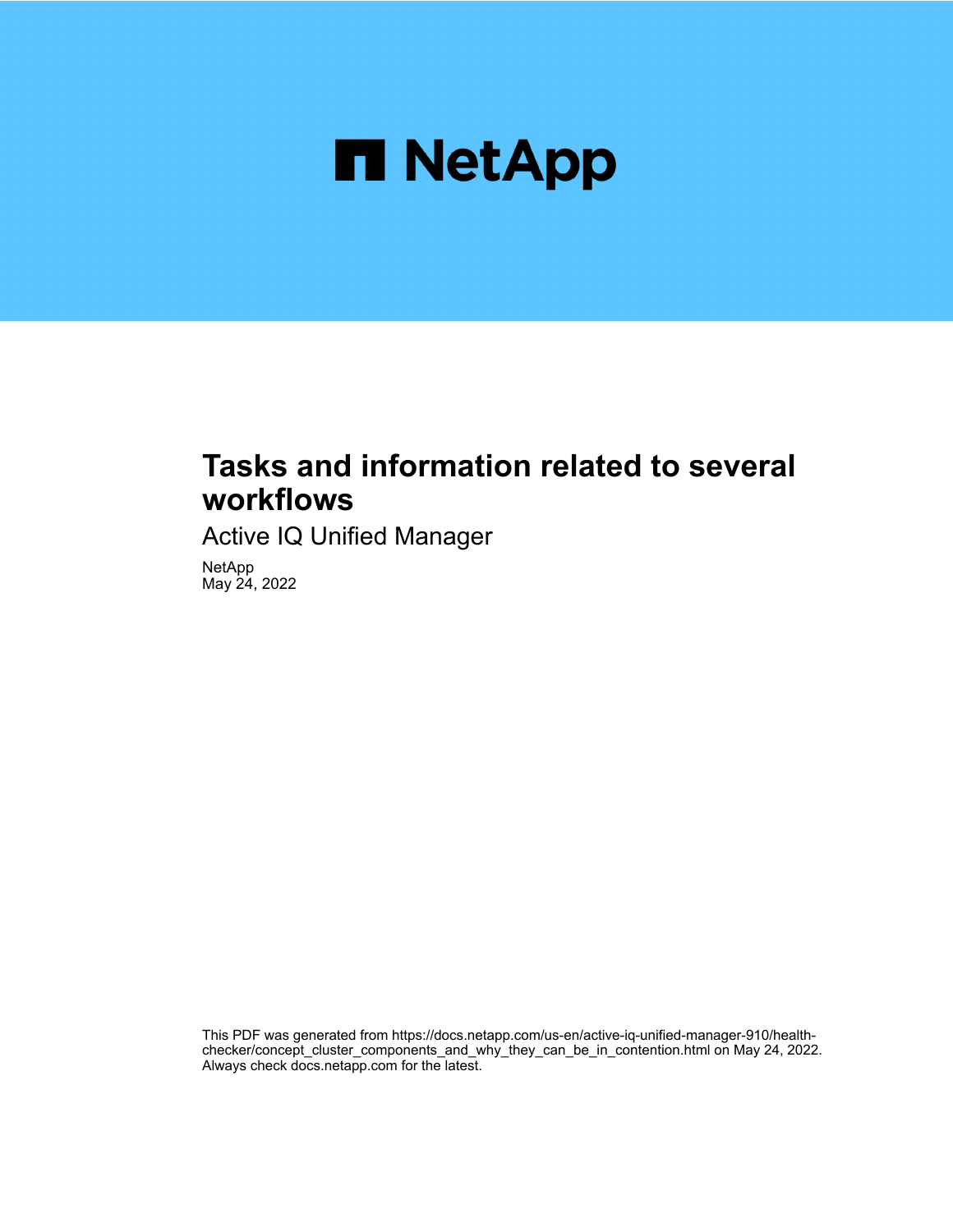

# **Tasks and information related to several workflows**

Active IQ Unified Manager

NetApp May 24, 2022

This PDF was generated from https://docs.netapp.com/us-en/active-iq-unified-manager-910/healthchecker/concept\_cluster\_components\_and\_why\_they\_can\_be\_in\_contention.html on May 24, 2022. Always check docs.netapp.com for the latest.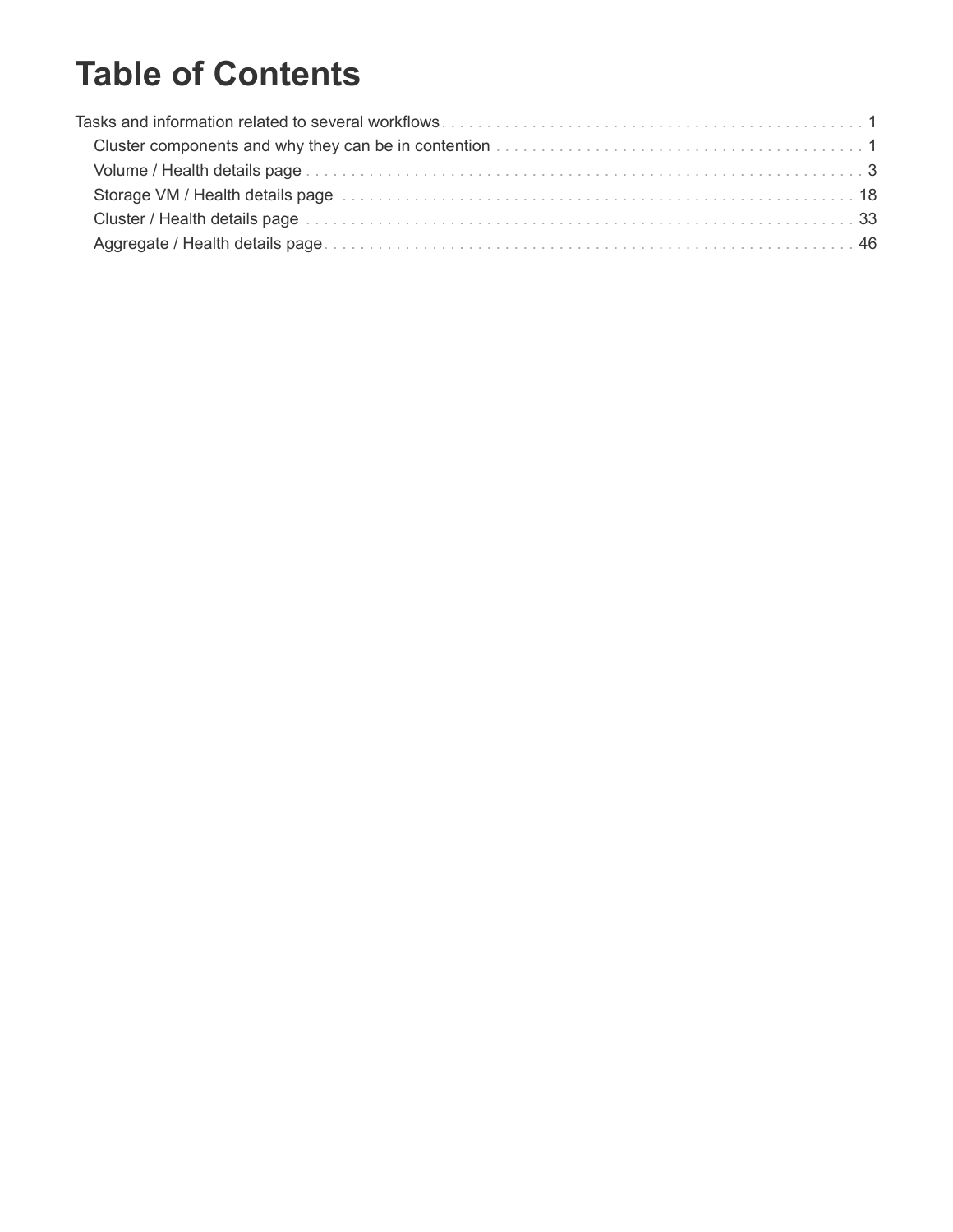# **Table of Contents**

| 81 Storage VM / Health details page entertainment containment containment and the Storage VM / Health details |  |
|---------------------------------------------------------------------------------------------------------------|--|
|                                                                                                               |  |
|                                                                                                               |  |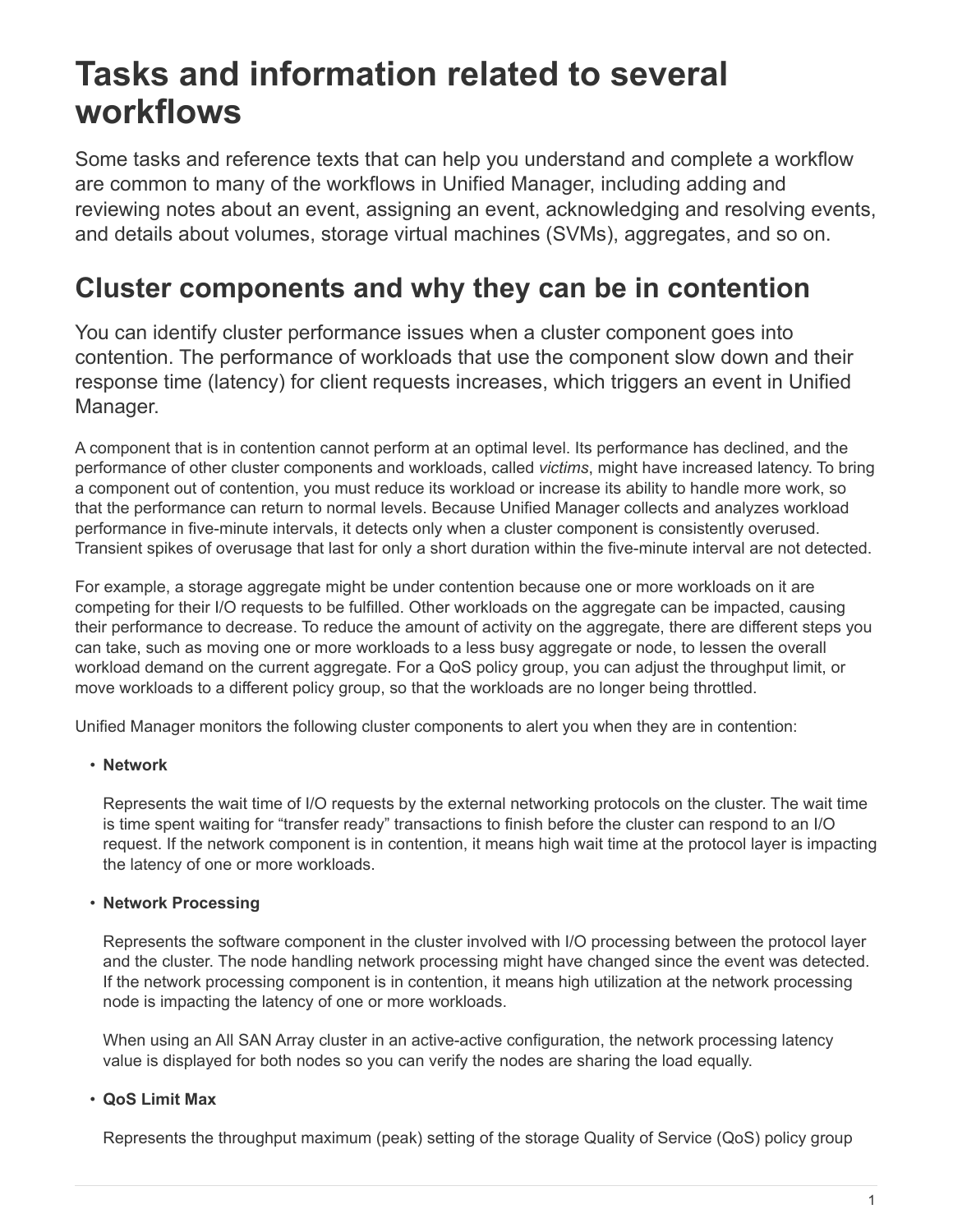# <span id="page-2-0"></span>**Tasks and information related to several workflows**

Some tasks and reference texts that can help you understand and complete a workflow are common to many of the workflows in Unified Manager, including adding and reviewing notes about an event, assigning an event, acknowledging and resolving events, and details about volumes, storage virtual machines (SVMs), aggregates, and so on.

# <span id="page-2-1"></span>**Cluster components and why they can be in contention**

You can identify cluster performance issues when a cluster component goes into contention. The performance of workloads that use the component slow down and their response time (latency) for client requests increases, which triggers an event in Unified Manager.

A component that is in contention cannot perform at an optimal level. Its performance has declined, and the performance of other cluster components and workloads, called *victims*, might have increased latency. To bring a component out of contention, you must reduce its workload or increase its ability to handle more work, so that the performance can return to normal levels. Because Unified Manager collects and analyzes workload performance in five-minute intervals, it detects only when a cluster component is consistently overused. Transient spikes of overusage that last for only a short duration within the five-minute interval are not detected.

For example, a storage aggregate might be under contention because one or more workloads on it are competing for their I/O requests to be fulfilled. Other workloads on the aggregate can be impacted, causing their performance to decrease. To reduce the amount of activity on the aggregate, there are different steps you can take, such as moving one or more workloads to a less busy aggregate or node, to lessen the overall workload demand on the current aggregate. For a QoS policy group, you can adjust the throughput limit, or move workloads to a different policy group, so that the workloads are no longer being throttled.

Unified Manager monitors the following cluster components to alert you when they are in contention:

#### • **Network**

Represents the wait time of I/O requests by the external networking protocols on the cluster. The wait time is time spent waiting for "transfer ready" transactions to finish before the cluster can respond to an I/O request. If the network component is in contention, it means high wait time at the protocol layer is impacting the latency of one or more workloads.

#### • **Network Processing**

Represents the software component in the cluster involved with I/O processing between the protocol layer and the cluster. The node handling network processing might have changed since the event was detected. If the network processing component is in contention, it means high utilization at the network processing node is impacting the latency of one or more workloads.

When using an All SAN Array cluster in an active-active configuration, the network processing latency value is displayed for both nodes so you can verify the nodes are sharing the load equally.

#### • **QoS Limit Max**

Represents the throughput maximum (peak) setting of the storage Quality of Service (QoS) policy group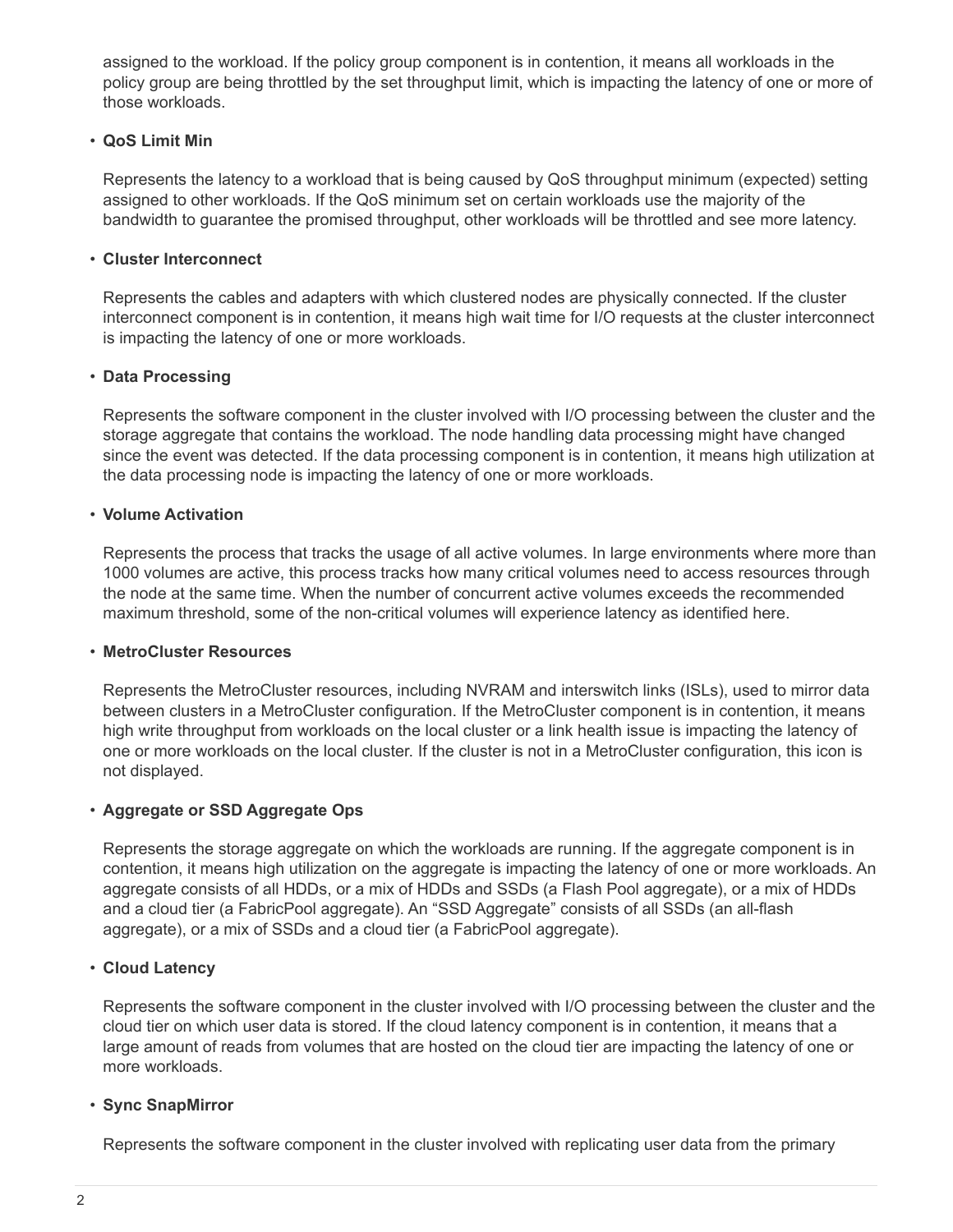assigned to the workload. If the policy group component is in contention, it means all workloads in the policy group are being throttled by the set throughput limit, which is impacting the latency of one or more of those workloads.

#### • **QoS Limit Min**

Represents the latency to a workload that is being caused by QoS throughput minimum (expected) setting assigned to other workloads. If the QoS minimum set on certain workloads use the majority of the bandwidth to guarantee the promised throughput, other workloads will be throttled and see more latency.

#### • **Cluster Interconnect**

Represents the cables and adapters with which clustered nodes are physically connected. If the cluster interconnect component is in contention, it means high wait time for I/O requests at the cluster interconnect is impacting the latency of one or more workloads.

#### • **Data Processing**

Represents the software component in the cluster involved with I/O processing between the cluster and the storage aggregate that contains the workload. The node handling data processing might have changed since the event was detected. If the data processing component is in contention, it means high utilization at the data processing node is impacting the latency of one or more workloads.

#### • **Volume Activation**

Represents the process that tracks the usage of all active volumes. In large environments where more than 1000 volumes are active, this process tracks how many critical volumes need to access resources through the node at the same time. When the number of concurrent active volumes exceeds the recommended maximum threshold, some of the non-critical volumes will experience latency as identified here.

#### • **MetroCluster Resources**

Represents the MetroCluster resources, including NVRAM and interswitch links (ISLs), used to mirror data between clusters in a MetroCluster configuration. If the MetroCluster component is in contention, it means high write throughput from workloads on the local cluster or a link health issue is impacting the latency of one or more workloads on the local cluster. If the cluster is not in a MetroCluster configuration, this icon is not displayed.

#### • **Aggregate or SSD Aggregate Ops**

Represents the storage aggregate on which the workloads are running. If the aggregate component is in contention, it means high utilization on the aggregate is impacting the latency of one or more workloads. An aggregate consists of all HDDs, or a mix of HDDs and SSDs (a Flash Pool aggregate), or a mix of HDDs and a cloud tier (a FabricPool aggregate). An "SSD Aggregate" consists of all SSDs (an all-flash aggregate), or a mix of SSDs and a cloud tier (a FabricPool aggregate).

#### • **Cloud Latency**

Represents the software component in the cluster involved with I/O processing between the cluster and the cloud tier on which user data is stored. If the cloud latency component is in contention, it means that a large amount of reads from volumes that are hosted on the cloud tier are impacting the latency of one or more workloads.

#### • **Sync SnapMirror**

Represents the software component in the cluster involved with replicating user data from the primary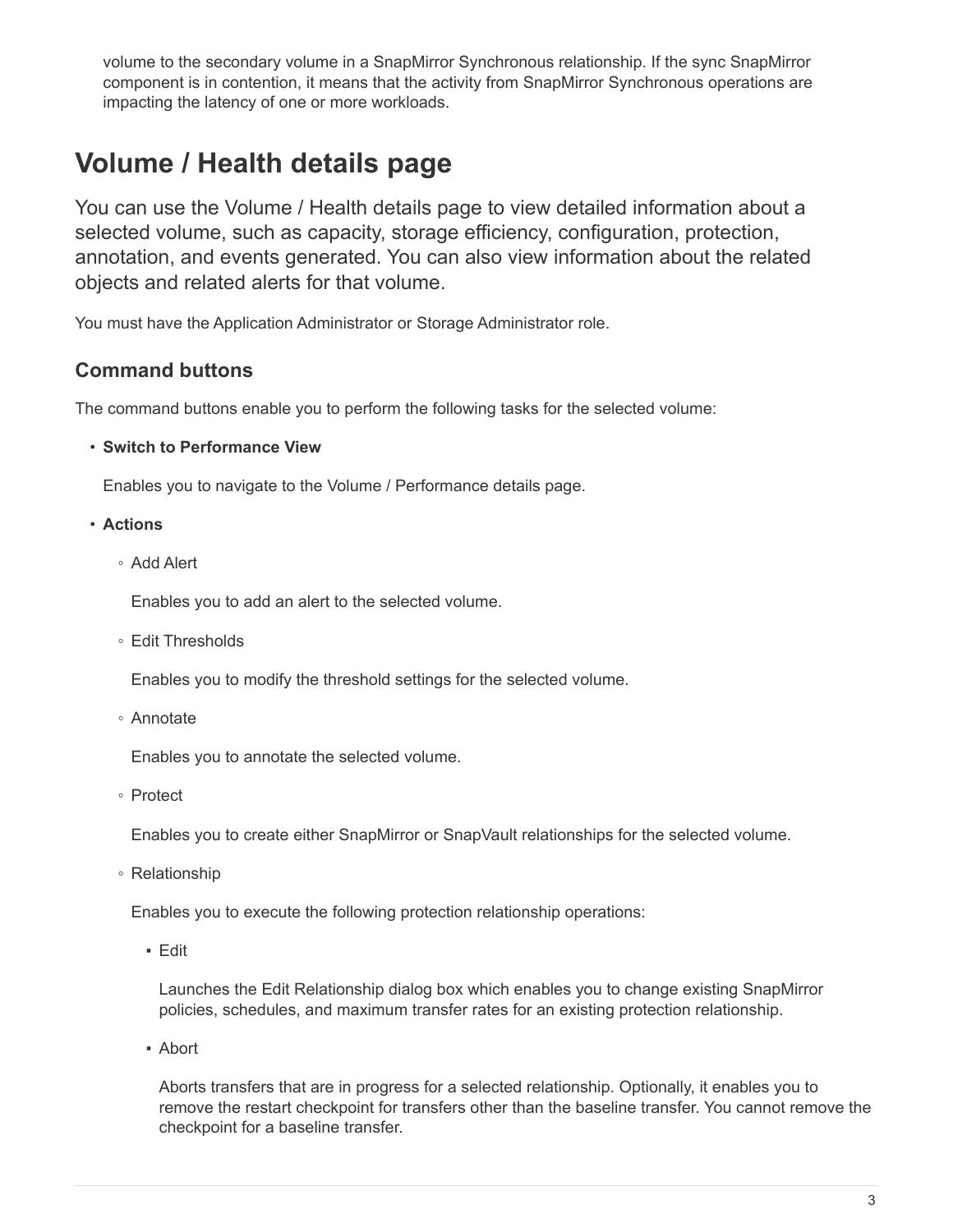volume to the secondary volume in a SnapMirror Synchronous relationship. If the sync SnapMirror component is in contention, it means that the activity from SnapMirror Synchronous operations are impacting the latency of one or more workloads.

# <span id="page-4-0"></span>**Volume / Health details page**

You can use the Volume / Health details page to view detailed information about a selected volume, such as capacity, storage efficiency, configuration, protection, annotation, and events generated. You can also view information about the related objects and related alerts for that volume.

You must have the Application Administrator or Storage Administrator role.

### **Command buttons**

The command buttons enable you to perform the following tasks for the selected volume:

• **Switch to Performance View**

Enables you to navigate to the Volume / Performance details page.

- **Actions**
	- Add Alert

Enables you to add an alert to the selected volume.

◦ Edit Thresholds

Enables you to modify the threshold settings for the selected volume.

◦ Annotate

Enables you to annotate the selected volume.

◦ Protect

Enables you to create either SnapMirror or SnapVault relationships for the selected volume.

◦ Relationship

Enables you to execute the following protection relationship operations:

▪ Edit

Launches the Edit Relationship dialog box which enables you to change existing SnapMirror policies, schedules, and maximum transfer rates for an existing protection relationship.

▪ Abort

Aborts transfers that are in progress for a selected relationship. Optionally, it enables you to remove the restart checkpoint for transfers other than the baseline transfer. You cannot remove the checkpoint for a baseline transfer.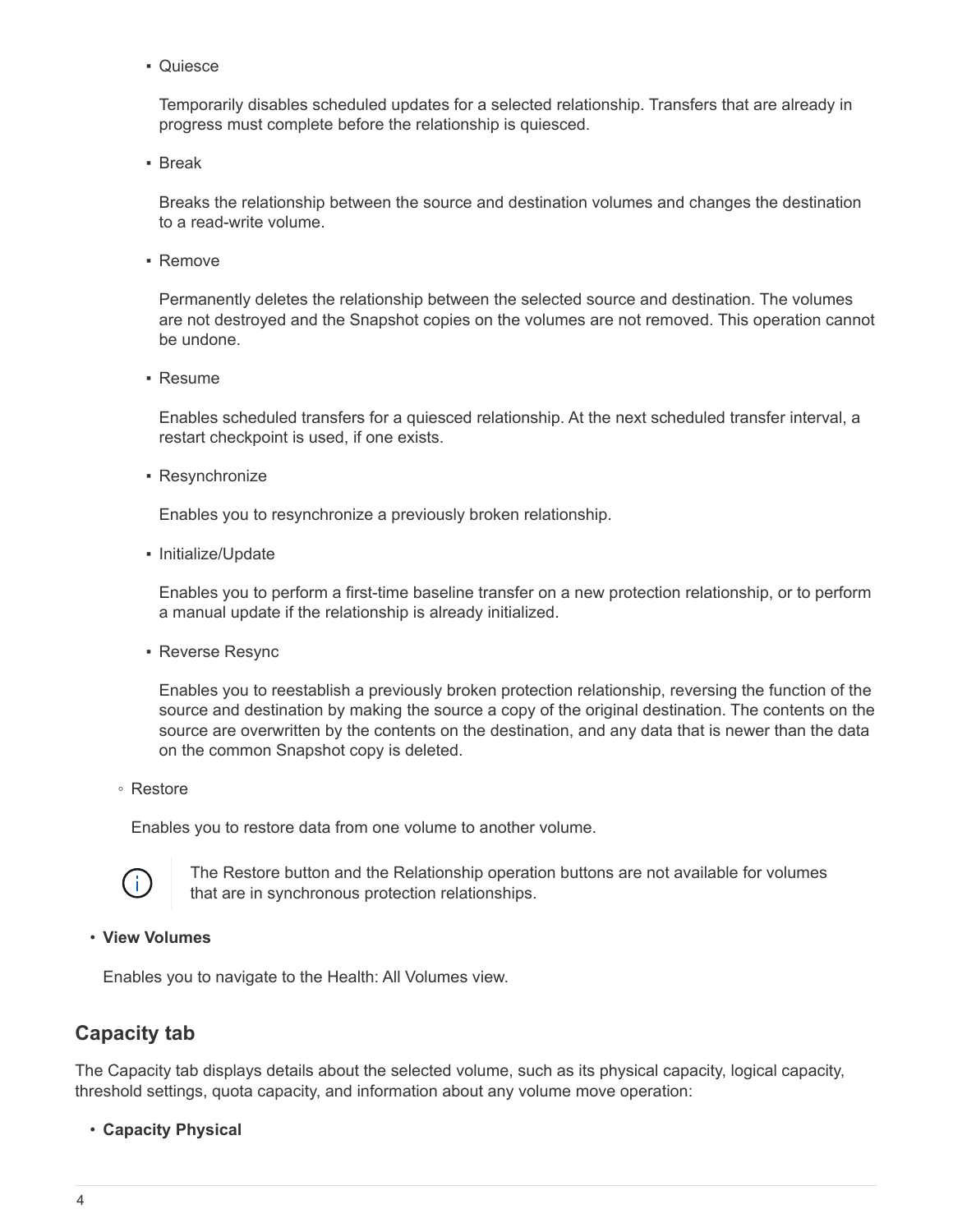▪ Quiesce

Temporarily disables scheduled updates for a selected relationship. Transfers that are already in progress must complete before the relationship is quiesced.

▪ Break

Breaks the relationship between the source and destination volumes and changes the destination to a read-write volume.

▪ Remove

Permanently deletes the relationship between the selected source and destination. The volumes are not destroyed and the Snapshot copies on the volumes are not removed. This operation cannot be undone.

▪ Resume

Enables scheduled transfers for a quiesced relationship. At the next scheduled transfer interval, a restart checkpoint is used, if one exists.

• Resynchronize

Enables you to resynchronize a previously broken relationship.

▪ Initialize/Update

Enables you to perform a first-time baseline transfer on a new protection relationship, or to perform a manual update if the relationship is already initialized.

**Reverse Resync** 

Enables you to reestablish a previously broken protection relationship, reversing the function of the source and destination by making the source a copy of the original destination. The contents on the source are overwritten by the contents on the destination, and any data that is newer than the data on the common Snapshot copy is deleted.

◦ Restore

Enables you to restore data from one volume to another volume.



The Restore button and the Relationship operation buttons are not available for volumes that are in synchronous protection relationships.

#### • **View Volumes**

Enables you to navigate to the Health: All Volumes view.

### **Capacity tab**

The Capacity tab displays details about the selected volume, such as its physical capacity, logical capacity, threshold settings, quota capacity, and information about any volume move operation:

• **Capacity Physical**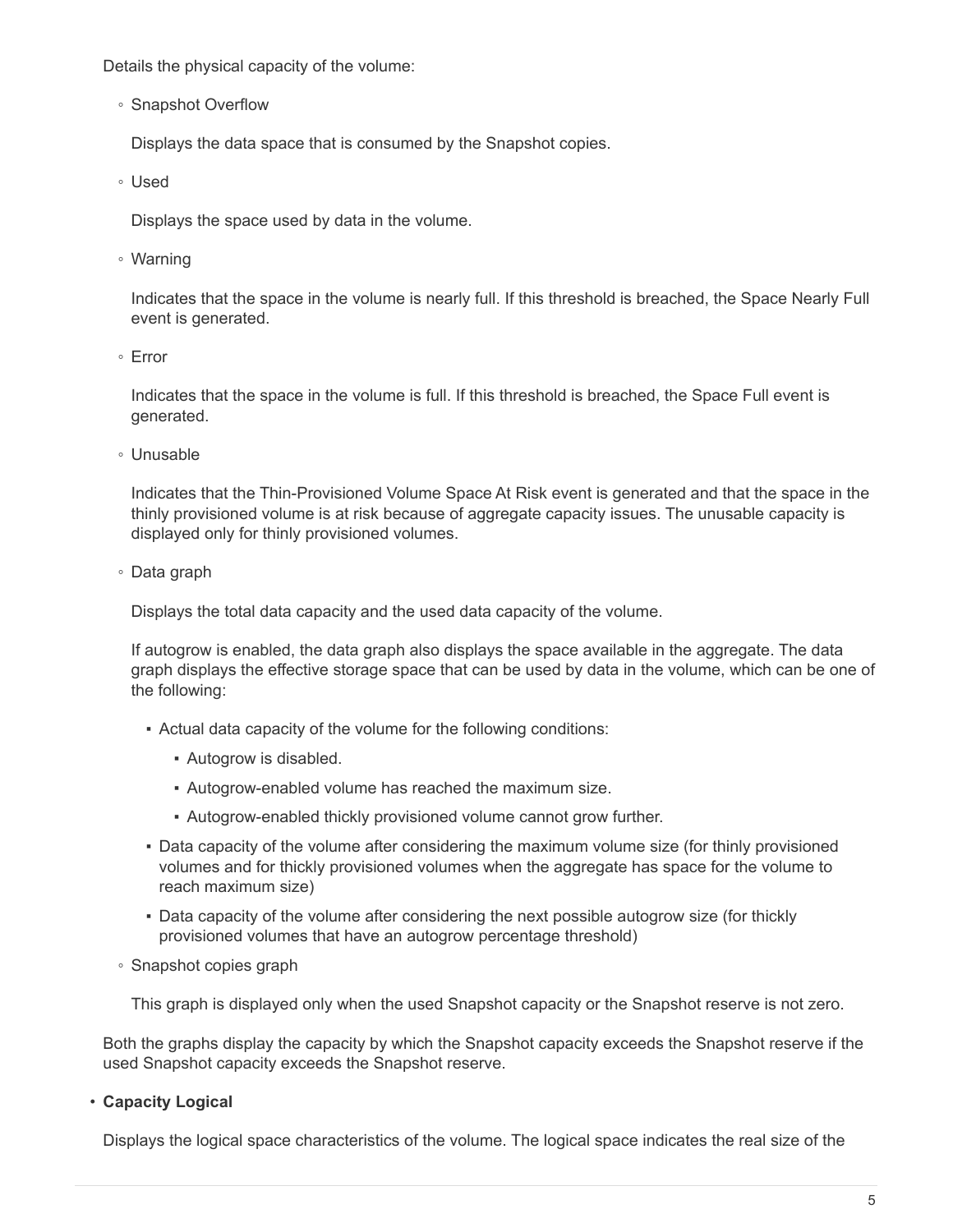Details the physical capacity of the volume:

◦ Snapshot Overflow

Displays the data space that is consumed by the Snapshot copies.

◦ Used

Displays the space used by data in the volume.

◦ Warning

Indicates that the space in the volume is nearly full. If this threshold is breached, the Space Nearly Full event is generated.

◦ Error

Indicates that the space in the volume is full. If this threshold is breached, the Space Full event is generated.

◦ Unusable

Indicates that the Thin-Provisioned Volume Space At Risk event is generated and that the space in the thinly provisioned volume is at risk because of aggregate capacity issues. The unusable capacity is displayed only for thinly provisioned volumes.

◦ Data graph

Displays the total data capacity and the used data capacity of the volume.

If autogrow is enabled, the data graph also displays the space available in the aggregate. The data graph displays the effective storage space that can be used by data in the volume, which can be one of the following:

- Actual data capacity of the volume for the following conditions:
	- Autogrow is disabled.
	- Autogrow-enabled volume has reached the maximum size.
	- Autogrow-enabled thickly provisioned volume cannot grow further.
- Data capacity of the volume after considering the maximum volume size (for thinly provisioned volumes and for thickly provisioned volumes when the aggregate has space for the volume to reach maximum size)
- Data capacity of the volume after considering the next possible autogrow size (for thickly provisioned volumes that have an autogrow percentage threshold)
- Snapshot copies graph

This graph is displayed only when the used Snapshot capacity or the Snapshot reserve is not zero.

Both the graphs display the capacity by which the Snapshot capacity exceeds the Snapshot reserve if the used Snapshot capacity exceeds the Snapshot reserve.

#### • **Capacity Logical**

Displays the logical space characteristics of the volume. The logical space indicates the real size of the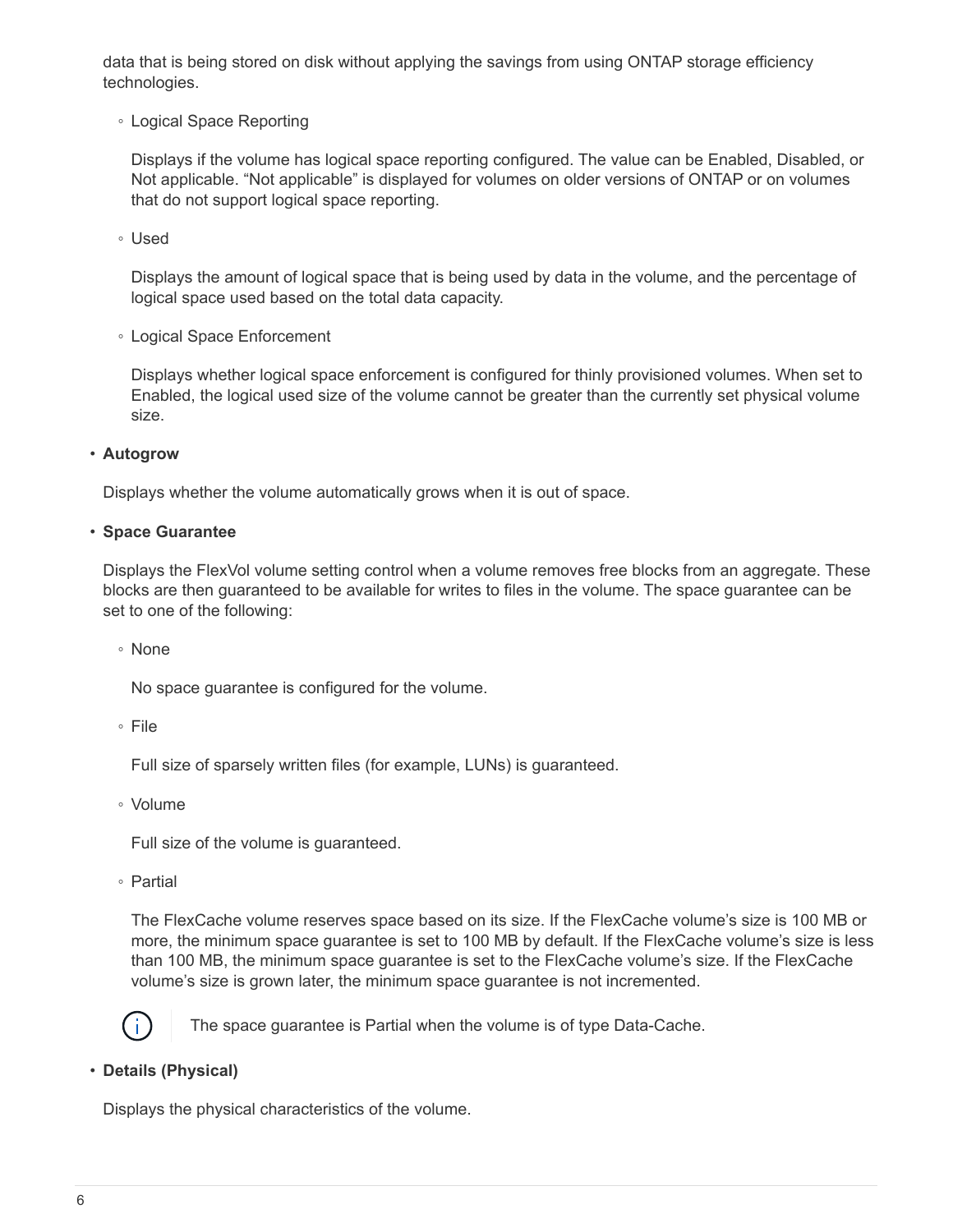data that is being stored on disk without applying the savings from using ONTAP storage efficiency technologies.

◦ Logical Space Reporting

Displays if the volume has logical space reporting configured. The value can be Enabled, Disabled, or Not applicable. "Not applicable" is displayed for volumes on older versions of ONTAP or on volumes that do not support logical space reporting.

◦ Used

Displays the amount of logical space that is being used by data in the volume, and the percentage of logical space used based on the total data capacity.

◦ Logical Space Enforcement

Displays whether logical space enforcement is configured for thinly provisioned volumes. When set to Enabled, the logical used size of the volume cannot be greater than the currently set physical volume size.

• **Autogrow**

Displays whether the volume automatically grows when it is out of space.

#### • **Space Guarantee**

Displays the FlexVol volume setting control when a volume removes free blocks from an aggregate. These blocks are then guaranteed to be available for writes to files in the volume. The space guarantee can be set to one of the following:

◦ None

No space guarantee is configured for the volume.

◦ File

Full size of sparsely written files (for example, LUNs) is guaranteed.

◦ Volume

Full size of the volume is guaranteed.

◦ Partial

The FlexCache volume reserves space based on its size. If the FlexCache volume's size is 100 MB or more, the minimum space guarantee is set to 100 MB by default. If the FlexCache volume's size is less than 100 MB, the minimum space guarantee is set to the FlexCache volume's size. If the FlexCache volume's size is grown later, the minimum space guarantee is not incremented.



The space guarantee is Partial when the volume is of type Data-Cache.

#### • **Details (Physical)**

Displays the physical characteristics of the volume.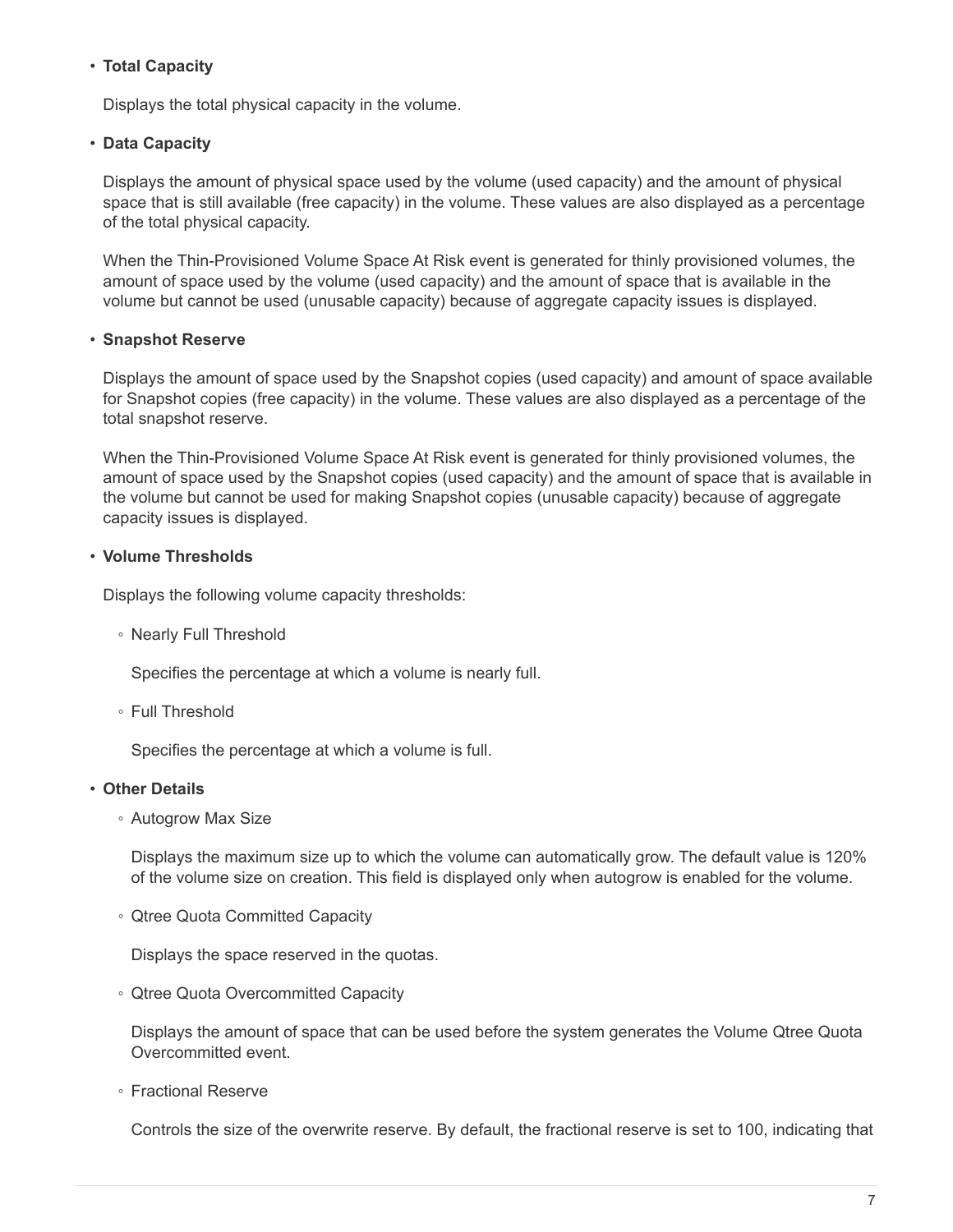#### • **Total Capacity**

Displays the total physical capacity in the volume.

#### • **Data Capacity**

Displays the amount of physical space used by the volume (used capacity) and the amount of physical space that is still available (free capacity) in the volume. These values are also displayed as a percentage of the total physical capacity.

When the Thin-Provisioned Volume Space At Risk event is generated for thinly provisioned volumes, the amount of space used by the volume (used capacity) and the amount of space that is available in the volume but cannot be used (unusable capacity) because of aggregate capacity issues is displayed.

#### • **Snapshot Reserve**

Displays the amount of space used by the Snapshot copies (used capacity) and amount of space available for Snapshot copies (free capacity) in the volume. These values are also displayed as a percentage of the total snapshot reserve.

When the Thin-Provisioned Volume Space At Risk event is generated for thinly provisioned volumes, the amount of space used by the Snapshot copies (used capacity) and the amount of space that is available in the volume but cannot be used for making Snapshot copies (unusable capacity) because of aggregate capacity issues is displayed.

#### • **Volume Thresholds**

Displays the following volume capacity thresholds:

◦ Nearly Full Threshold

Specifies the percentage at which a volume is nearly full.

◦ Full Threshold

Specifies the percentage at which a volume is full.

#### • **Other Details**

◦ Autogrow Max Size

Displays the maximum size up to which the volume can automatically grow. The default value is 120% of the volume size on creation. This field is displayed only when autogrow is enabled for the volume.

◦ Qtree Quota Committed Capacity

Displays the space reserved in the quotas.

◦ Qtree Quota Overcommitted Capacity

Displays the amount of space that can be used before the system generates the Volume Qtree Quota Overcommitted event.

◦ Fractional Reserve

Controls the size of the overwrite reserve. By default, the fractional reserve is set to 100, indicating that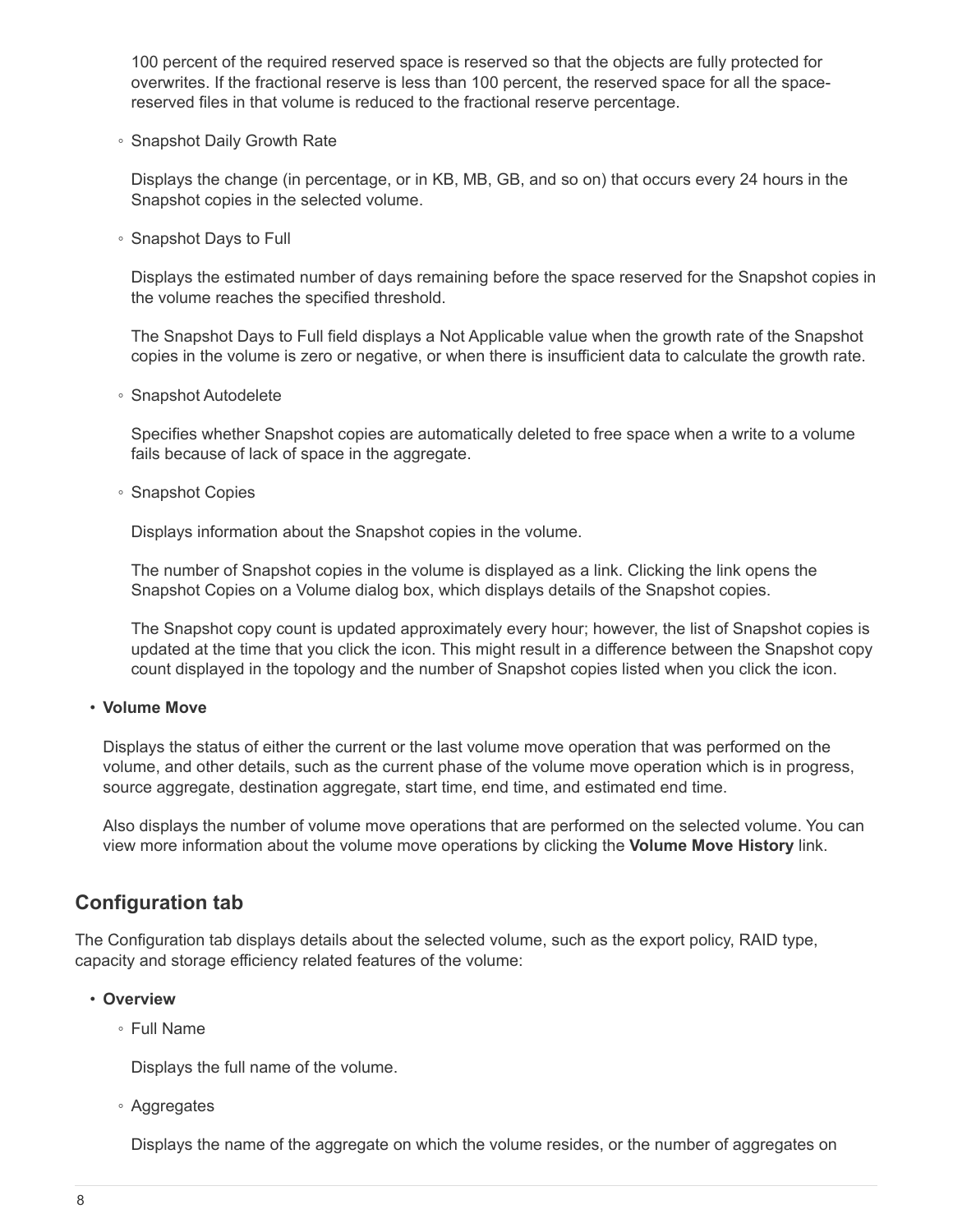100 percent of the required reserved space is reserved so that the objects are fully protected for overwrites. If the fractional reserve is less than 100 percent, the reserved space for all the spacereserved files in that volume is reduced to the fractional reserve percentage.

◦ Snapshot Daily Growth Rate

Displays the change (in percentage, or in KB, MB, GB, and so on) that occurs every 24 hours in the Snapshot copies in the selected volume.

◦ Snapshot Days to Full

Displays the estimated number of days remaining before the space reserved for the Snapshot copies in the volume reaches the specified threshold.

The Snapshot Days to Full field displays a Not Applicable value when the growth rate of the Snapshot copies in the volume is zero or negative, or when there is insufficient data to calculate the growth rate.

◦ Snapshot Autodelete

Specifies whether Snapshot copies are automatically deleted to free space when a write to a volume fails because of lack of space in the aggregate.

◦ Snapshot Copies

Displays information about the Snapshot copies in the volume.

The number of Snapshot copies in the volume is displayed as a link. Clicking the link opens the Snapshot Copies on a Volume dialog box, which displays details of the Snapshot copies.

The Snapshot copy count is updated approximately every hour; however, the list of Snapshot copies is updated at the time that you click the icon. This might result in a difference between the Snapshot copy count displayed in the topology and the number of Snapshot copies listed when you click the icon.

#### • **Volume Move**

Displays the status of either the current or the last volume move operation that was performed on the volume, and other details, such as the current phase of the volume move operation which is in progress, source aggregate, destination aggregate, start time, end time, and estimated end time.

Also displays the number of volume move operations that are performed on the selected volume. You can view more information about the volume move operations by clicking the **Volume Move History** link.

### **Configuration tab**

The Configuration tab displays details about the selected volume, such as the export policy, RAID type, capacity and storage efficiency related features of the volume:

#### • **Overview**

◦ Full Name

Displays the full name of the volume.

◦ Aggregates

Displays the name of the aggregate on which the volume resides, or the number of aggregates on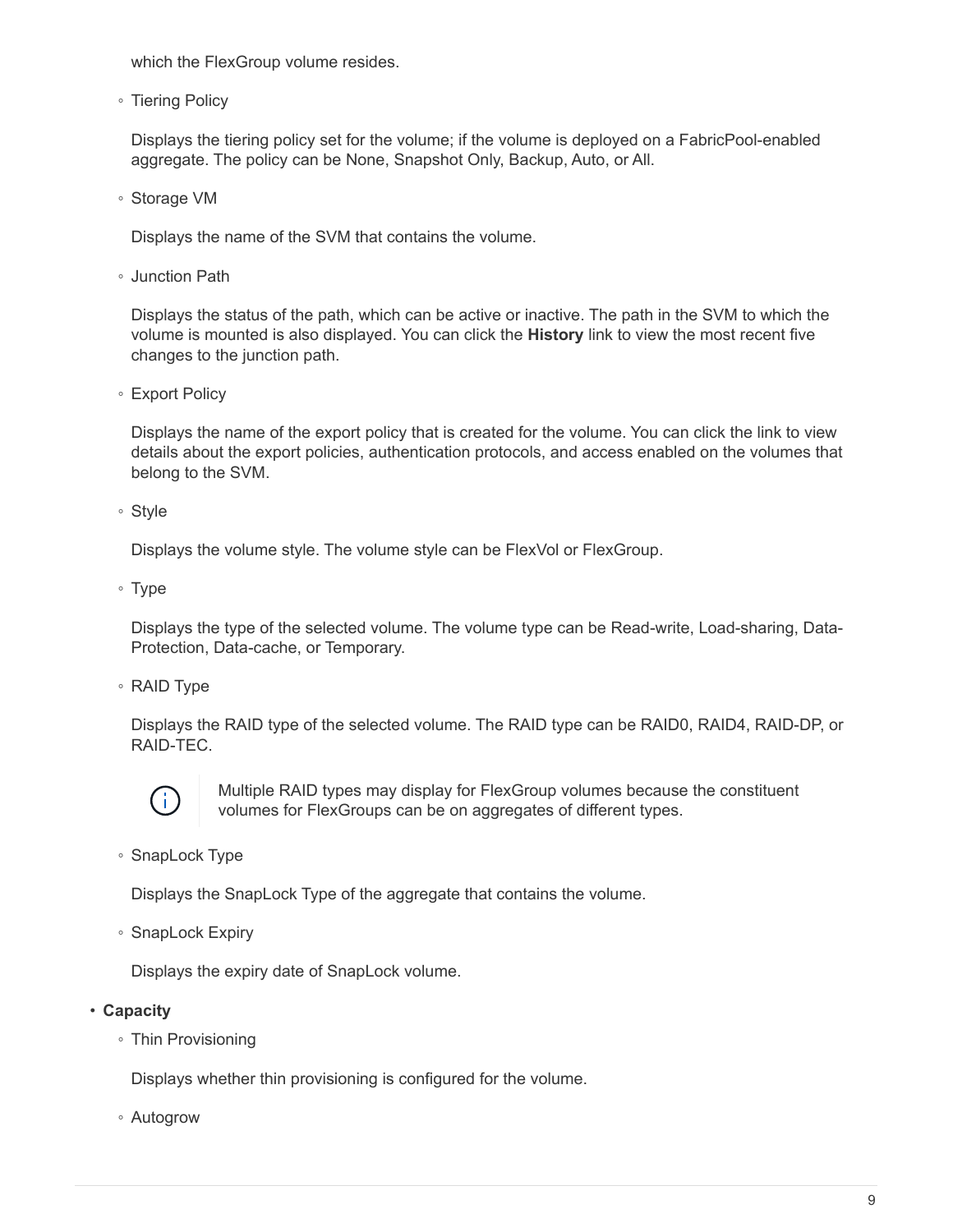which the FlexGroup volume resides.

◦ Tiering Policy

Displays the tiering policy set for the volume; if the volume is deployed on a FabricPool-enabled aggregate. The policy can be None, Snapshot Only, Backup, Auto, or All.

◦ Storage VM

Displays the name of the SVM that contains the volume.

◦ Junction Path

Displays the status of the path, which can be active or inactive. The path in the SVM to which the volume is mounted is also displayed. You can click the **History** link to view the most recent five changes to the junction path.

◦ Export Policy

Displays the name of the export policy that is created for the volume. You can click the link to view details about the export policies, authentication protocols, and access enabled on the volumes that belong to the SVM.

◦ Style

Displays the volume style. The volume style can be FlexVol or FlexGroup.

◦ Type

Displays the type of the selected volume. The volume type can be Read-write, Load-sharing, Data-Protection, Data-cache, or Temporary.

◦ RAID Type

Displays the RAID type of the selected volume. The RAID type can be RAID0, RAID4, RAID-DP, or RAID-TEC.



Multiple RAID types may display for FlexGroup volumes because the constituent volumes for FlexGroups can be on aggregates of different types.

◦ SnapLock Type

Displays the SnapLock Type of the aggregate that contains the volume.

◦ SnapLock Expiry

Displays the expiry date of SnapLock volume.

• **Capacity**

◦ Thin Provisioning

Displays whether thin provisioning is configured for the volume.

◦ Autogrow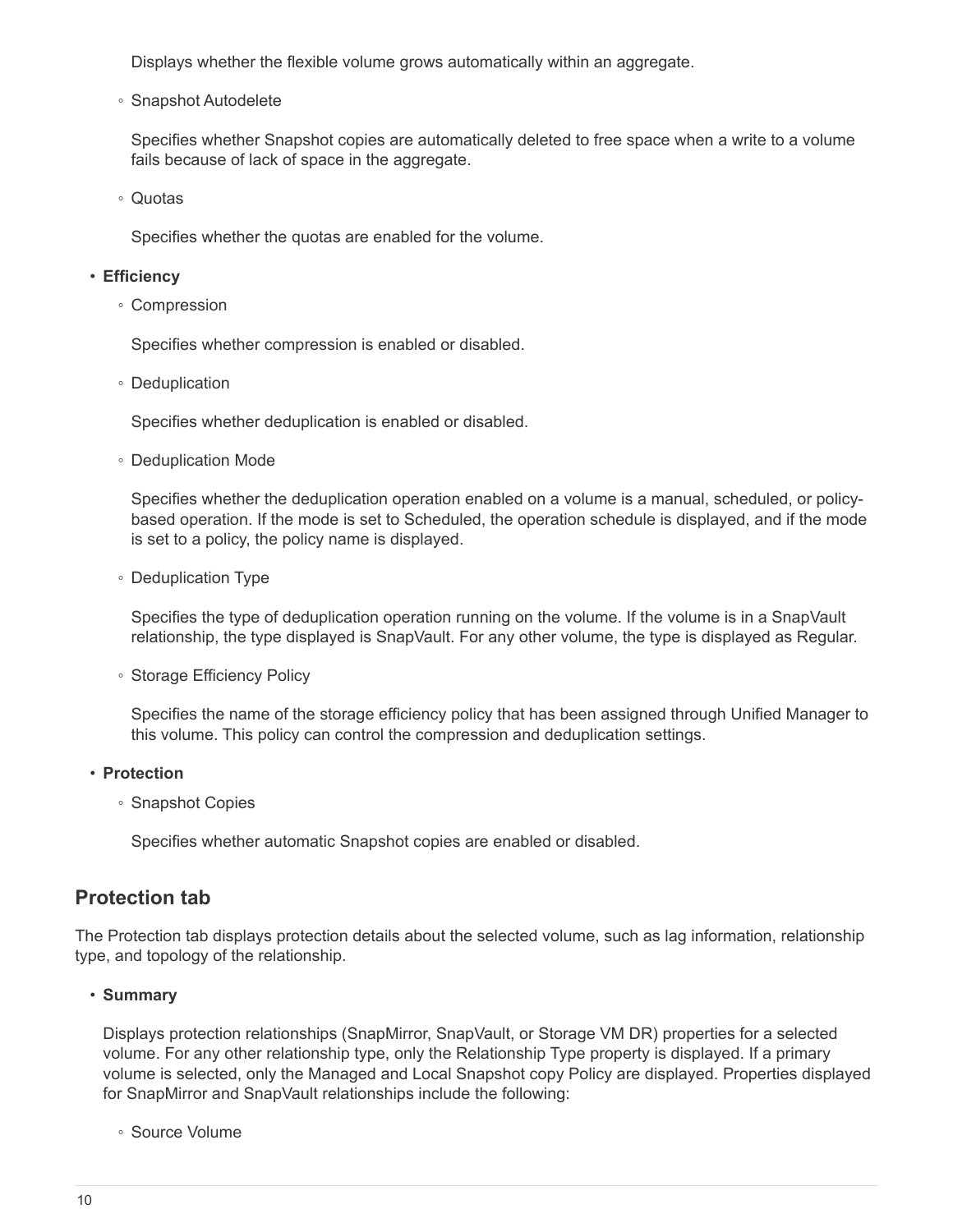Displays whether the flexible volume grows automatically within an aggregate.

◦ Snapshot Autodelete

Specifies whether Snapshot copies are automatically deleted to free space when a write to a volume fails because of lack of space in the aggregate.

◦ Quotas

Specifies whether the quotas are enabled for the volume.

#### • **Efficiency**

◦ Compression

Specifies whether compression is enabled or disabled.

◦ Deduplication

Specifies whether deduplication is enabled or disabled.

◦ Deduplication Mode

Specifies whether the deduplication operation enabled on a volume is a manual, scheduled, or policybased operation. If the mode is set to Scheduled, the operation schedule is displayed, and if the mode is set to a policy, the policy name is displayed.

◦ Deduplication Type

Specifies the type of deduplication operation running on the volume. If the volume is in a SnapVault relationship, the type displayed is SnapVault. For any other volume, the type is displayed as Regular.

◦ Storage Efficiency Policy

Specifies the name of the storage efficiency policy that has been assigned through Unified Manager to this volume. This policy can control the compression and deduplication settings.

#### • **Protection**

◦ Snapshot Copies

Specifies whether automatic Snapshot copies are enabled or disabled.

#### **Protection tab**

The Protection tab displays protection details about the selected volume, such as lag information, relationship type, and topology of the relationship.

#### • **Summary**

Displays protection relationships (SnapMirror, SnapVault, or Storage VM DR) properties for a selected volume. For any other relationship type, only the Relationship Type property is displayed. If a primary volume is selected, only the Managed and Local Snapshot copy Policy are displayed. Properties displayed for SnapMirror and SnapVault relationships include the following:

◦ Source Volume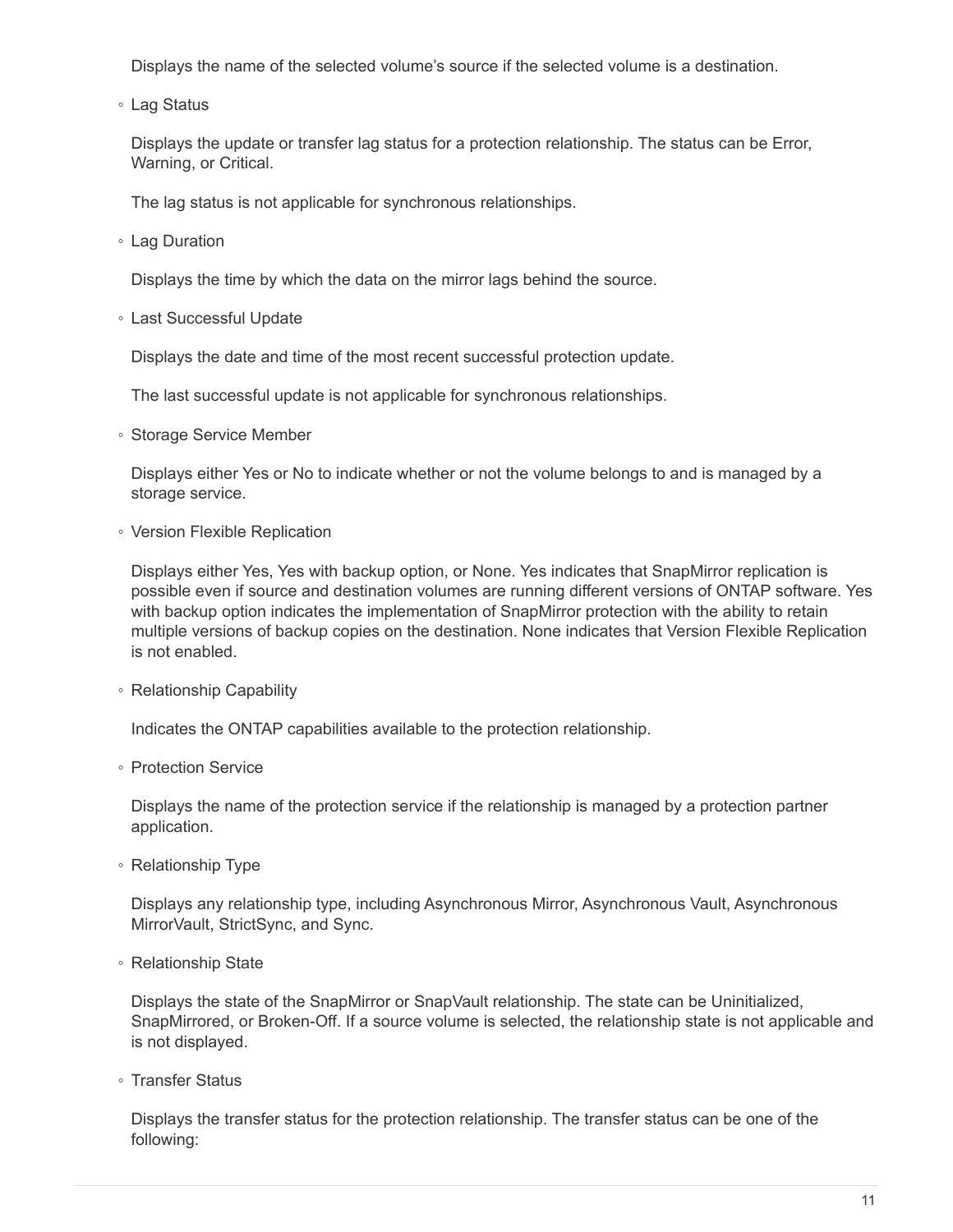Displays the name of the selected volume's source if the selected volume is a destination.

◦ Lag Status

Displays the update or transfer lag status for a protection relationship. The status can be Error, Warning, or Critical.

The lag status is not applicable for synchronous relationships.

◦ Lag Duration

Displays the time by which the data on the mirror lags behind the source.

◦ Last Successful Update

Displays the date and time of the most recent successful protection update.

The last successful update is not applicable for synchronous relationships.

◦ Storage Service Member

Displays either Yes or No to indicate whether or not the volume belongs to and is managed by a storage service.

◦ Version Flexible Replication

Displays either Yes, Yes with backup option, or None. Yes indicates that SnapMirror replication is possible even if source and destination volumes are running different versions of ONTAP software. Yes with backup option indicates the implementation of SnapMirror protection with the ability to retain multiple versions of backup copies on the destination. None indicates that Version Flexible Replication is not enabled.

◦ Relationship Capability

Indicates the ONTAP capabilities available to the protection relationship.

◦ Protection Service

Displays the name of the protection service if the relationship is managed by a protection partner application.

◦ Relationship Type

Displays any relationship type, including Asynchronous Mirror, Asynchronous Vault, Asynchronous MirrorVault, StrictSync, and Sync.

◦ Relationship State

Displays the state of the SnapMirror or SnapVault relationship. The state can be Uninitialized, SnapMirrored, or Broken-Off. If a source volume is selected, the relationship state is not applicable and is not displayed.

◦ Transfer Status

Displays the transfer status for the protection relationship. The transfer status can be one of the following: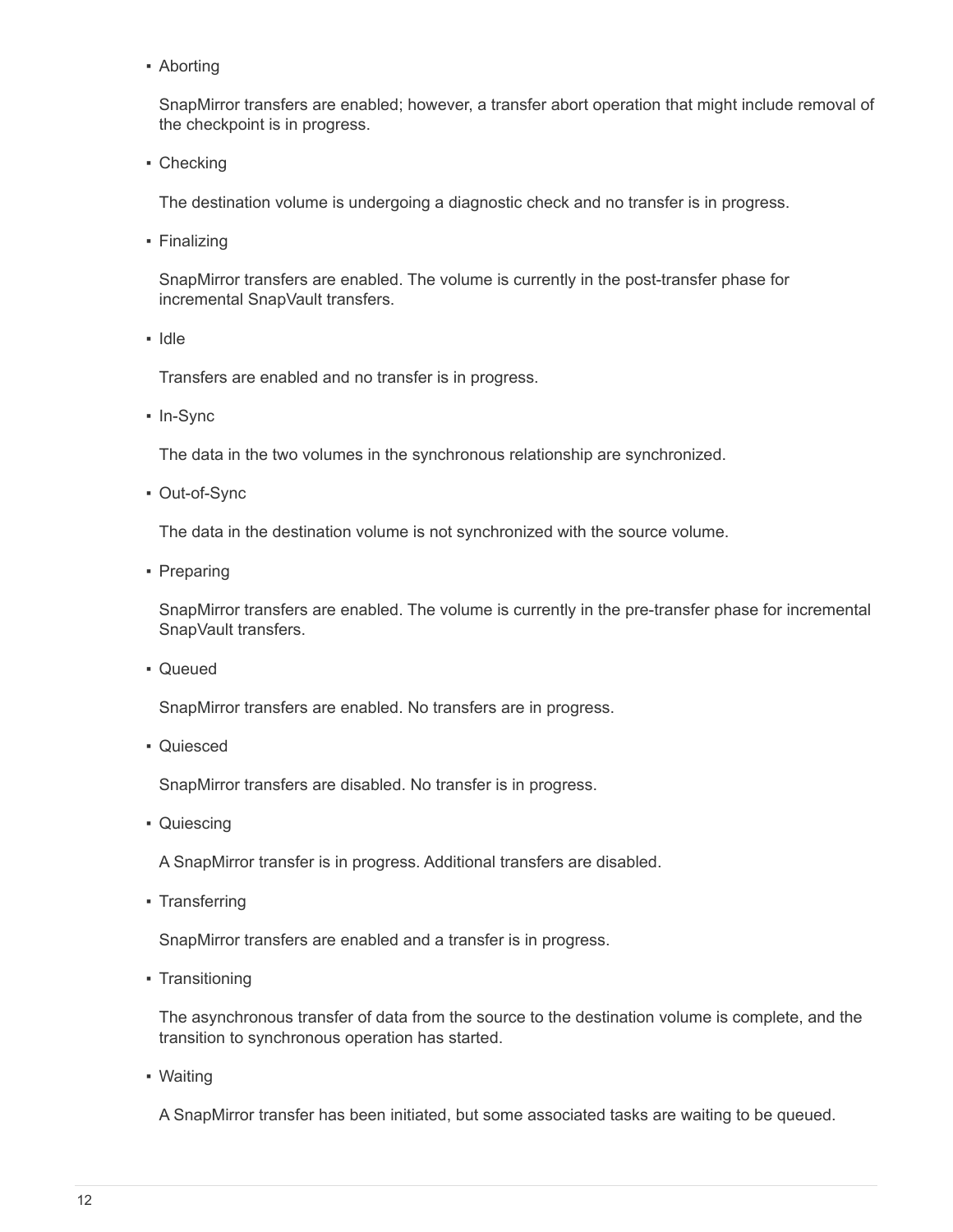**• Aborting** 

SnapMirror transfers are enabled; however, a transfer abort operation that might include removal of the checkpoint is in progress.

• Checking

The destination volume is undergoing a diagnostic check and no transfer is in progress.

• Finalizing

SnapMirror transfers are enabled. The volume is currently in the post-transfer phase for incremental SnapVault transfers.

▪ Idle

Transfers are enabled and no transfer is in progress.

▪ In-Sync

The data in the two volumes in the synchronous relationship are synchronized.

▪ Out-of-Sync

The data in the destination volume is not synchronized with the source volume.

• Preparing

SnapMirror transfers are enabled. The volume is currently in the pre-transfer phase for incremental SnapVault transfers.

▪ Queued

SnapMirror transfers are enabled. No transfers are in progress.

▪ Quiesced

SnapMirror transfers are disabled. No transfer is in progress.

• Quiescing

A SnapMirror transfer is in progress. Additional transfers are disabled.

▪ Transferring

SnapMirror transfers are enabled and a transfer is in progress.

• Transitioning

The asynchronous transfer of data from the source to the destination volume is complete, and the transition to synchronous operation has started.

▪ Waiting

A SnapMirror transfer has been initiated, but some associated tasks are waiting to be queued.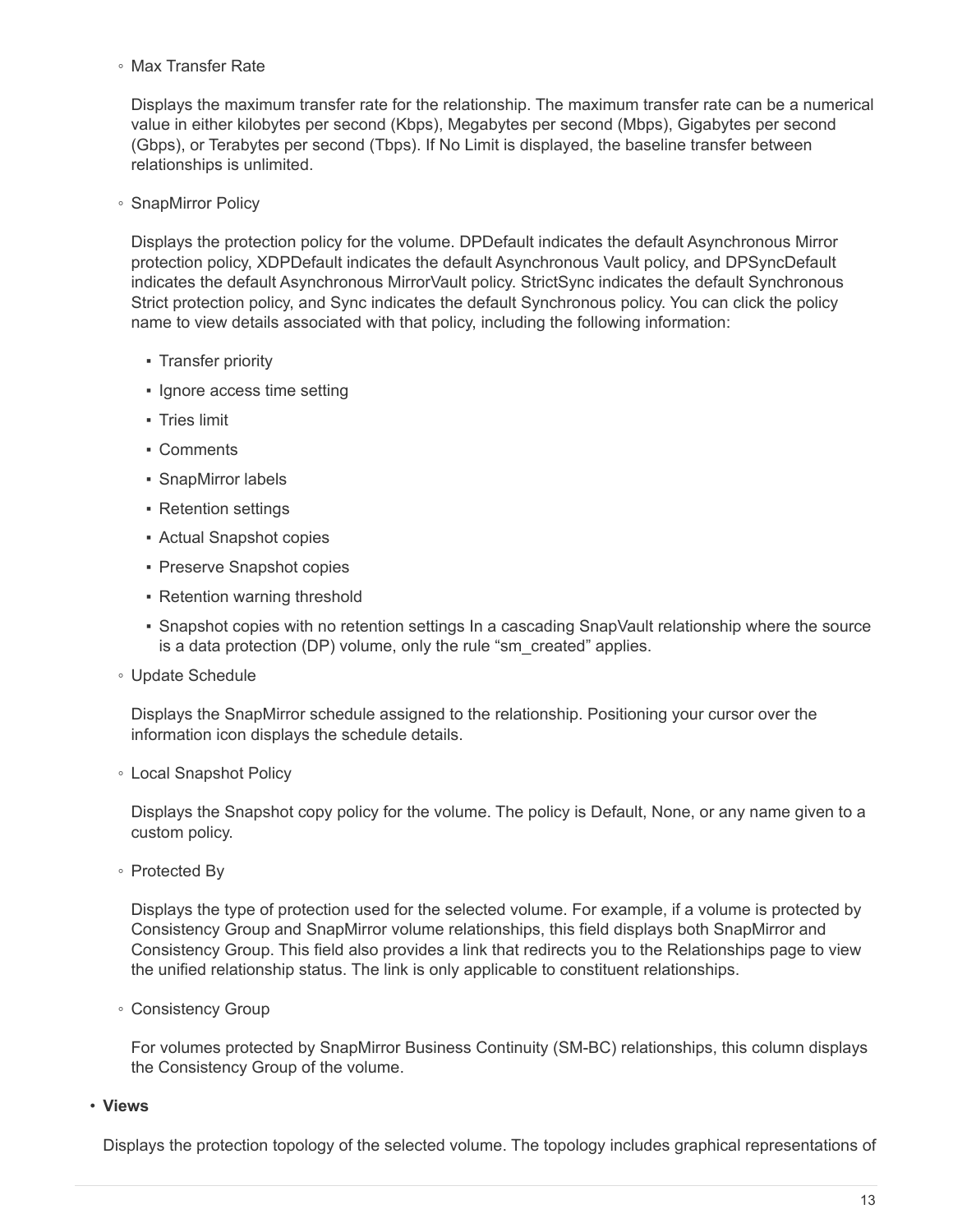◦ Max Transfer Rate

Displays the maximum transfer rate for the relationship. The maximum transfer rate can be a numerical value in either kilobytes per second (Kbps), Megabytes per second (Mbps), Gigabytes per second (Gbps), or Terabytes per second (Tbps). If No Limit is displayed, the baseline transfer between relationships is unlimited.

◦ SnapMirror Policy

Displays the protection policy for the volume. DPDefault indicates the default Asynchronous Mirror protection policy, XDPDefault indicates the default Asynchronous Vault policy, and DPSyncDefault indicates the default Asynchronous MirrorVault policy. StrictSync indicates the default Synchronous Strict protection policy, and Sync indicates the default Synchronous policy. You can click the policy name to view details associated with that policy, including the following information:

- Transfer priority
- Ignore access time setting
- Tries limit
- Comments
- SnapMirror labels
- Retention settings
- Actual Snapshot copies
- Preserve Snapshot copies
- Retention warning threshold
- Snapshot copies with no retention settings In a cascading SnapVault relationship where the source is a data protection (DP) volume, only the rule "sm\_created" applies.
- Update Schedule

Displays the SnapMirror schedule assigned to the relationship. Positioning your cursor over the information icon displays the schedule details.

◦ Local Snapshot Policy

Displays the Snapshot copy policy for the volume. The policy is Default, None, or any name given to a custom policy.

◦ Protected By

Displays the type of protection used for the selected volume. For example, if a volume is protected by Consistency Group and SnapMirror volume relationships, this field displays both SnapMirror and Consistency Group. This field also provides a link that redirects you to the Relationships page to view the unified relationship status. The link is only applicable to constituent relationships.

◦ Consistency Group

For volumes protected by SnapMirror Business Continuity (SM-BC) relationships, this column displays the Consistency Group of the volume.

• **Views**

Displays the protection topology of the selected volume. The topology includes graphical representations of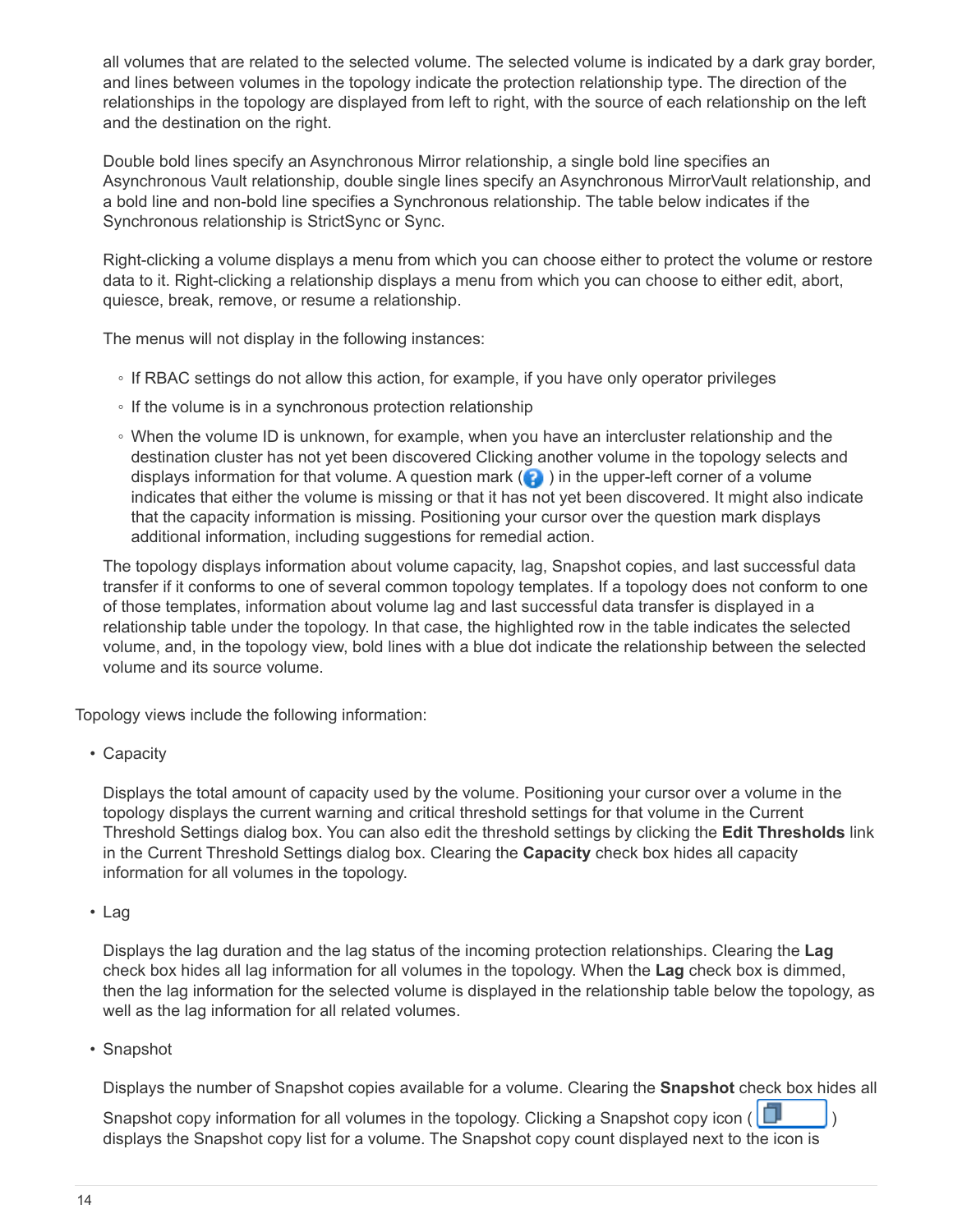all volumes that are related to the selected volume. The selected volume is indicated by a dark gray border, and lines between volumes in the topology indicate the protection relationship type. The direction of the relationships in the topology are displayed from left to right, with the source of each relationship on the left and the destination on the right.

Double bold lines specify an Asynchronous Mirror relationship, a single bold line specifies an Asynchronous Vault relationship, double single lines specify an Asynchronous MirrorVault relationship, and a bold line and non-bold line specifies a Synchronous relationship. The table below indicates if the Synchronous relationship is StrictSync or Sync.

Right-clicking a volume displays a menu from which you can choose either to protect the volume or restore data to it. Right-clicking a relationship displays a menu from which you can choose to either edit, abort, quiesce, break, remove, or resume a relationship.

The menus will not display in the following instances:

- If RBAC settings do not allow this action, for example, if you have only operator privileges
- If the volume is in a synchronous protection relationship
- When the volume ID is unknown, for example, when you have an intercluster relationship and the destination cluster has not yet been discovered Clicking another volume in the topology selects and displays information for that volume. A question mark  $\left( \bullet \right)$  in the upper-left corner of a volume indicates that either the volume is missing or that it has not yet been discovered. It might also indicate that the capacity information is missing. Positioning your cursor over the question mark displays additional information, including suggestions for remedial action.

The topology displays information about volume capacity, lag, Snapshot copies, and last successful data transfer if it conforms to one of several common topology templates. If a topology does not conform to one of those templates, information about volume lag and last successful data transfer is displayed in a relationship table under the topology. In that case, the highlighted row in the table indicates the selected volume, and, in the topology view, bold lines with a blue dot indicate the relationship between the selected volume and its source volume.

Topology views include the following information:

• Capacity

Displays the total amount of capacity used by the volume. Positioning your cursor over a volume in the topology displays the current warning and critical threshold settings for that volume in the Current Threshold Settings dialog box. You can also edit the threshold settings by clicking the **Edit Thresholds** link in the Current Threshold Settings dialog box. Clearing the **Capacity** check box hides all capacity information for all volumes in the topology.

• Lag

Displays the lag duration and the lag status of the incoming protection relationships. Clearing the **Lag** check box hides all lag information for all volumes in the topology. When the **Lag** check box is dimmed, then the lag information for the selected volume is displayed in the relationship table below the topology, as well as the lag information for all related volumes.

• Snapshot

Displays the number of Snapshot copies available for a volume. Clearing the **Snapshot** check box hides all

Snapshot copy information for all volumes in the topology. Clicking a Snapshot copy icon ( $\Box$ displays the Snapshot copy list for a volume. The Snapshot copy count displayed next to the icon is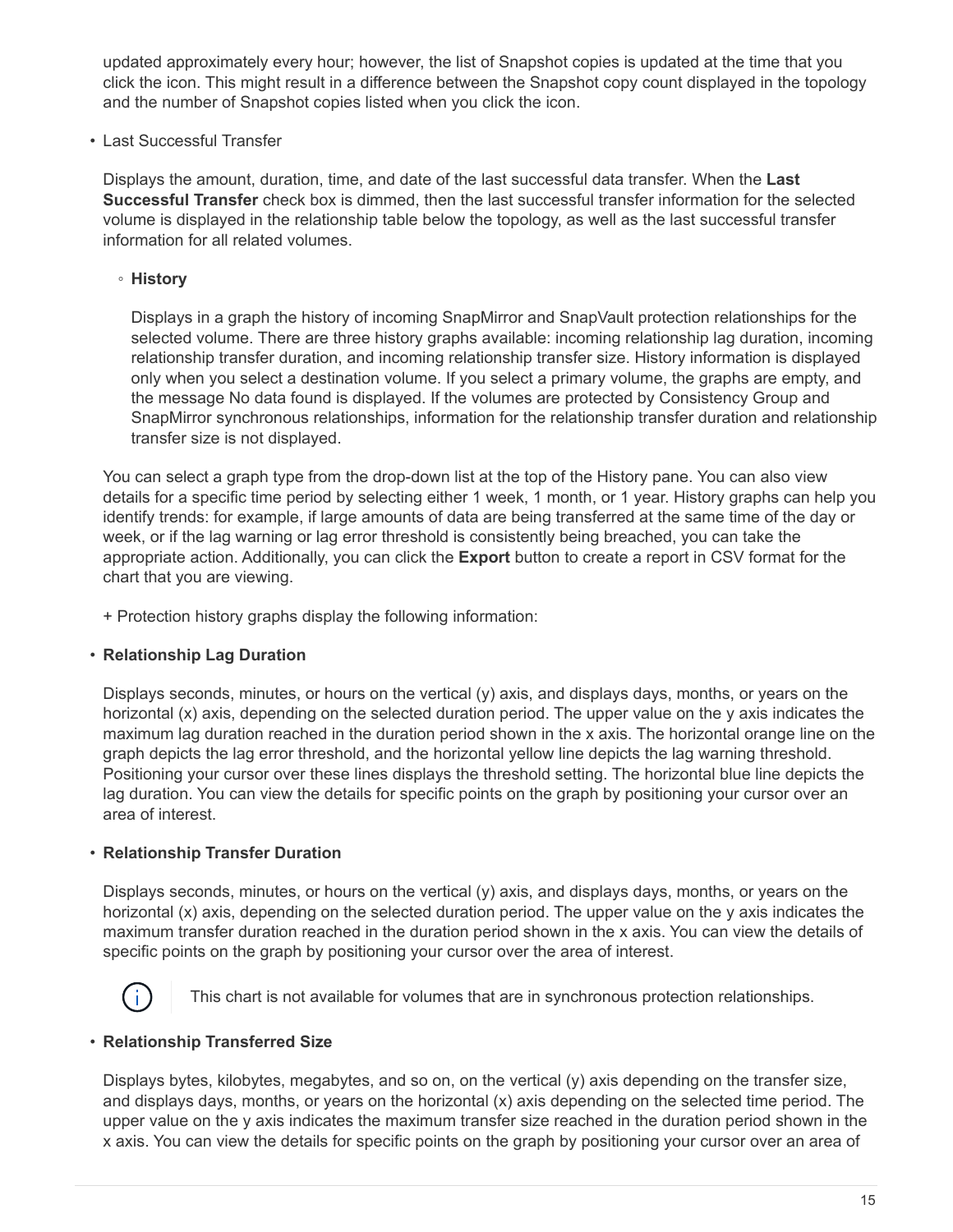updated approximately every hour; however, the list of Snapshot copies is updated at the time that you click the icon. This might result in a difference between the Snapshot copy count displayed in the topology and the number of Snapshot copies listed when you click the icon.

• Last Successful Transfer

Displays the amount, duration, time, and date of the last successful data transfer. When the **Last Successful Transfer** check box is dimmed, then the last successful transfer information for the selected volume is displayed in the relationship table below the topology, as well as the last successful transfer information for all related volumes.

◦ **History**

Displays in a graph the history of incoming SnapMirror and SnapVault protection relationships for the selected volume. There are three history graphs available: incoming relationship lag duration, incoming relationship transfer duration, and incoming relationship transfer size. History information is displayed only when you select a destination volume. If you select a primary volume, the graphs are empty, and the message No data found is displayed. If the volumes are protected by Consistency Group and SnapMirror synchronous relationships, information for the relationship transfer duration and relationship transfer size is not displayed.

You can select a graph type from the drop-down list at the top of the History pane. You can also view details for a specific time period by selecting either 1 week, 1 month, or 1 year. History graphs can help you identify trends: for example, if large amounts of data are being transferred at the same time of the day or week, or if the lag warning or lag error threshold is consistently being breached, you can take the appropriate action. Additionally, you can click the **Export** button to create a report in CSV format for the chart that you are viewing.

+ Protection history graphs display the following information:

#### • **Relationship Lag Duration**

Displays seconds, minutes, or hours on the vertical (y) axis, and displays days, months, or years on the horizontal (x) axis, depending on the selected duration period. The upper value on the y axis indicates the maximum lag duration reached in the duration period shown in the x axis. The horizontal orange line on the graph depicts the lag error threshold, and the horizontal yellow line depicts the lag warning threshold. Positioning your cursor over these lines displays the threshold setting. The horizontal blue line depicts the lag duration. You can view the details for specific points on the graph by positioning your cursor over an area of interest.

#### • **Relationship Transfer Duration**

Displays seconds, minutes, or hours on the vertical (y) axis, and displays days, months, or years on the horizontal (x) axis, depending on the selected duration period. The upper value on the y axis indicates the maximum transfer duration reached in the duration period shown in the x axis. You can view the details of specific points on the graph by positioning your cursor over the area of interest.



This chart is not available for volumes that are in synchronous protection relationships.

#### • **Relationship Transferred Size**

Displays bytes, kilobytes, megabytes, and so on, on the vertical (y) axis depending on the transfer size, and displays days, months, or years on the horizontal (x) axis depending on the selected time period. The upper value on the y axis indicates the maximum transfer size reached in the duration period shown in the x axis. You can view the details for specific points on the graph by positioning your cursor over an area of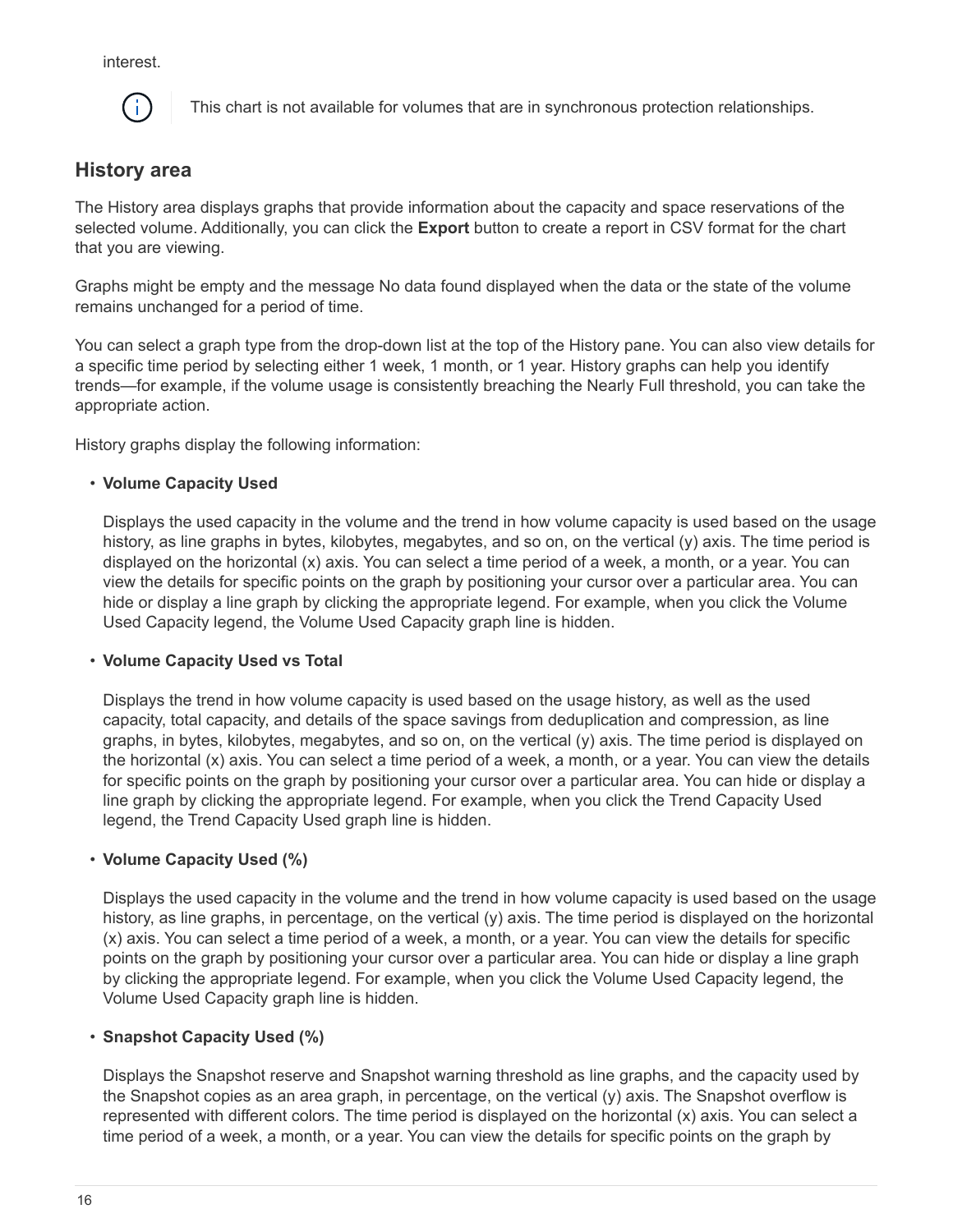interest.



This chart is not available for volumes that are in synchronous protection relationships.

### **History area**

The History area displays graphs that provide information about the capacity and space reservations of the selected volume. Additionally, you can click the **Export** button to create a report in CSV format for the chart that you are viewing.

Graphs might be empty and the message No data found displayed when the data or the state of the volume remains unchanged for a period of time.

You can select a graph type from the drop-down list at the top of the History pane. You can also view details for a specific time period by selecting either 1 week, 1 month, or 1 year. History graphs can help you identify trends—for example, if the volume usage is consistently breaching the Nearly Full threshold, you can take the appropriate action.

History graphs display the following information:

#### • **Volume Capacity Used**

Displays the used capacity in the volume and the trend in how volume capacity is used based on the usage history, as line graphs in bytes, kilobytes, megabytes, and so on, on the vertical (y) axis. The time period is displayed on the horizontal (x) axis. You can select a time period of a week, a month, or a year. You can view the details for specific points on the graph by positioning your cursor over a particular area. You can hide or display a line graph by clicking the appropriate legend. For example, when you click the Volume Used Capacity legend, the Volume Used Capacity graph line is hidden.

#### • **Volume Capacity Used vs Total**

Displays the trend in how volume capacity is used based on the usage history, as well as the used capacity, total capacity, and details of the space savings from deduplication and compression, as line graphs, in bytes, kilobytes, megabytes, and so on, on the vertical (y) axis. The time period is displayed on the horizontal (x) axis. You can select a time period of a week, a month, or a year. You can view the details for specific points on the graph by positioning your cursor over a particular area. You can hide or display a line graph by clicking the appropriate legend. For example, when you click the Trend Capacity Used legend, the Trend Capacity Used graph line is hidden.

#### • **Volume Capacity Used (%)**

Displays the used capacity in the volume and the trend in how volume capacity is used based on the usage history, as line graphs, in percentage, on the vertical (y) axis. The time period is displayed on the horizontal (x) axis. You can select a time period of a week, a month, or a year. You can view the details for specific points on the graph by positioning your cursor over a particular area. You can hide or display a line graph by clicking the appropriate legend. For example, when you click the Volume Used Capacity legend, the Volume Used Capacity graph line is hidden.

#### • **Snapshot Capacity Used (%)**

Displays the Snapshot reserve and Snapshot warning threshold as line graphs, and the capacity used by the Snapshot copies as an area graph, in percentage, on the vertical (y) axis. The Snapshot overflow is represented with different colors. The time period is displayed on the horizontal (x) axis. You can select a time period of a week, a month, or a year. You can view the details for specific points on the graph by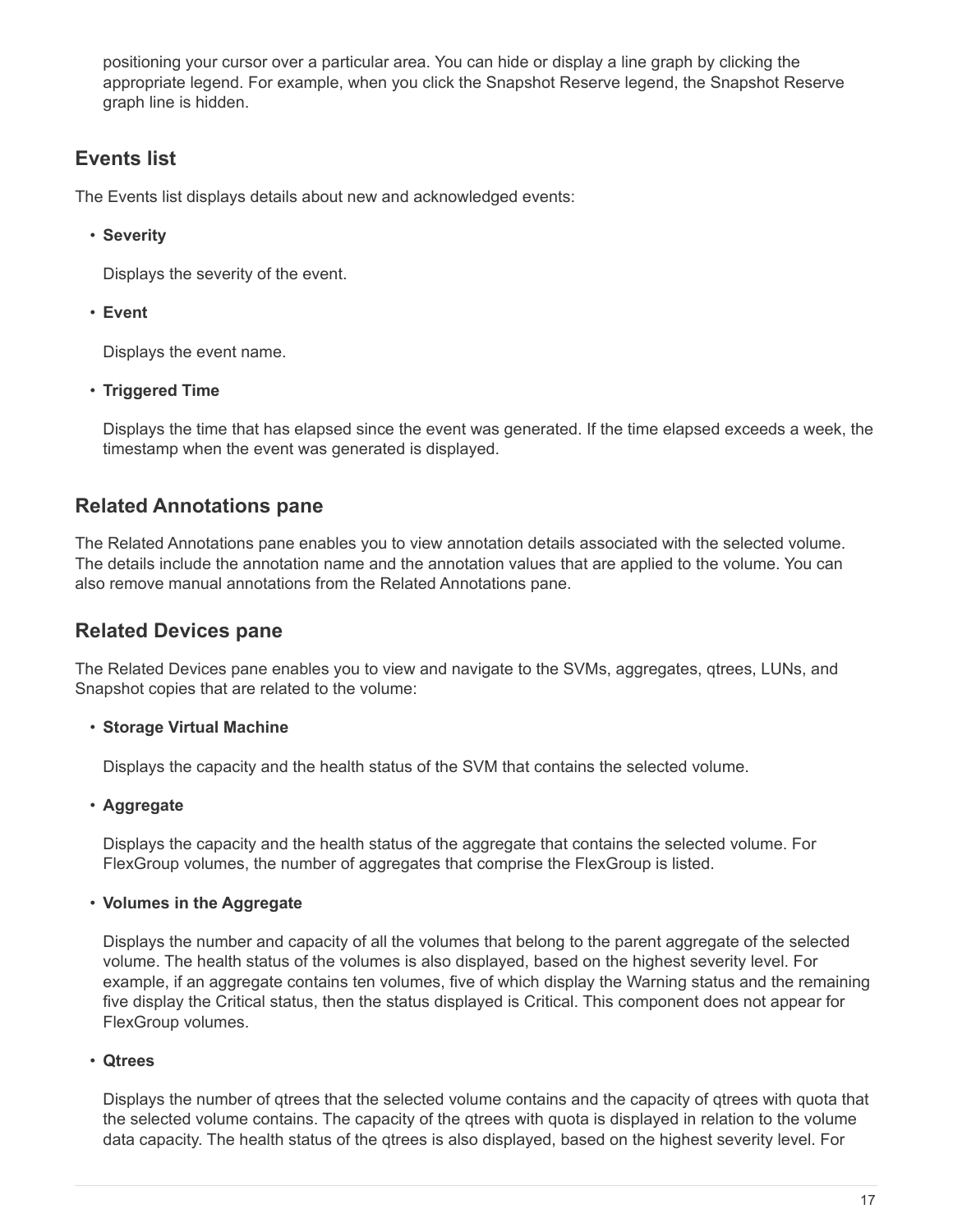positioning your cursor over a particular area. You can hide or display a line graph by clicking the appropriate legend. For example, when you click the Snapshot Reserve legend, the Snapshot Reserve graph line is hidden.

### **Events list**

The Events list displays details about new and acknowledged events:

• **Severity**

Displays the severity of the event.

• **Event**

Displays the event name.

• **Triggered Time**

Displays the time that has elapsed since the event was generated. If the time elapsed exceeds a week, the timestamp when the event was generated is displayed.

### **Related Annotations pane**

The Related Annotations pane enables you to view annotation details associated with the selected volume. The details include the annotation name and the annotation values that are applied to the volume. You can also remove manual annotations from the Related Annotations pane.

### **Related Devices pane**

The Related Devices pane enables you to view and navigate to the SVMs, aggregates, qtrees, LUNs, and Snapshot copies that are related to the volume:

#### • **Storage Virtual Machine**

Displays the capacity and the health status of the SVM that contains the selected volume.

• **Aggregate**

Displays the capacity and the health status of the aggregate that contains the selected volume. For FlexGroup volumes, the number of aggregates that comprise the FlexGroup is listed.

#### • **Volumes in the Aggregate**

Displays the number and capacity of all the volumes that belong to the parent aggregate of the selected volume. The health status of the volumes is also displayed, based on the highest severity level. For example, if an aggregate contains ten volumes, five of which display the Warning status and the remaining five display the Critical status, then the status displayed is Critical. This component does not appear for FlexGroup volumes.

#### • **Qtrees**

Displays the number of qtrees that the selected volume contains and the capacity of qtrees with quota that the selected volume contains. The capacity of the qtrees with quota is displayed in relation to the volume data capacity. The health status of the qtrees is also displayed, based on the highest severity level. For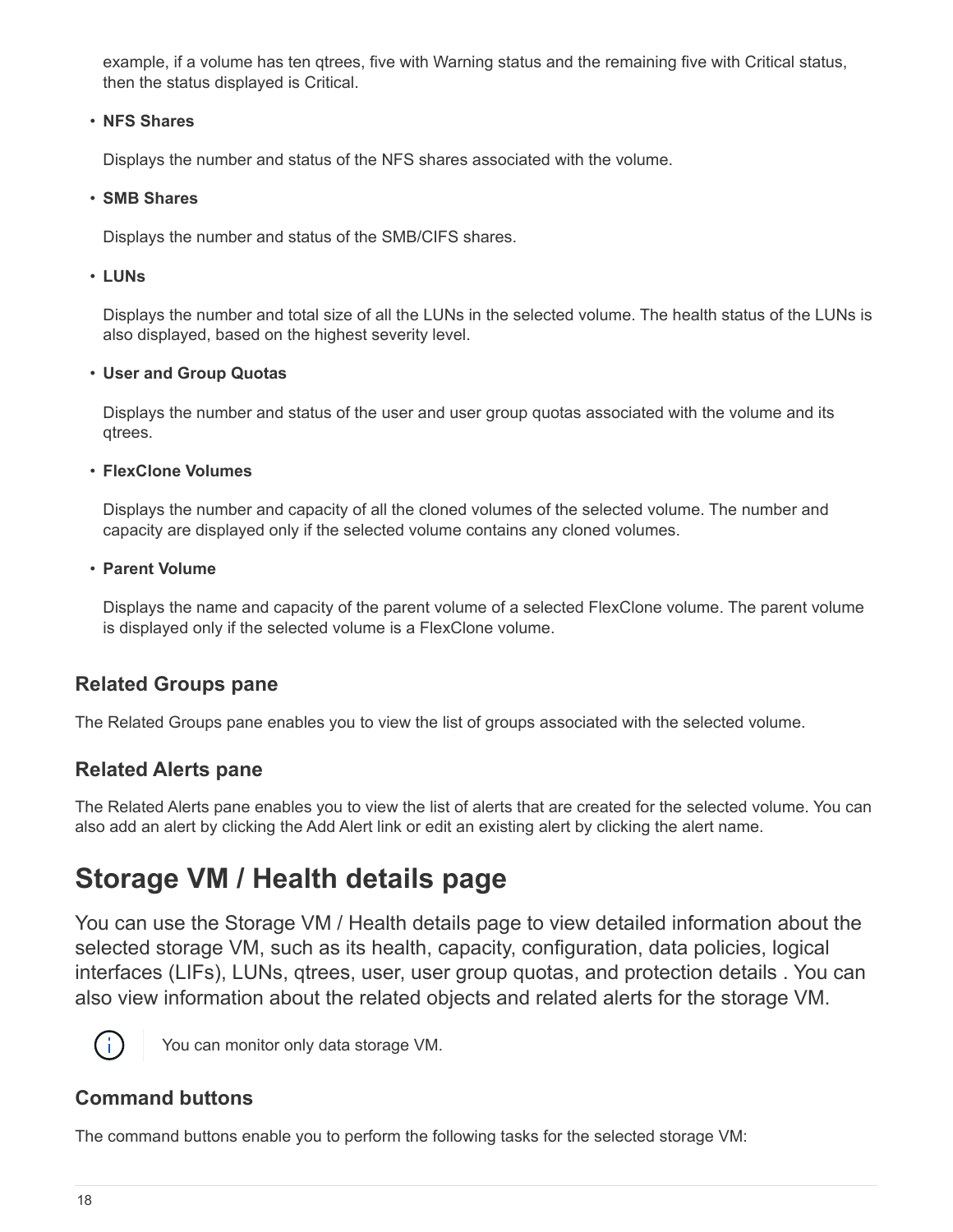example, if a volume has ten qtrees, five with Warning status and the remaining five with Critical status, then the status displayed is Critical.

#### • **NFS Shares**

Displays the number and status of the NFS shares associated with the volume.

#### • **SMB Shares**

Displays the number and status of the SMB/CIFS shares.

#### • **LUNs**

Displays the number and total size of all the LUNs in the selected volume. The health status of the LUNs is also displayed, based on the highest severity level.

#### • **User and Group Quotas**

Displays the number and status of the user and user group quotas associated with the volume and its qtrees.

#### • **FlexClone Volumes**

Displays the number and capacity of all the cloned volumes of the selected volume. The number and capacity are displayed only if the selected volume contains any cloned volumes.

#### • **Parent Volume**

Displays the name and capacity of the parent volume of a selected FlexClone volume. The parent volume is displayed only if the selected volume is a FlexClone volume.

### **Related Groups pane**

The Related Groups pane enables you to view the list of groups associated with the selected volume.

### **Related Alerts pane**

The Related Alerts pane enables you to view the list of alerts that are created for the selected volume. You can also add an alert by clicking the Add Alert link or edit an existing alert by clicking the alert name.

# <span id="page-19-0"></span>**Storage VM / Health details page**

You can use the Storage VM / Health details page to view detailed information about the selected storage VM, such as its health, capacity, configuration, data policies, logical interfaces (LIFs), LUNs, qtrees, user, user group quotas, and protection details . You can also view information about the related objects and related alerts for the storage VM.



You can monitor only data storage VM.

### **Command buttons**

The command buttons enable you to perform the following tasks for the selected storage VM: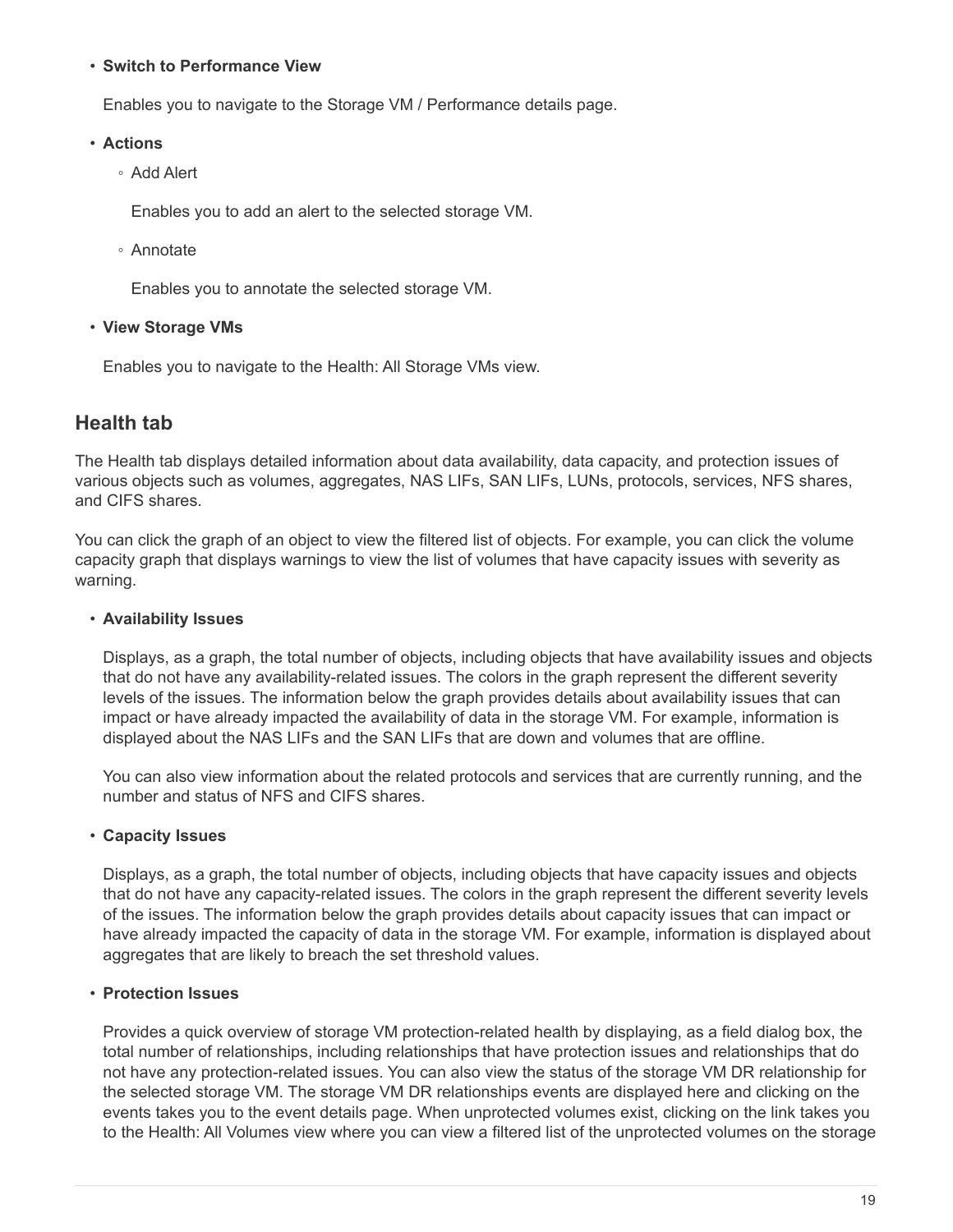#### • **Switch to Performance View**

Enables you to navigate to the Storage VM / Performance details page.

#### • **Actions**

◦ Add Alert

Enables you to add an alert to the selected storage VM.

◦ Annotate

Enables you to annotate the selected storage VM.

#### • **View Storage VMs**

Enables you to navigate to the Health: All Storage VMs view.

### **Health tab**

The Health tab displays detailed information about data availability, data capacity, and protection issues of various objects such as volumes, aggregates, NAS LIFs, SAN LIFs, LUNs, protocols, services, NFS shares, and CIFS shares.

You can click the graph of an object to view the filtered list of objects. For example, you can click the volume capacity graph that displays warnings to view the list of volumes that have capacity issues with severity as warning.

#### • **Availability Issues**

Displays, as a graph, the total number of objects, including objects that have availability issues and objects that do not have any availability-related issues. The colors in the graph represent the different severity levels of the issues. The information below the graph provides details about availability issues that can impact or have already impacted the availability of data in the storage VM. For example, information is displayed about the NAS LIFs and the SAN LIFs that are down and volumes that are offline.

You can also view information about the related protocols and services that are currently running, and the number and status of NFS and CIFS shares.

#### • **Capacity Issues**

Displays, as a graph, the total number of objects, including objects that have capacity issues and objects that do not have any capacity-related issues. The colors in the graph represent the different severity levels of the issues. The information below the graph provides details about capacity issues that can impact or have already impacted the capacity of data in the storage VM. For example, information is displayed about aggregates that are likely to breach the set threshold values.

#### • **Protection Issues**

Provides a quick overview of storage VM protection-related health by displaying, as a field dialog box, the total number of relationships, including relationships that have protection issues and relationships that do not have any protection-related issues. You can also view the status of the storage VM DR relationship for the selected storage VM. The storage VM DR relationships events are displayed here and clicking on the events takes you to the event details page. When unprotected volumes exist, clicking on the link takes you to the Health: All Volumes view where you can view a filtered list of the unprotected volumes on the storage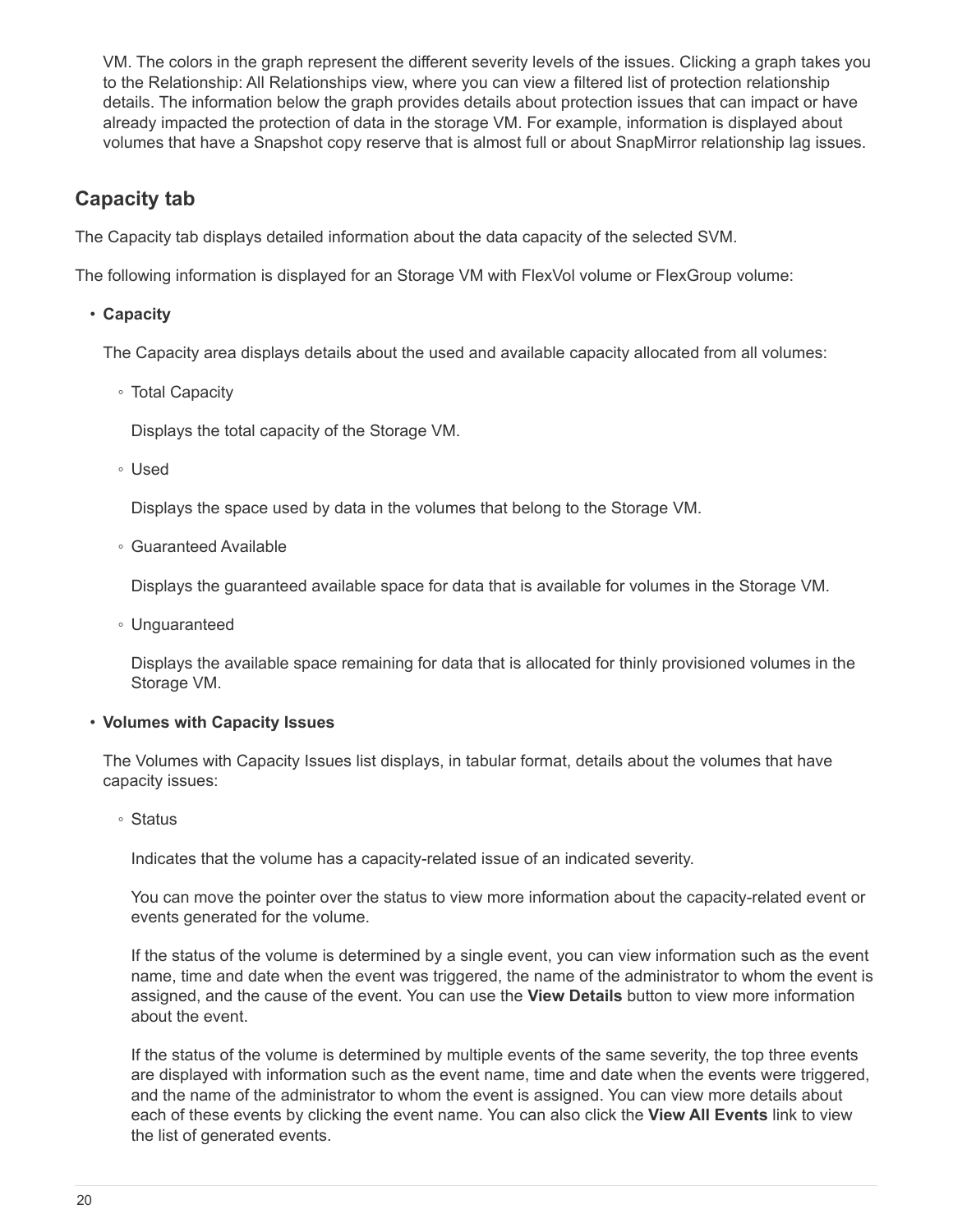VM. The colors in the graph represent the different severity levels of the issues. Clicking a graph takes you to the Relationship: All Relationships view, where you can view a filtered list of protection relationship details. The information below the graph provides details about protection issues that can impact or have already impacted the protection of data in the storage VM. For example, information is displayed about volumes that have a Snapshot copy reserve that is almost full or about SnapMirror relationship lag issues.

### **Capacity tab**

The Capacity tab displays detailed information about the data capacity of the selected SVM.

The following information is displayed for an Storage VM with FlexVol volume or FlexGroup volume:

#### • **Capacity**

The Capacity area displays details about the used and available capacity allocated from all volumes:

◦ Total Capacity

Displays the total capacity of the Storage VM.

◦ Used

Displays the space used by data in the volumes that belong to the Storage VM.

◦ Guaranteed Available

Displays the guaranteed available space for data that is available for volumes in the Storage VM.

◦ Unguaranteed

Displays the available space remaining for data that is allocated for thinly provisioned volumes in the Storage VM.

#### • **Volumes with Capacity Issues**

The Volumes with Capacity Issues list displays, in tabular format, details about the volumes that have capacity issues:

◦ Status

Indicates that the volume has a capacity-related issue of an indicated severity.

You can move the pointer over the status to view more information about the capacity-related event or events generated for the volume.

If the status of the volume is determined by a single event, you can view information such as the event name, time and date when the event was triggered, the name of the administrator to whom the event is assigned, and the cause of the event. You can use the **View Details** button to view more information about the event.

If the status of the volume is determined by multiple events of the same severity, the top three events are displayed with information such as the event name, time and date when the events were triggered, and the name of the administrator to whom the event is assigned. You can view more details about each of these events by clicking the event name. You can also click the **View All Events** link to view the list of generated events.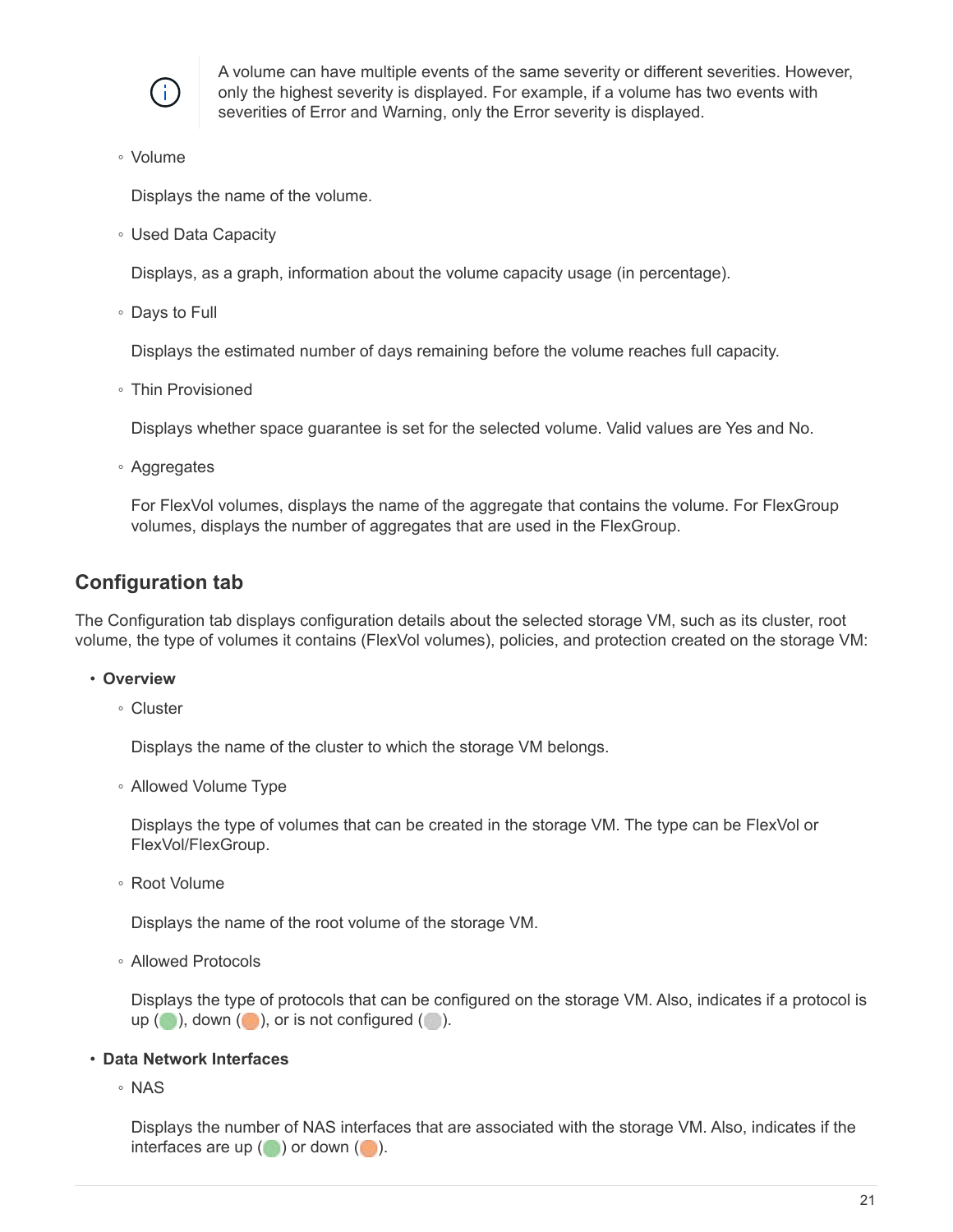

A volume can have multiple events of the same severity or different severities. However, only the highest severity is displayed. For example, if a volume has two events with severities of Error and Warning, only the Error severity is displayed.

◦ Volume

Displays the name of the volume.

◦ Used Data Capacity

Displays, as a graph, information about the volume capacity usage (in percentage).

◦ Days to Full

Displays the estimated number of days remaining before the volume reaches full capacity.

◦ Thin Provisioned

Displays whether space guarantee is set for the selected volume. Valid values are Yes and No.

◦ Aggregates

For FlexVol volumes, displays the name of the aggregate that contains the volume. For FlexGroup volumes, displays the number of aggregates that are used in the FlexGroup.

### **Configuration tab**

The Configuration tab displays configuration details about the selected storage VM, such as its cluster, root volume, the type of volumes it contains (FlexVol volumes), policies, and protection created on the storage VM:

- **Overview**
	- Cluster

Displays the name of the cluster to which the storage VM belongs.

◦ Allowed Volume Type

Displays the type of volumes that can be created in the storage VM. The type can be FlexVol or FlexVol/FlexGroup.

◦ Root Volume

Displays the name of the root volume of the storage VM.

◦ Allowed Protocols

Displays the type of protocols that can be configured on the storage VM. Also, indicates if a protocol is up  $($  ), down  $($  ), or is not configured  $($  ).

#### • **Data Network Interfaces**

◦ NAS

Displays the number of NAS interfaces that are associated with the storage VM. Also, indicates if the interfaces are up  $(\bullet)$  or down  $(\bullet)$ .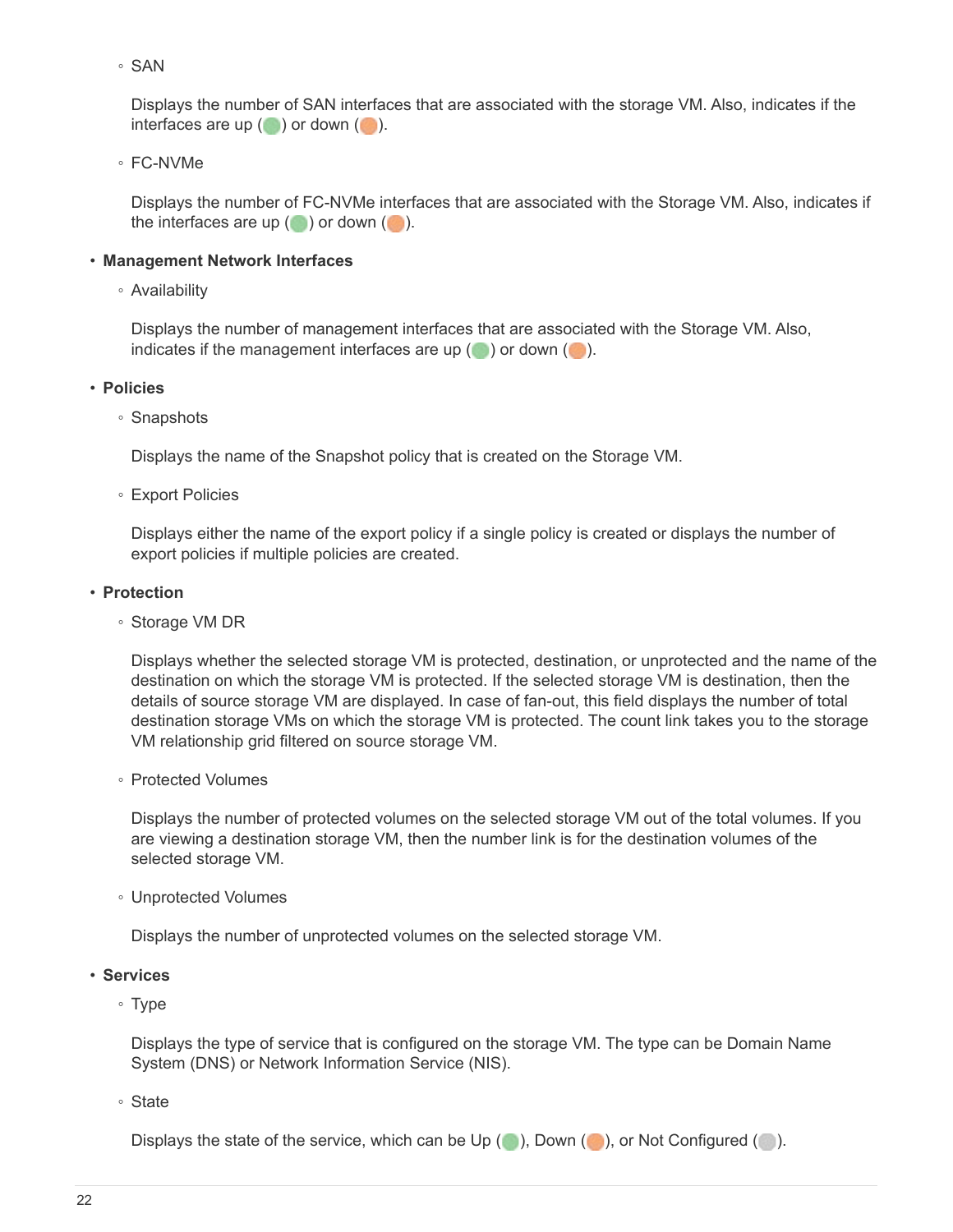◦ SAN

Displays the number of SAN interfaces that are associated with the storage VM. Also, indicates if the interfaces are up  $(\bullet)$  or down  $(\bullet)$ .

◦ FC-NVMe

Displays the number of FC-NVMe interfaces that are associated with the Storage VM. Also, indicates if the interfaces are up  $(\bullet)$  or down  $(\bullet)$ .

#### • **Management Network Interfaces**

◦ Availability

Displays the number of management interfaces that are associated with the Storage VM. Also, indicates if the management interfaces are up  $( \bullet )$  or down  $( \bullet )$ .

#### • **Policies**

◦ Snapshots

Displays the name of the Snapshot policy that is created on the Storage VM.

◦ Export Policies

Displays either the name of the export policy if a single policy is created or displays the number of export policies if multiple policies are created.

#### • **Protection**

◦ Storage VM DR

Displays whether the selected storage VM is protected, destination, or unprotected and the name of the destination on which the storage VM is protected. If the selected storage VM is destination, then the details of source storage VM are displayed. In case of fan-out, this field displays the number of total destination storage VMs on which the storage VM is protected. The count link takes you to the storage VM relationship grid filtered on source storage VM.

◦ Protected Volumes

Displays the number of protected volumes on the selected storage VM out of the total volumes. If you are viewing a destination storage VM, then the number link is for the destination volumes of the selected storage VM.

◦ Unprotected Volumes

Displays the number of unprotected volumes on the selected storage VM.

- **Services**
	- Type

Displays the type of service that is configured on the storage VM. The type can be Domain Name System (DNS) or Network Information Service (NIS).

◦ State

Displays the state of the service, which can be Up  $(\bullet)$ , Down  $(\bullet)$ , or Not Configured  $(\bullet)$ .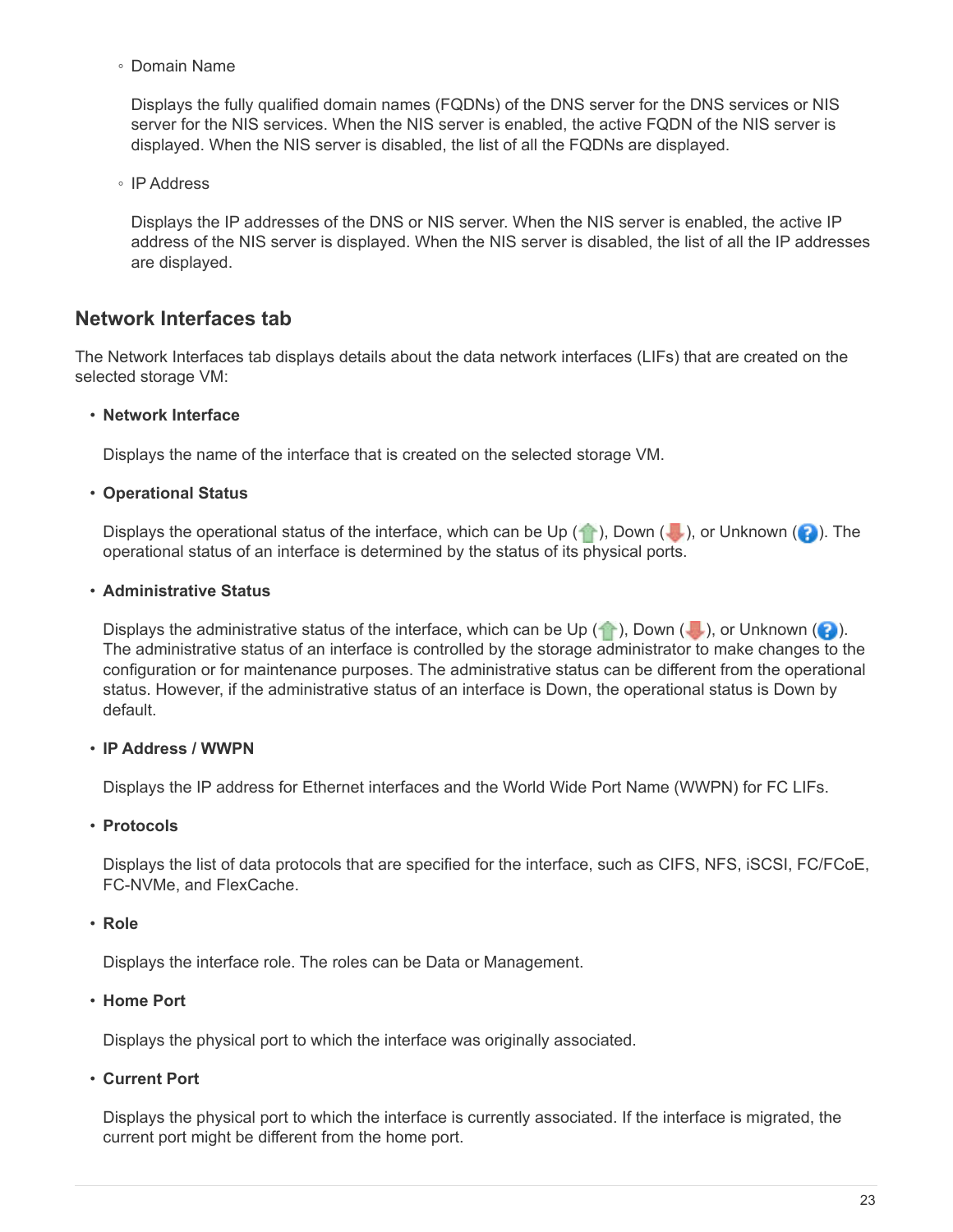◦ Domain Name

Displays the fully qualified domain names (FQDNs) of the DNS server for the DNS services or NIS server for the NIS services. When the NIS server is enabled, the active FQDN of the NIS server is displayed. When the NIS server is disabled, the list of all the FQDNs are displayed.

◦ IP Address

Displays the IP addresses of the DNS or NIS server. When the NIS server is enabled, the active IP address of the NIS server is displayed. When the NIS server is disabled, the list of all the IP addresses are displayed.

### **Network Interfaces tab**

The Network Interfaces tab displays details about the data network interfaces (LIFs) that are created on the selected storage VM:

#### • **Network Interface**

Displays the name of the interface that is created on the selected storage VM.

#### • **Operational Status**

Displays the operational status of the interface, which can be Up  $(\bullet)$ , Down ( $\bullet$ ), or Unknown ( $\bullet$ ). The operational status of an interface is determined by the status of its physical ports.

#### • **Administrative Status**

Displays the administrative status of the interface, which can be Up  $(\bullet)$ , Down  $(\bullet)$ , or Unknown  $(\bullet)$ . The administrative status of an interface is controlled by the storage administrator to make changes to the configuration or for maintenance purposes. The administrative status can be different from the operational status. However, if the administrative status of an interface is Down, the operational status is Down by default.

#### • **IP Address / WWPN**

Displays the IP address for Ethernet interfaces and the World Wide Port Name (WWPN) for FC LIFs.

#### • **Protocols**

Displays the list of data protocols that are specified for the interface, such as CIFS, NFS, iSCSI, FC/FCoE, FC-NVMe, and FlexCache.

#### • **Role**

Displays the interface role. The roles can be Data or Management.

#### • **Home Port**

Displays the physical port to which the interface was originally associated.

• **Current Port**

Displays the physical port to which the interface is currently associated. If the interface is migrated, the current port might be different from the home port.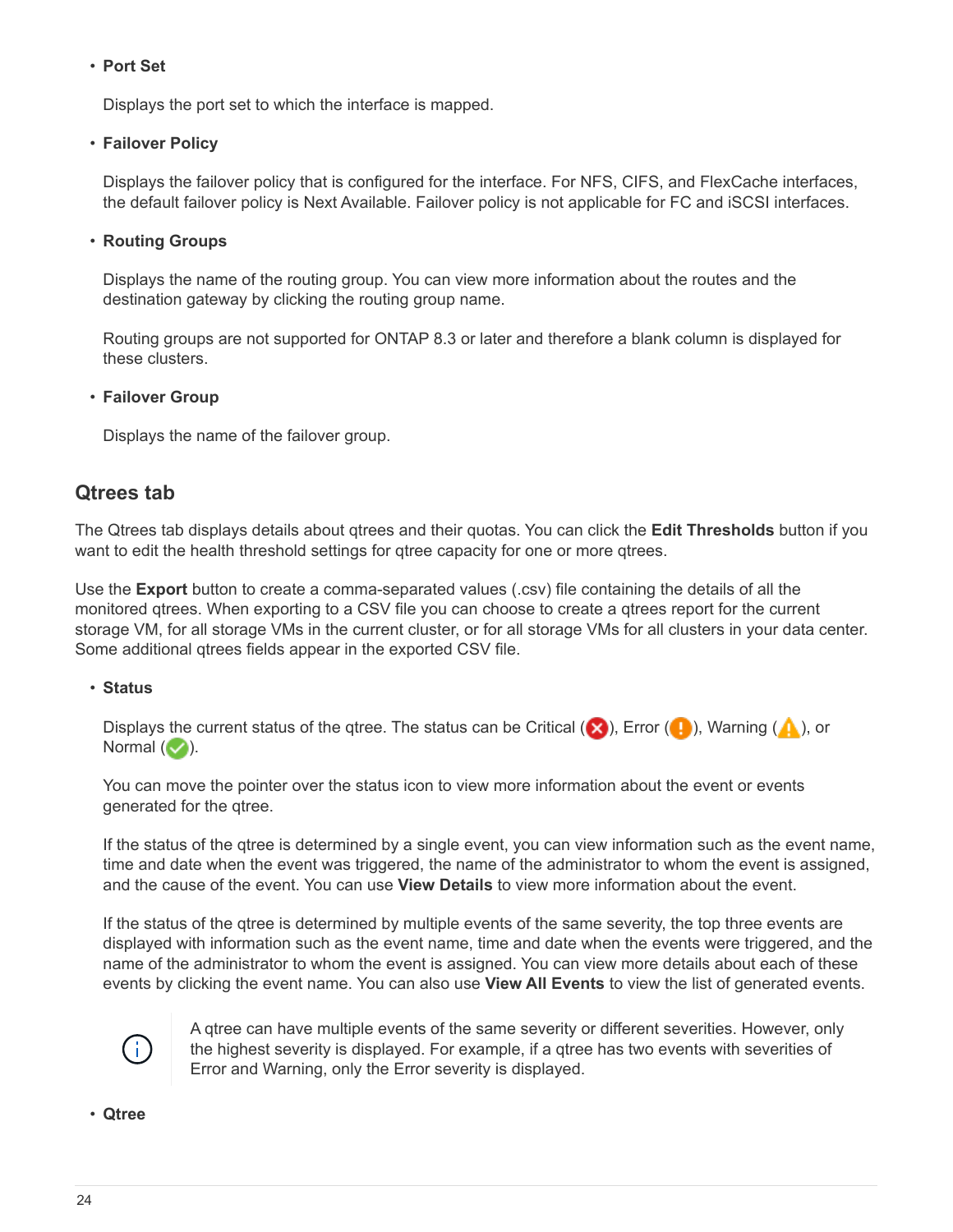#### • **Port Set**

Displays the port set to which the interface is mapped.

#### • **Failover Policy**

Displays the failover policy that is configured for the interface. For NFS, CIFS, and FlexCache interfaces, the default failover policy is Next Available. Failover policy is not applicable for FC and iSCSI interfaces.

#### • **Routing Groups**

Displays the name of the routing group. You can view more information about the routes and the destination gateway by clicking the routing group name.

Routing groups are not supported for ONTAP 8.3 or later and therefore a blank column is displayed for these clusters.

#### • **Failover Group**

Displays the name of the failover group.

### **Qtrees tab**

The Qtrees tab displays details about qtrees and their quotas. You can click the **Edit Thresholds** button if you want to edit the health threshold settings for gtree capacity for one or more gtrees.

Use the **Export** button to create a comma-separated values (.csv) file containing the details of all the monitored qtrees. When exporting to a CSV file you can choose to create a qtrees report for the current storage VM, for all storage VMs in the current cluster, or for all storage VMs for all clusters in your data center. Some additional qtrees fields appear in the exported CSV file.

#### • **Status**

Displays the current status of the qtree. The status can be Critical ( $\otimes$ ), Error ( $\bullet$ ), Warning ( $\bullet$ ), or Normal  $($ .

You can move the pointer over the status icon to view more information about the event or events generated for the qtree.

If the status of the qtree is determined by a single event, you can view information such as the event name, time and date when the event was triggered, the name of the administrator to whom the event is assigned, and the cause of the event. You can use **View Details** to view more information about the event.

If the status of the qtree is determined by multiple events of the same severity, the top three events are displayed with information such as the event name, time and date when the events were triggered, and the name of the administrator to whom the event is assigned. You can view more details about each of these events by clicking the event name. You can also use **View All Events** to view the list of generated events.



A qtree can have multiple events of the same severity or different severities. However, only the highest severity is displayed. For example, if a qtree has two events with severities of Error and Warning, only the Error severity is displayed.

• **Qtree**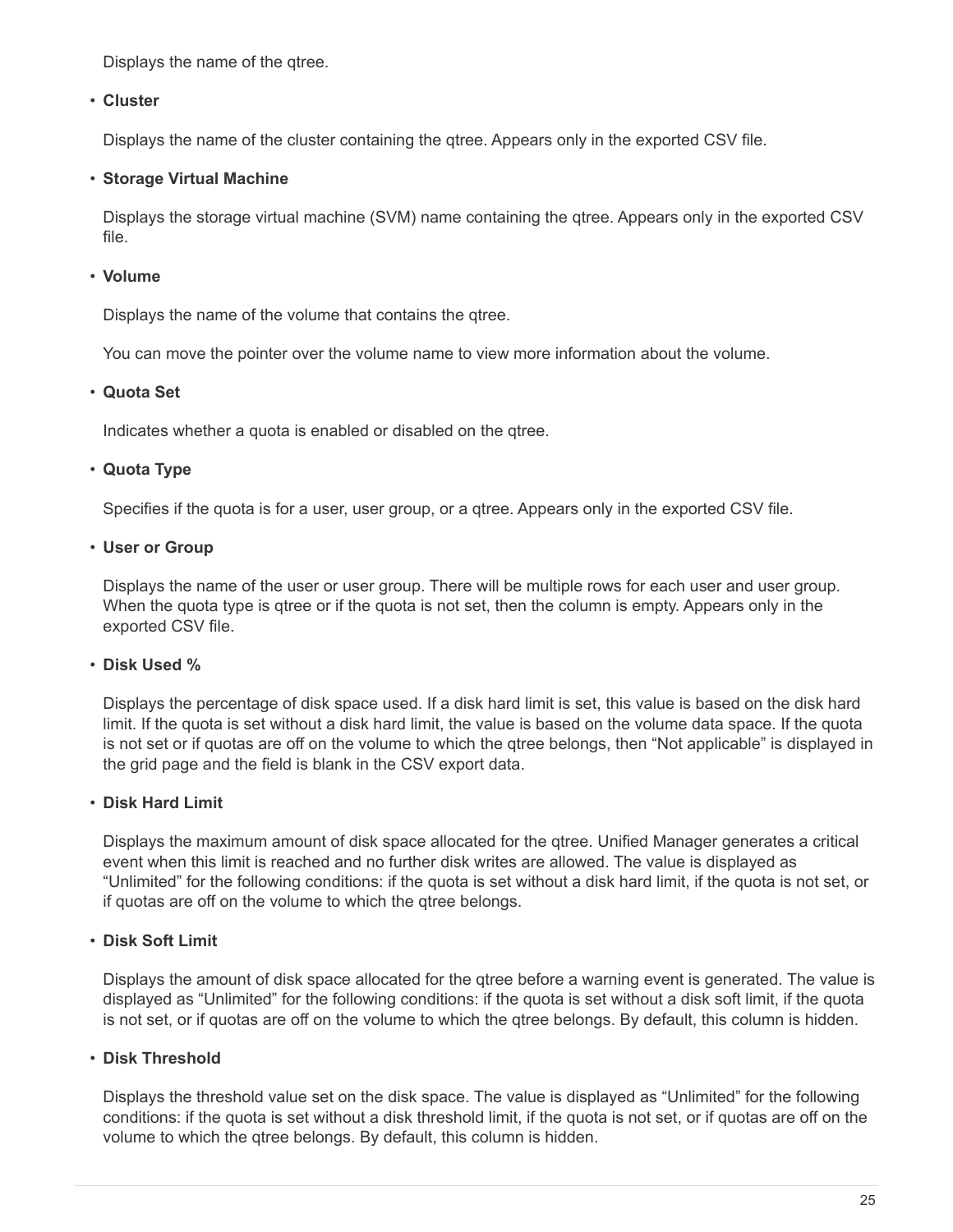Displays the name of the qtree.

#### • **Cluster**

Displays the name of the cluster containing the qtree. Appears only in the exported CSV file.

#### • **Storage Virtual Machine**

Displays the storage virtual machine (SVM) name containing the qtree. Appears only in the exported CSV file.

#### • **Volume**

Displays the name of the volume that contains the qtree.

You can move the pointer over the volume name to view more information about the volume.

#### • **Quota Set**

Indicates whether a quota is enabled or disabled on the qtree.

#### • **Quota Type**

Specifies if the quota is for a user, user group, or a qtree. Appears only in the exported CSV file.

• **User or Group**

Displays the name of the user or user group. There will be multiple rows for each user and user group. When the quota type is qtree or if the quota is not set, then the column is empty. Appears only in the exported CSV file.

#### • **Disk Used %**

Displays the percentage of disk space used. If a disk hard limit is set, this value is based on the disk hard limit. If the quota is set without a disk hard limit, the value is based on the volume data space. If the quota is not set or if quotas are off on the volume to which the qtree belongs, then "Not applicable" is displayed in the grid page and the field is blank in the CSV export data.

#### • **Disk Hard Limit**

Displays the maximum amount of disk space allocated for the qtree. Unified Manager generates a critical event when this limit is reached and no further disk writes are allowed. The value is displayed as "Unlimited" for the following conditions: if the quota is set without a disk hard limit, if the quota is not set, or if quotas are off on the volume to which the qtree belongs.

#### • **Disk Soft Limit**

Displays the amount of disk space allocated for the gtree before a warning event is generated. The value is displayed as "Unlimited" for the following conditions: if the quota is set without a disk soft limit, if the quota is not set, or if quotas are off on the volume to which the qtree belongs. By default, this column is hidden.

#### • **Disk Threshold**

Displays the threshold value set on the disk space. The value is displayed as "Unlimited" for the following conditions: if the quota is set without a disk threshold limit, if the quota is not set, or if quotas are off on the volume to which the qtree belongs. By default, this column is hidden.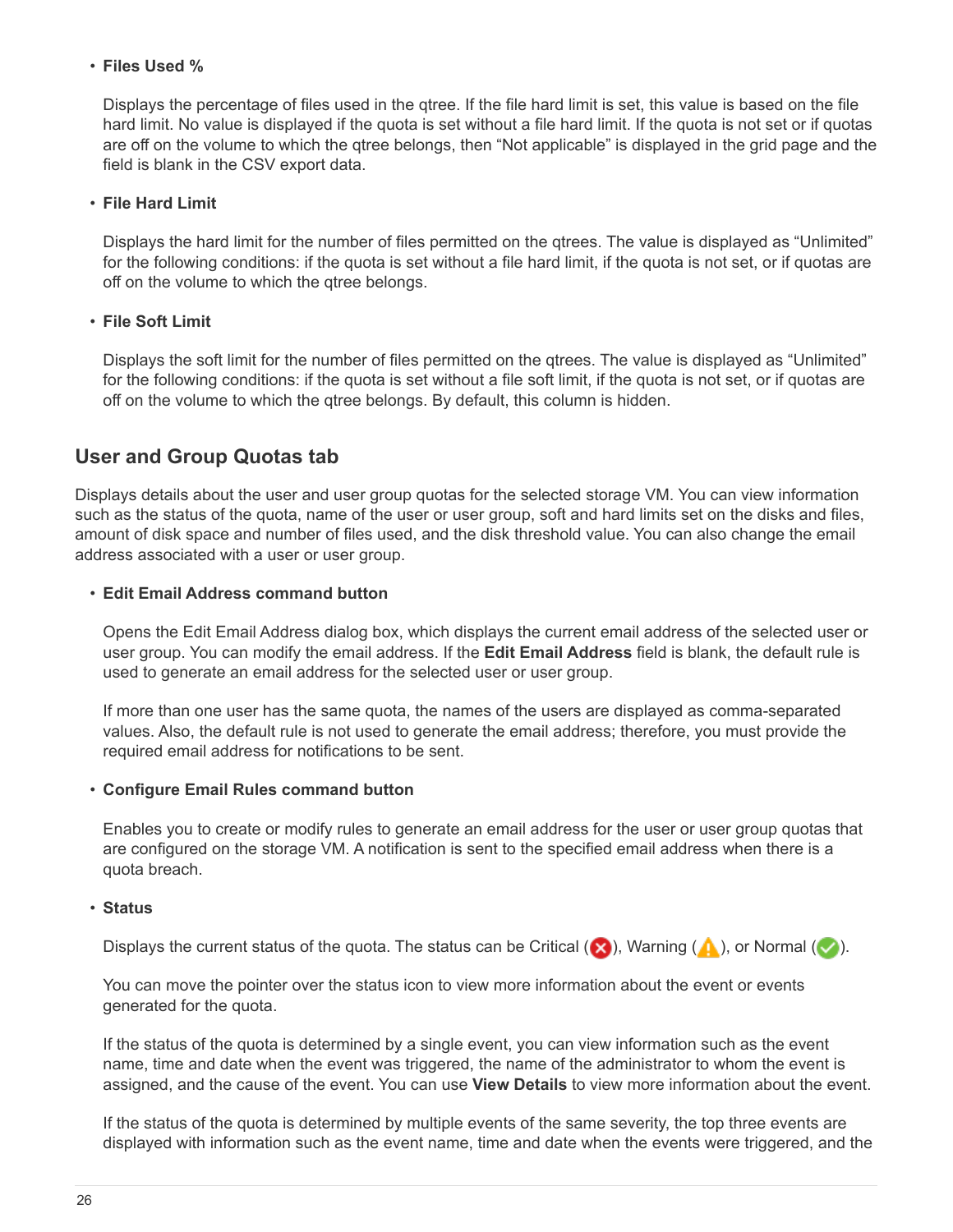#### • **Files Used %**

Displays the percentage of files used in the qtree. If the file hard limit is set, this value is based on the file hard limit. No value is displayed if the quota is set without a file hard limit. If the quota is not set or if quotas are off on the volume to which the qtree belongs, then "Not applicable" is displayed in the grid page and the field is blank in the CSV export data.

#### • **File Hard Limit**

Displays the hard limit for the number of files permitted on the qtrees. The value is displayed as "Unlimited" for the following conditions: if the quota is set without a file hard limit, if the quota is not set, or if quotas are off on the volume to which the qtree belongs.

#### • **File Soft Limit**

Displays the soft limit for the number of files permitted on the qtrees. The value is displayed as "Unlimited" for the following conditions: if the quota is set without a file soft limit, if the quota is not set, or if quotas are off on the volume to which the qtree belongs. By default, this column is hidden.

### **User and Group Quotas tab**

Displays details about the user and user group quotas for the selected storage VM. You can view information such as the status of the quota, name of the user or user group, soft and hard limits set on the disks and files, amount of disk space and number of files used, and the disk threshold value. You can also change the email address associated with a user or user group.

#### • **Edit Email Address command button**

Opens the Edit Email Address dialog box, which displays the current email address of the selected user or user group. You can modify the email address. If the **Edit Email Address** field is blank, the default rule is used to generate an email address for the selected user or user group.

If more than one user has the same quota, the names of the users are displayed as comma-separated values. Also, the default rule is not used to generate the email address; therefore, you must provide the required email address for notifications to be sent.

#### • **Configure Email Rules command button**

Enables you to create or modify rules to generate an email address for the user or user group quotas that are configured on the storage VM. A notification is sent to the specified email address when there is a quota breach.

#### • **Status**

Displays the current status of the quota. The status can be Critical ( $\blacktriangleright$ ), Warning ( $\blacktriangle$ ), or Normal ( $\blacktriangleright$ ).

You can move the pointer over the status icon to view more information about the event or events generated for the quota.

If the status of the quota is determined by a single event, you can view information such as the event name, time and date when the event was triggered, the name of the administrator to whom the event is assigned, and the cause of the event. You can use **View Details** to view more information about the event.

If the status of the quota is determined by multiple events of the same severity, the top three events are displayed with information such as the event name, time and date when the events were triggered, and the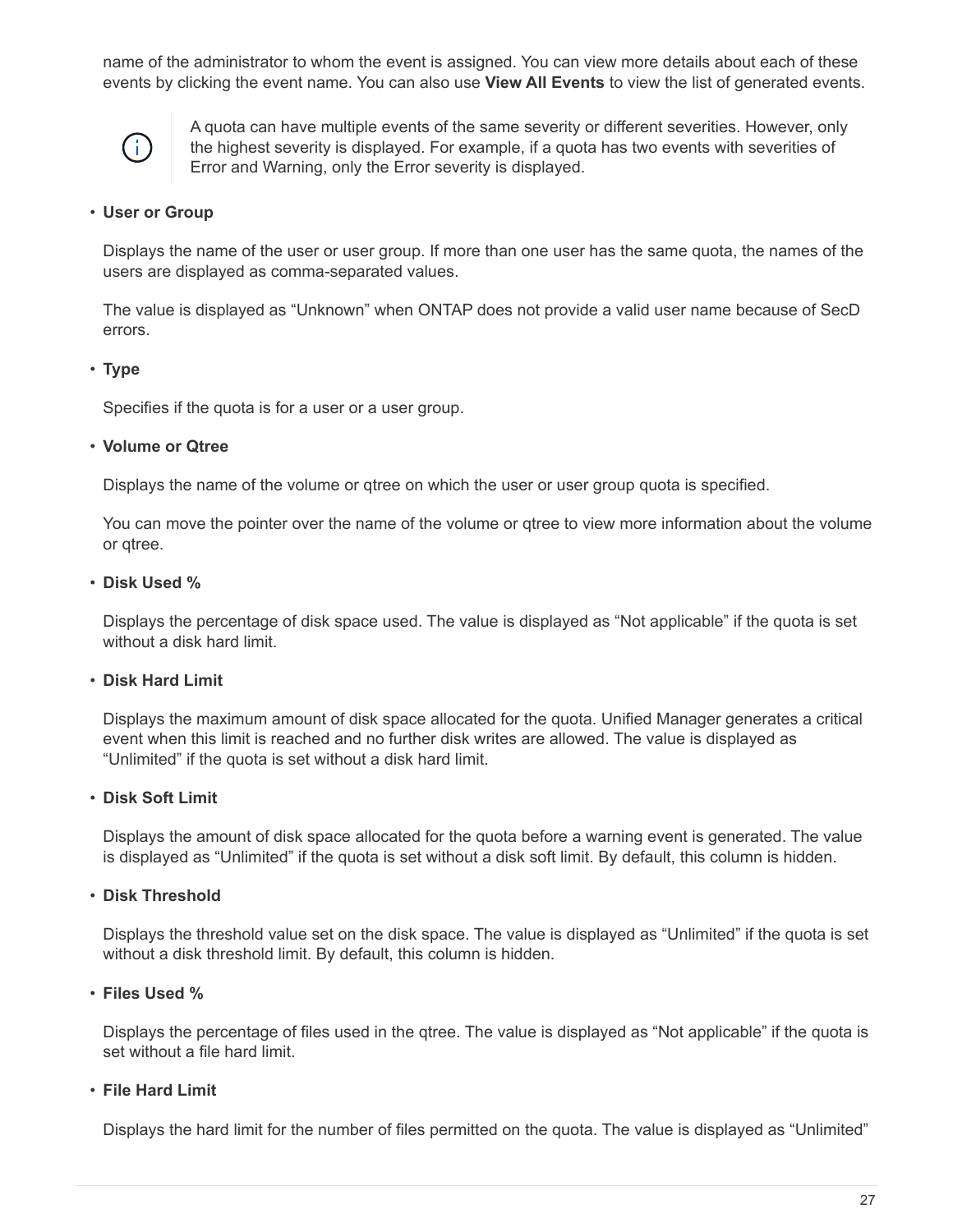name of the administrator to whom the event is assigned. You can view more details about each of these events by clicking the event name. You can also use **View All Events** to view the list of generated events.



A quota can have multiple events of the same severity or different severities. However, only the highest severity is displayed. For example, if a quota has two events with severities of Error and Warning, only the Error severity is displayed.

#### • **User or Group**

Displays the name of the user or user group. If more than one user has the same quota, the names of the users are displayed as comma-separated values.

The value is displayed as "Unknown" when ONTAP does not provide a valid user name because of SecD errors.

#### • **Type**

Specifies if the quota is for a user or a user group.

#### • **Volume or Qtree**

Displays the name of the volume or qtree on which the user or user group quota is specified.

You can move the pointer over the name of the volume or qtree to view more information about the volume or qtree.

#### • **Disk Used %**

Displays the percentage of disk space used. The value is displayed as "Not applicable" if the quota is set without a disk hard limit.

#### • **Disk Hard Limit**

Displays the maximum amount of disk space allocated for the quota. Unified Manager generates a critical event when this limit is reached and no further disk writes are allowed. The value is displayed as "Unlimited" if the quota is set without a disk hard limit.

#### • **Disk Soft Limit**

Displays the amount of disk space allocated for the quota before a warning event is generated. The value is displayed as "Unlimited" if the quota is set without a disk soft limit. By default, this column is hidden.

#### • **Disk Threshold**

Displays the threshold value set on the disk space. The value is displayed as "Unlimited" if the quota is set without a disk threshold limit. By default, this column is hidden.

#### • **Files Used %**

Displays the percentage of files used in the qtree. The value is displayed as "Not applicable" if the quota is set without a file hard limit.

#### • **File Hard Limit**

Displays the hard limit for the number of files permitted on the quota. The value is displayed as "Unlimited"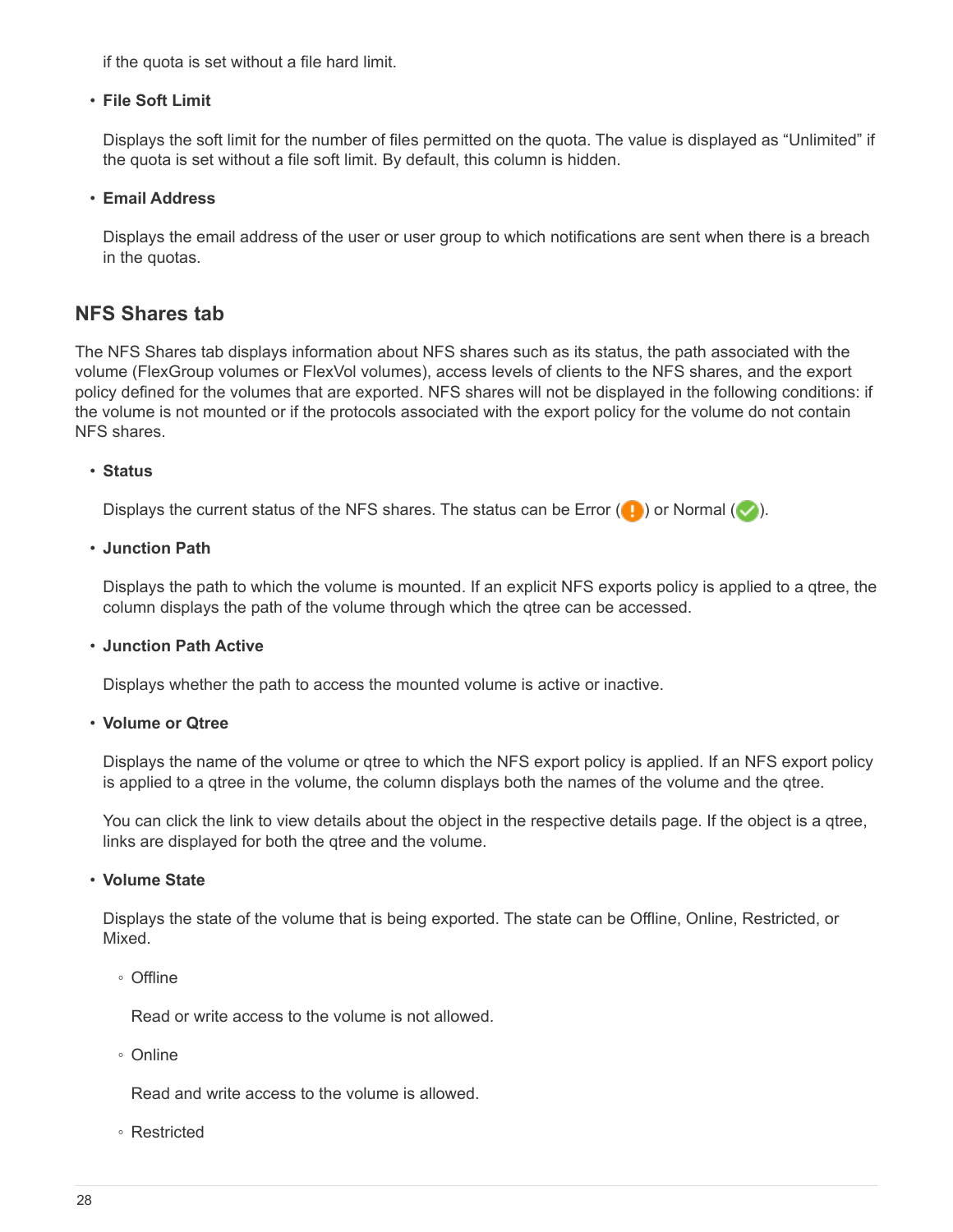if the quota is set without a file hard limit.

#### • **File Soft Limit**

Displays the soft limit for the number of files permitted on the quota. The value is displayed as "Unlimited" if the quota is set without a file soft limit. By default, this column is hidden.

#### • **Email Address**

Displays the email address of the user or user group to which notifications are sent when there is a breach in the quotas.

### **NFS Shares tab**

The NFS Shares tab displays information about NFS shares such as its status, the path associated with the volume (FlexGroup volumes or FlexVol volumes), access levels of clients to the NFS shares, and the export policy defined for the volumes that are exported. NFS shares will not be displayed in the following conditions: if the volume is not mounted or if the protocols associated with the export policy for the volume do not contain NFS shares.

#### • **Status**

Displays the current status of the NFS shares. The status can be Error  $(\cdot)$  or Normal  $(\cdot)$ .

#### • **Junction Path**

Displays the path to which the volume is mounted. If an explicit NFS exports policy is applied to a qtree, the column displays the path of the volume through which the qtree can be accessed.

#### • **Junction Path Active**

Displays whether the path to access the mounted volume is active or inactive.

• **Volume or Qtree**

Displays the name of the volume or qtree to which the NFS export policy is applied. If an NFS export policy is applied to a qtree in the volume, the column displays both the names of the volume and the qtree.

You can click the link to view details about the object in the respective details page. If the object is a qtree, links are displayed for both the qtree and the volume.

#### • **Volume State**

Displays the state of the volume that is being exported. The state can be Offline, Online, Restricted, or Mixed.

◦ Offline

Read or write access to the volume is not allowed.

◦ Online

Read and write access to the volume is allowed.

◦ Restricted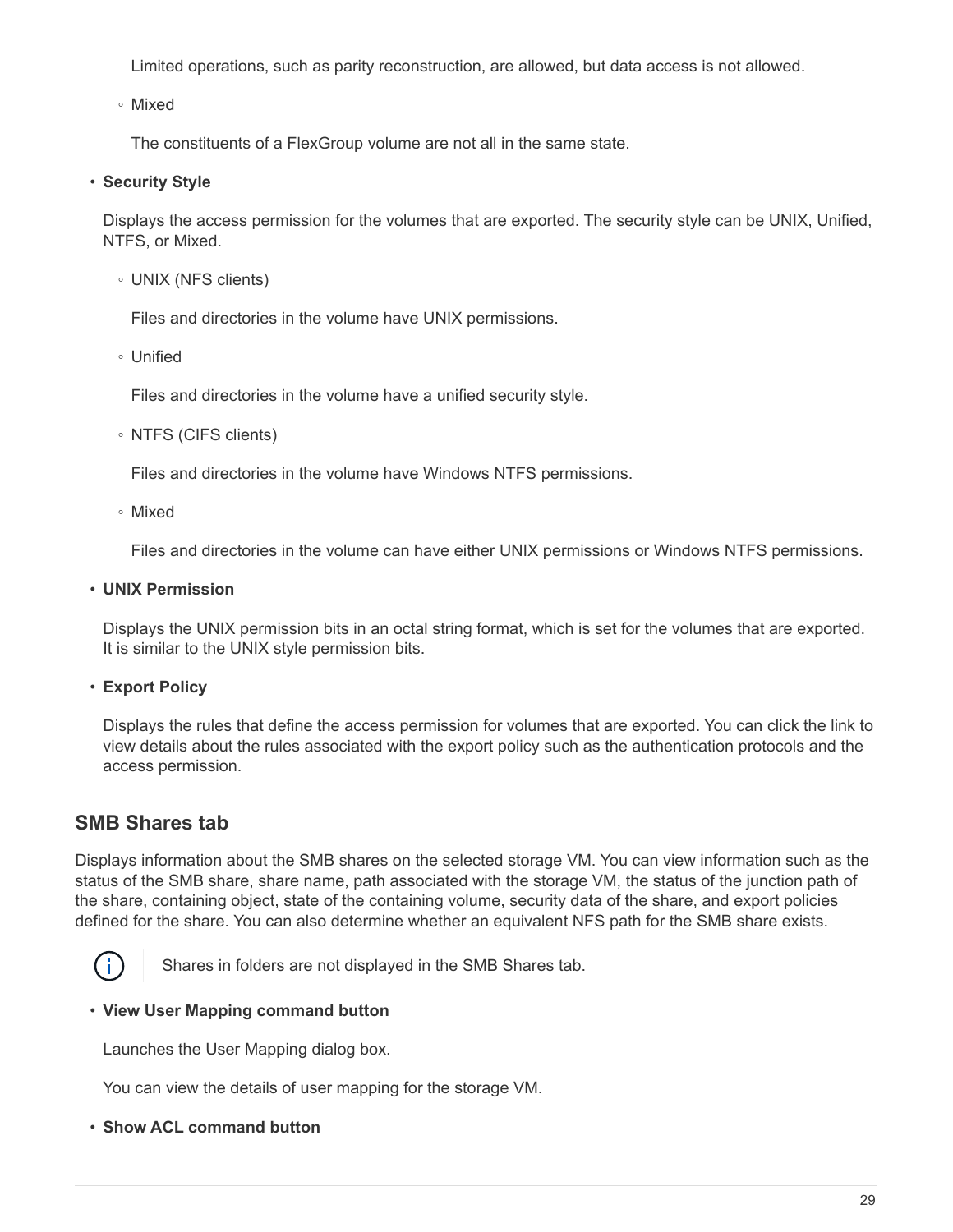Limited operations, such as parity reconstruction, are allowed, but data access is not allowed.

◦ Mixed

The constituents of a FlexGroup volume are not all in the same state.

#### • **Security Style**

Displays the access permission for the volumes that are exported. The security style can be UNIX, Unified, NTFS, or Mixed.

◦ UNIX (NFS clients)

Files and directories in the volume have UNIX permissions.

◦ Unified

Files and directories in the volume have a unified security style.

◦ NTFS (CIFS clients)

Files and directories in the volume have Windows NTFS permissions.

◦ Mixed

Files and directories in the volume can have either UNIX permissions or Windows NTFS permissions.

• **UNIX Permission**

Displays the UNIX permission bits in an octal string format, which is set for the volumes that are exported. It is similar to the UNIX style permission bits.

• **Export Policy**

Displays the rules that define the access permission for volumes that are exported. You can click the link to view details about the rules associated with the export policy such as the authentication protocols and the access permission.

### **SMB Shares tab**

Displays information about the SMB shares on the selected storage VM. You can view information such as the status of the SMB share, share name, path associated with the storage VM, the status of the junction path of the share, containing object, state of the containing volume, security data of the share, and export policies defined for the share. You can also determine whether an equivalent NFS path for the SMB share exists.



Shares in folders are not displayed in the SMB Shares tab.

#### • **View User Mapping command button**

Launches the User Mapping dialog box.

You can view the details of user mapping for the storage VM.

• **Show ACL command button**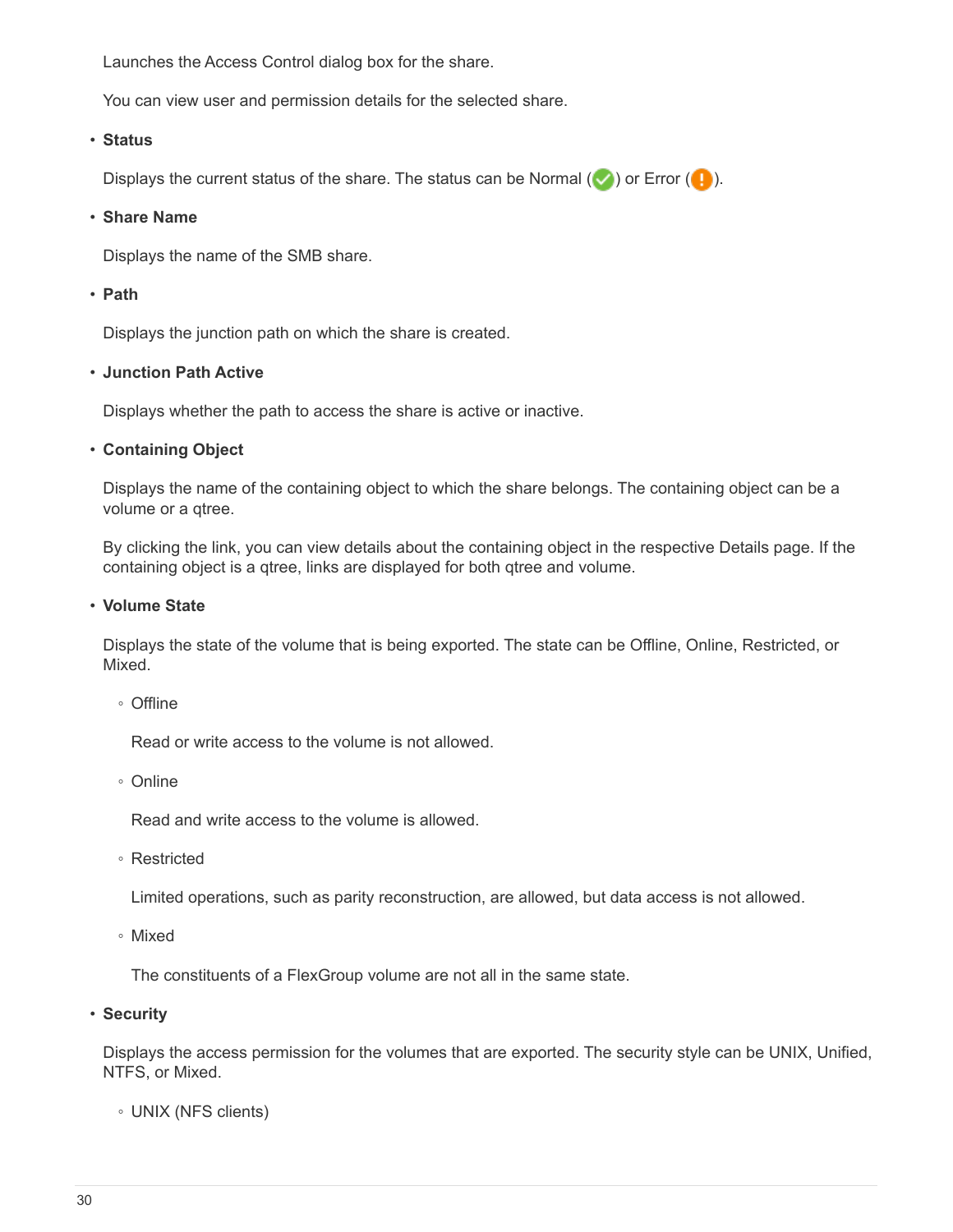Launches the Access Control dialog box for the share.

You can view user and permission details for the selected share.

#### • **Status**

Displays the current status of the share. The status can be Normal  $(\vee)$  or Error  $(\bullet)$ .

#### • **Share Name**

Displays the name of the SMB share.

#### • **Path**

Displays the junction path on which the share is created.

#### • **Junction Path Active**

Displays whether the path to access the share is active or inactive.

#### • **Containing Object**

Displays the name of the containing object to which the share belongs. The containing object can be a volume or a qtree.

By clicking the link, you can view details about the containing object in the respective Details page. If the containing object is a qtree, links are displayed for both qtree and volume.

#### • **Volume State**

Displays the state of the volume that is being exported. The state can be Offline, Online, Restricted, or Mixed.

◦ Offline

Read or write access to the volume is not allowed.

◦ Online

Read and write access to the volume is allowed.

◦ Restricted

Limited operations, such as parity reconstruction, are allowed, but data access is not allowed.

◦ Mixed

The constituents of a FlexGroup volume are not all in the same state.

• **Security**

Displays the access permission for the volumes that are exported. The security style can be UNIX, Unified, NTFS, or Mixed.

◦ UNIX (NFS clients)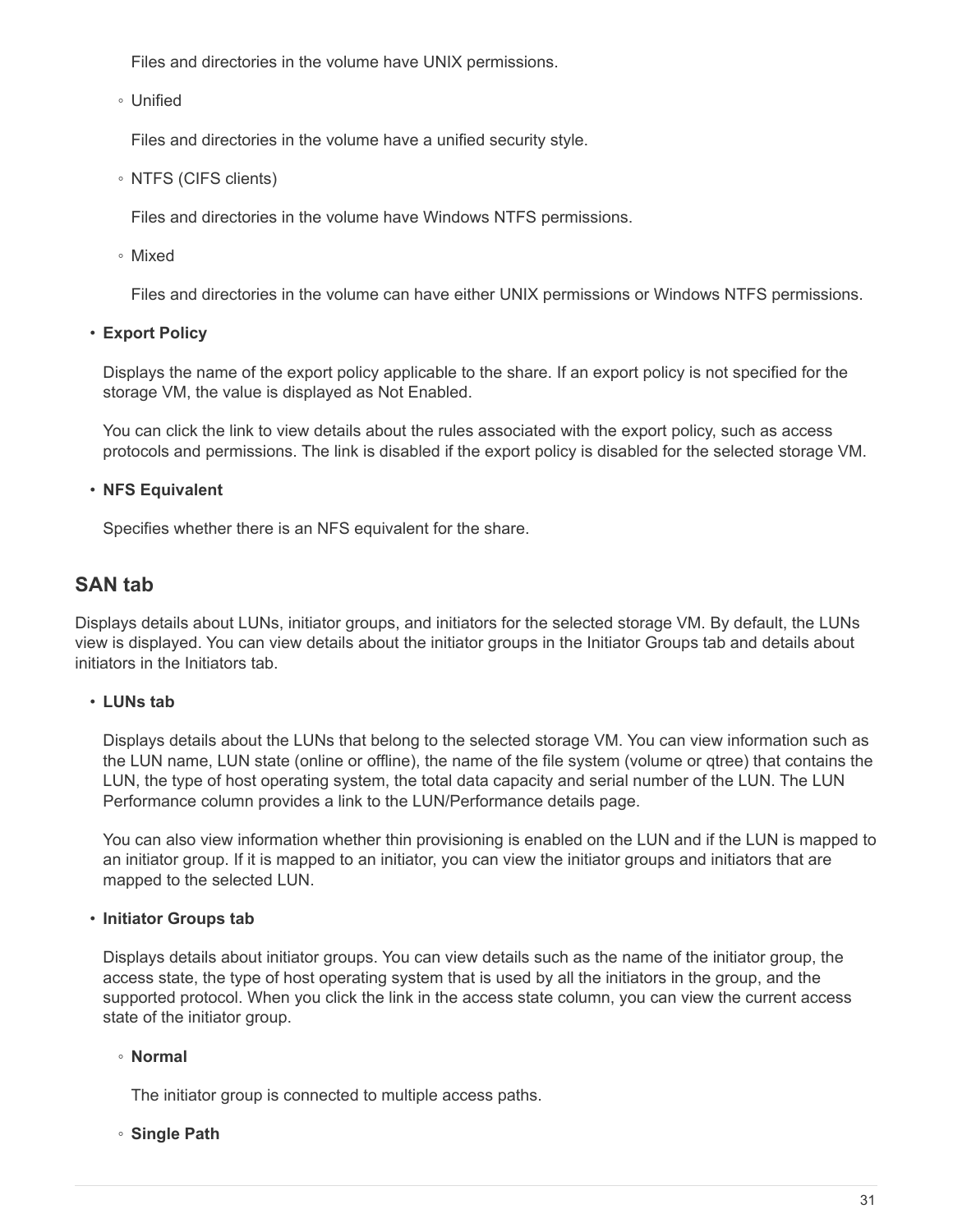Files and directories in the volume have UNIX permissions.

◦ Unified

Files and directories in the volume have a unified security style.

◦ NTFS (CIFS clients)

Files and directories in the volume have Windows NTFS permissions.

◦ Mixed

Files and directories in the volume can have either UNIX permissions or Windows NTFS permissions.

• **Export Policy**

Displays the name of the export policy applicable to the share. If an export policy is not specified for the storage VM, the value is displayed as Not Enabled.

You can click the link to view details about the rules associated with the export policy, such as access protocols and permissions. The link is disabled if the export policy is disabled for the selected storage VM.

#### • **NFS Equivalent**

Specifies whether there is an NFS equivalent for the share.

### **SAN tab**

Displays details about LUNs, initiator groups, and initiators for the selected storage VM. By default, the LUNs view is displayed. You can view details about the initiator groups in the Initiator Groups tab and details about initiators in the Initiators tab.

#### • **LUNs tab**

Displays details about the LUNs that belong to the selected storage VM. You can view information such as the LUN name, LUN state (online or offline), the name of the file system (volume or qtree) that contains the LUN, the type of host operating system, the total data capacity and serial number of the LUN. The LUN Performance column provides a link to the LUN/Performance details page.

You can also view information whether thin provisioning is enabled on the LUN and if the LUN is mapped to an initiator group. If it is mapped to an initiator, you can view the initiator groups and initiators that are mapped to the selected LUN.

#### • **Initiator Groups tab**

Displays details about initiator groups. You can view details such as the name of the initiator group, the access state, the type of host operating system that is used by all the initiators in the group, and the supported protocol. When you click the link in the access state column, you can view the current access state of the initiator group.

#### ◦ **Normal**

The initiator group is connected to multiple access paths.

◦ **Single Path**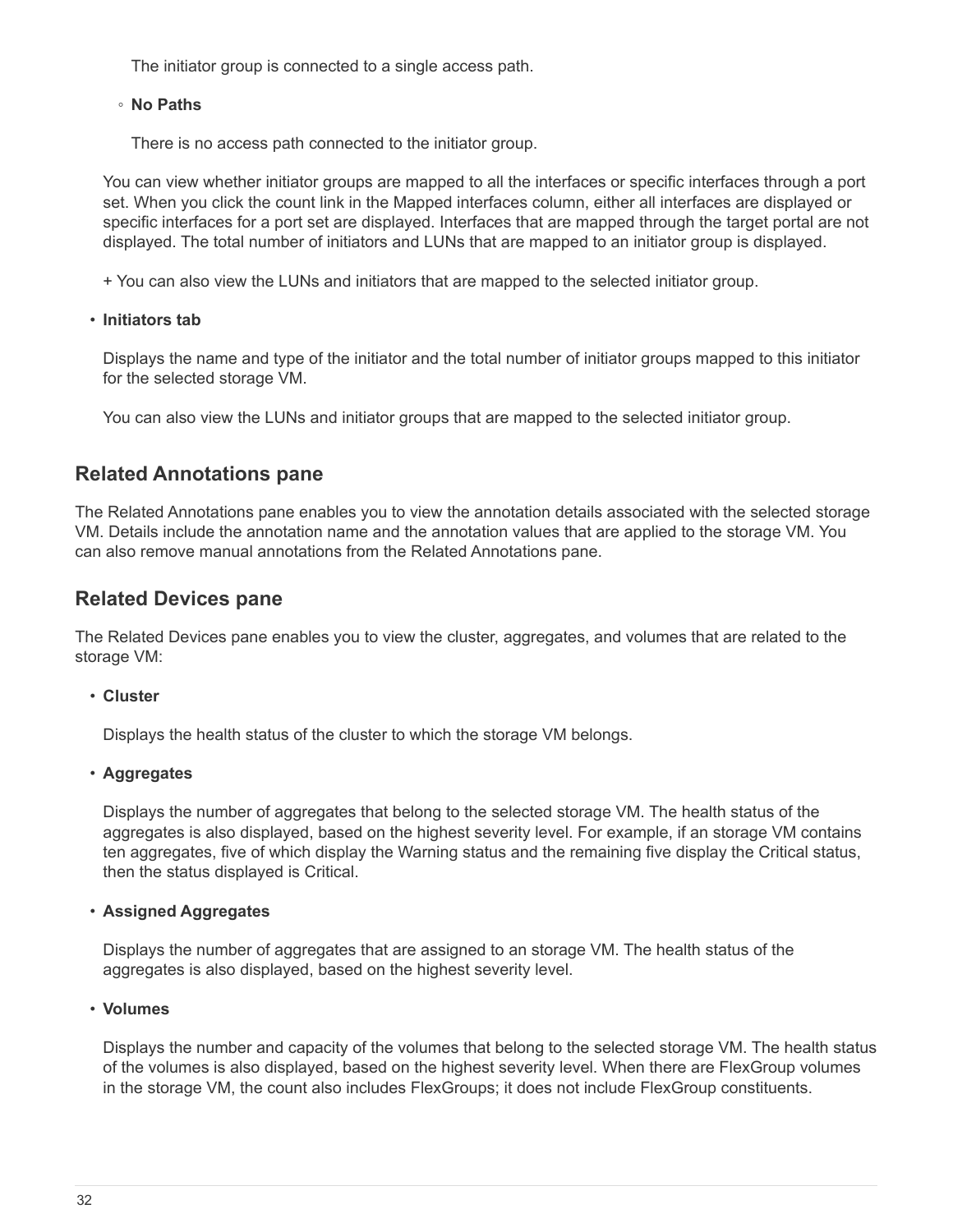The initiator group is connected to a single access path.

#### ◦ **No Paths**

There is no access path connected to the initiator group.

You can view whether initiator groups are mapped to all the interfaces or specific interfaces through a port set. When you click the count link in the Mapped interfaces column, either all interfaces are displayed or specific interfaces for a port set are displayed. Interfaces that are mapped through the target portal are not displayed. The total number of initiators and LUNs that are mapped to an initiator group is displayed.

+ You can also view the LUNs and initiators that are mapped to the selected initiator group.

#### • **Initiators tab**

Displays the name and type of the initiator and the total number of initiator groups mapped to this initiator for the selected storage VM.

You can also view the LUNs and initiator groups that are mapped to the selected initiator group.

### **Related Annotations pane**

The Related Annotations pane enables you to view the annotation details associated with the selected storage VM. Details include the annotation name and the annotation values that are applied to the storage VM. You can also remove manual annotations from the Related Annotations pane.

### **Related Devices pane**

The Related Devices pane enables you to view the cluster, aggregates, and volumes that are related to the storage VM:

#### • **Cluster**

Displays the health status of the cluster to which the storage VM belongs.

#### • **Aggregates**

Displays the number of aggregates that belong to the selected storage VM. The health status of the aggregates is also displayed, based on the highest severity level. For example, if an storage VM contains ten aggregates, five of which display the Warning status and the remaining five display the Critical status, then the status displayed is Critical.

#### • **Assigned Aggregates**

Displays the number of aggregates that are assigned to an storage VM. The health status of the aggregates is also displayed, based on the highest severity level.

#### • **Volumes**

Displays the number and capacity of the volumes that belong to the selected storage VM. The health status of the volumes is also displayed, based on the highest severity level. When there are FlexGroup volumes in the storage VM, the count also includes FlexGroups; it does not include FlexGroup constituents.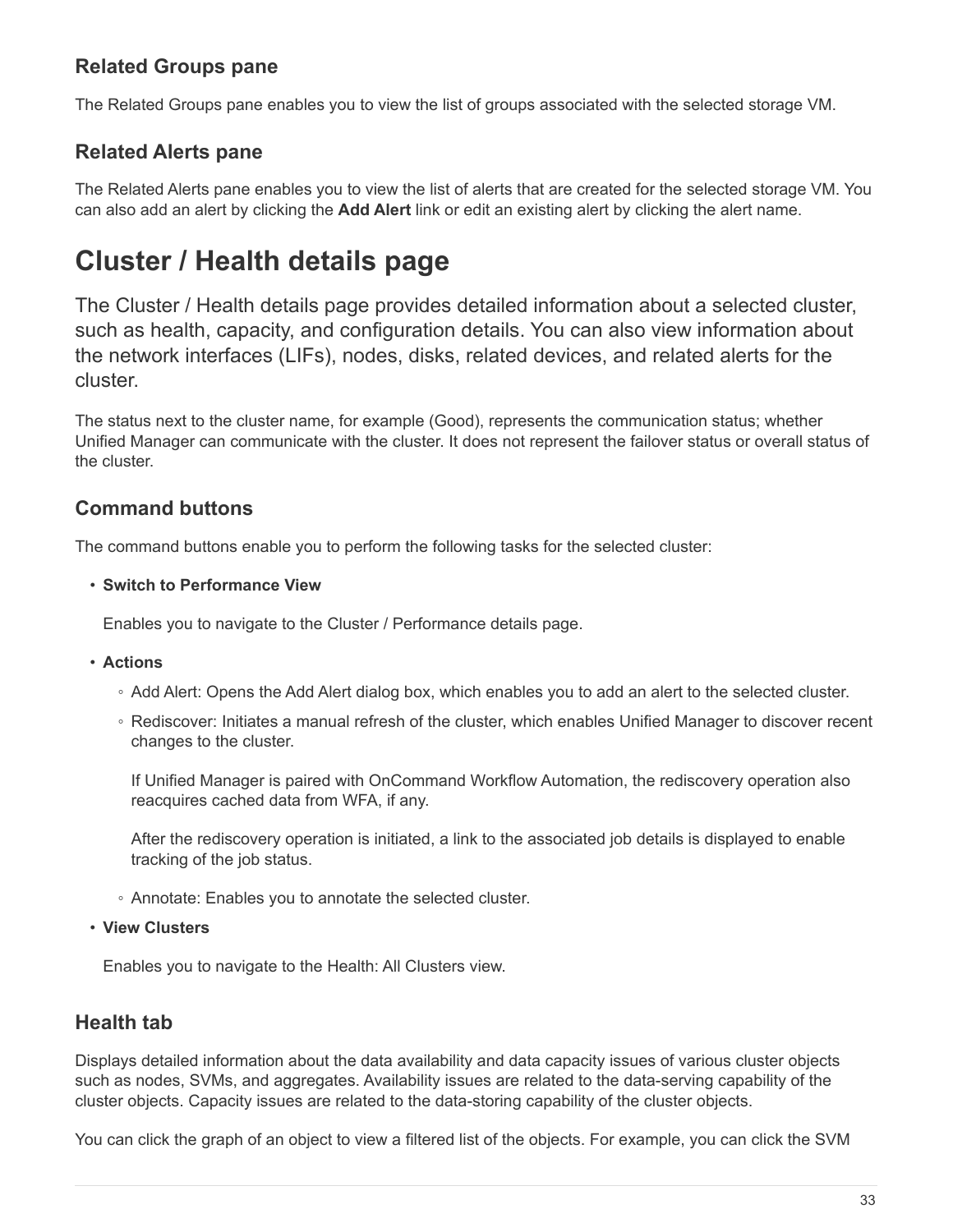### **Related Groups pane**

The Related Groups pane enables you to view the list of groups associated with the selected storage VM.

### **Related Alerts pane**

The Related Alerts pane enables you to view the list of alerts that are created for the selected storage VM. You can also add an alert by clicking the **Add Alert** link or edit an existing alert by clicking the alert name.

# <span id="page-34-0"></span>**Cluster / Health details page**

The Cluster / Health details page provides detailed information about a selected cluster, such as health, capacity, and configuration details. You can also view information about the network interfaces (LIFs), nodes, disks, related devices, and related alerts for the cluster.

The status next to the cluster name, for example (Good), represents the communication status; whether Unified Manager can communicate with the cluster. It does not represent the failover status or overall status of the cluster.

### **Command buttons**

The command buttons enable you to perform the following tasks for the selected cluster:

#### • **Switch to Performance View**

Enables you to navigate to the Cluster / Performance details page.

- **Actions**
	- Add Alert: Opens the Add Alert dialog box, which enables you to add an alert to the selected cluster.
	- Rediscover: Initiates a manual refresh of the cluster, which enables Unified Manager to discover recent changes to the cluster.

If Unified Manager is paired with OnCommand Workflow Automation, the rediscovery operation also reacquires cached data from WFA, if any.

After the rediscovery operation is initiated, a link to the associated job details is displayed to enable tracking of the job status.

- Annotate: Enables you to annotate the selected cluster.
- **View Clusters**

Enables you to navigate to the Health: All Clusters view.

### **Health tab**

Displays detailed information about the data availability and data capacity issues of various cluster objects such as nodes, SVMs, and aggregates. Availability issues are related to the data-serving capability of the cluster objects. Capacity issues are related to the data-storing capability of the cluster objects.

You can click the graph of an object to view a filtered list of the objects. For example, you can click the SVM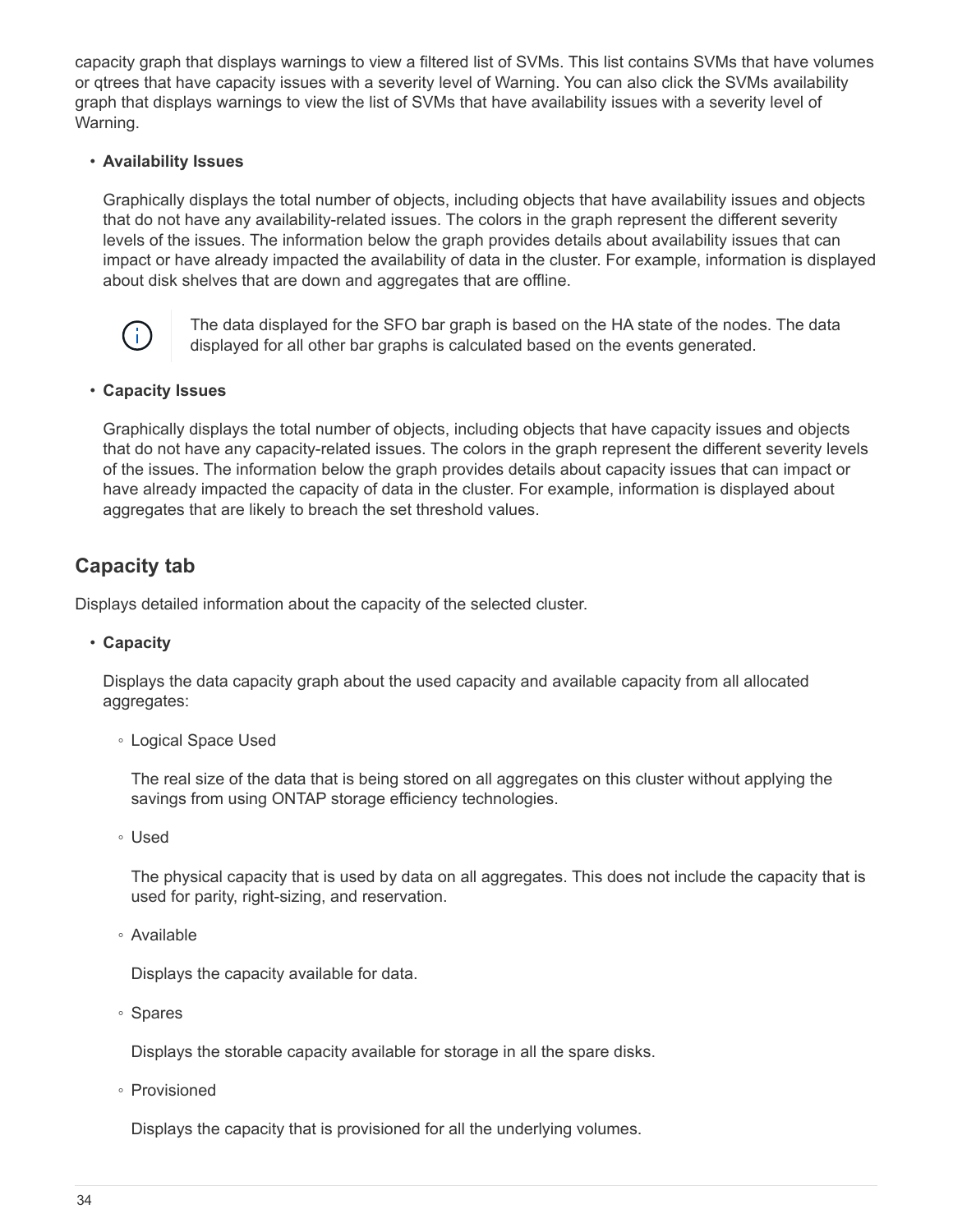capacity graph that displays warnings to view a filtered list of SVMs. This list contains SVMs that have volumes or qtrees that have capacity issues with a severity level of Warning. You can also click the SVMs availability graph that displays warnings to view the list of SVMs that have availability issues with a severity level of Warning.

#### • **Availability Issues**

Graphically displays the total number of objects, including objects that have availability issues and objects that do not have any availability-related issues. The colors in the graph represent the different severity levels of the issues. The information below the graph provides details about availability issues that can impact or have already impacted the availability of data in the cluster. For example, information is displayed about disk shelves that are down and aggregates that are offline.



The data displayed for the SFO bar graph is based on the HA state of the nodes. The data displayed for all other bar graphs is calculated based on the events generated.

#### • **Capacity Issues**

Graphically displays the total number of objects, including objects that have capacity issues and objects that do not have any capacity-related issues. The colors in the graph represent the different severity levels of the issues. The information below the graph provides details about capacity issues that can impact or have already impacted the capacity of data in the cluster. For example, information is displayed about aggregates that are likely to breach the set threshold values.

### **Capacity tab**

Displays detailed information about the capacity of the selected cluster.

• **Capacity**

Displays the data capacity graph about the used capacity and available capacity from all allocated aggregates:

◦ Logical Space Used

The real size of the data that is being stored on all aggregates on this cluster without applying the savings from using ONTAP storage efficiency technologies.

◦ Used

The physical capacity that is used by data on all aggregates. This does not include the capacity that is used for parity, right-sizing, and reservation.

◦ Available

Displays the capacity available for data.

◦ Spares

Displays the storable capacity available for storage in all the spare disks.

◦ Provisioned

Displays the capacity that is provisioned for all the underlying volumes.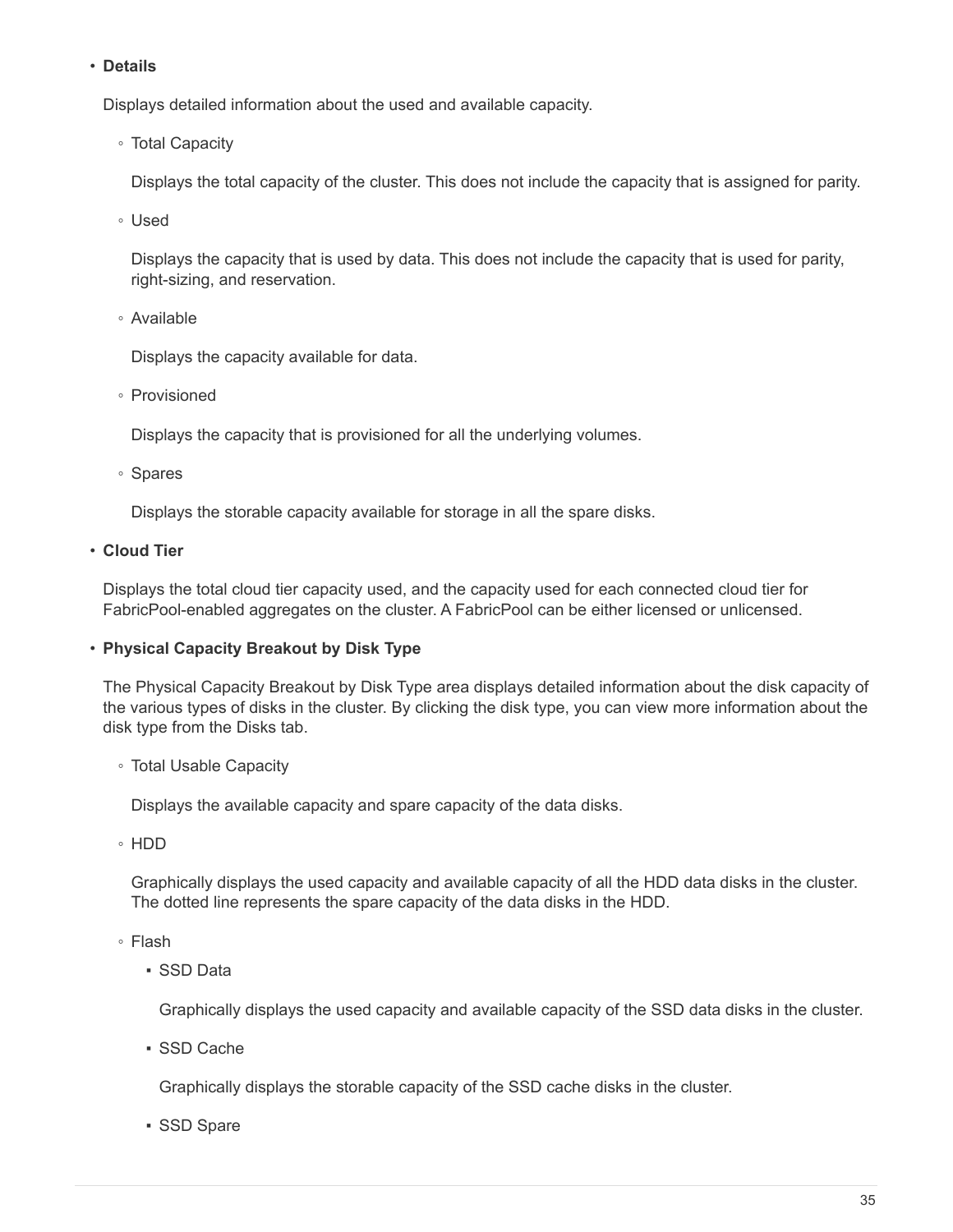#### • **Details**

Displays detailed information about the used and available capacity.

◦ Total Capacity

Displays the total capacity of the cluster. This does not include the capacity that is assigned for parity.

◦ Used

Displays the capacity that is used by data. This does not include the capacity that is used for parity, right-sizing, and reservation.

◦ Available

Displays the capacity available for data.

◦ Provisioned

Displays the capacity that is provisioned for all the underlying volumes.

◦ Spares

Displays the storable capacity available for storage in all the spare disks.

• **Cloud Tier**

Displays the total cloud tier capacity used, and the capacity used for each connected cloud tier for FabricPool-enabled aggregates on the cluster. A FabricPool can be either licensed or unlicensed.

#### • **Physical Capacity Breakout by Disk Type**

The Physical Capacity Breakout by Disk Type area displays detailed information about the disk capacity of the various types of disks in the cluster. By clicking the disk type, you can view more information about the disk type from the Disks tab.

◦ Total Usable Capacity

Displays the available capacity and spare capacity of the data disks.

◦ HDD

Graphically displays the used capacity and available capacity of all the HDD data disks in the cluster. The dotted line represents the spare capacity of the data disks in the HDD.

- Flash
	- SSD Data

Graphically displays the used capacity and available capacity of the SSD data disks in the cluster.

▪ SSD Cache

Graphically displays the storable capacity of the SSD cache disks in the cluster.

▪ SSD Spare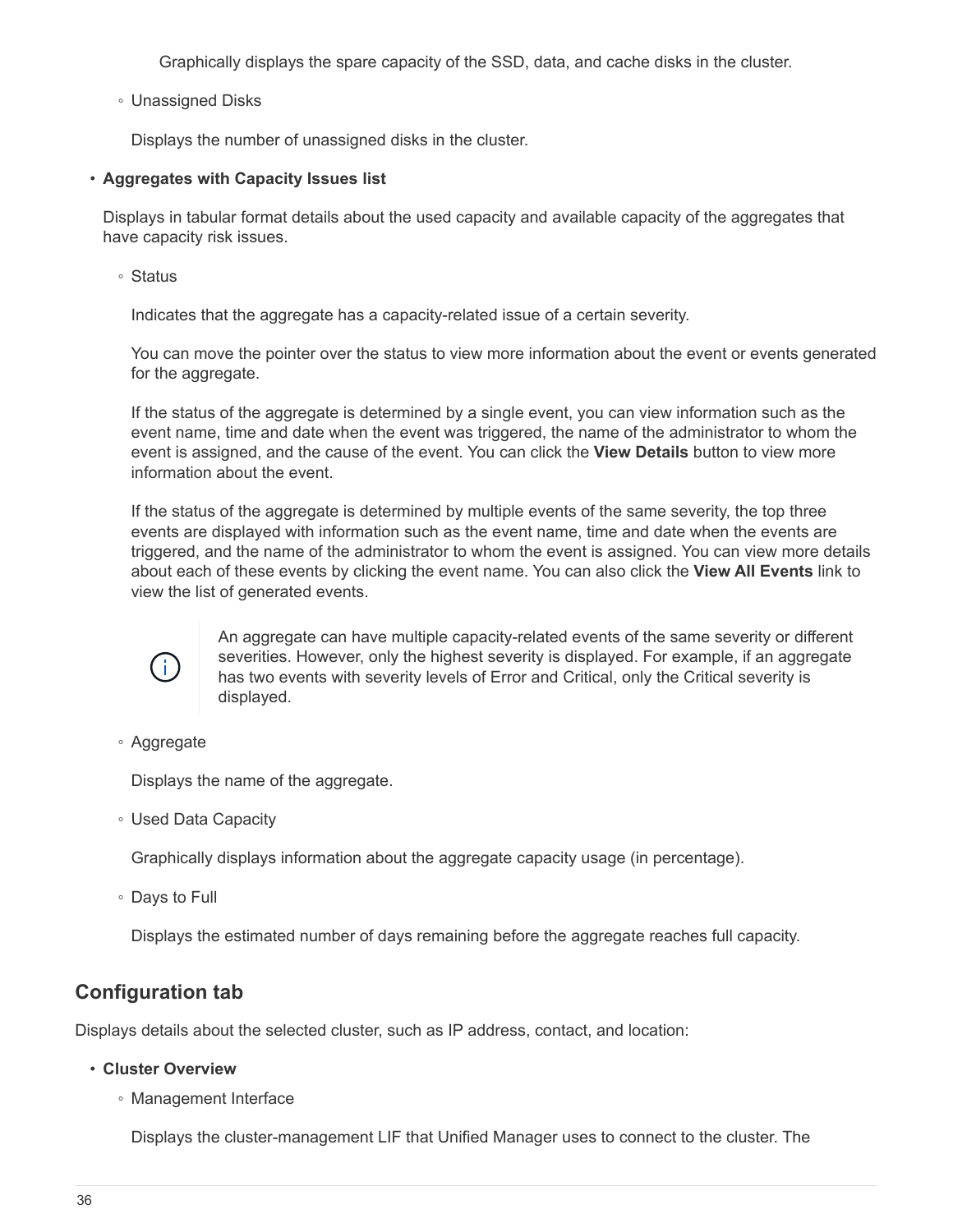Graphically displays the spare capacity of the SSD, data, and cache disks in the cluster.

◦ Unassigned Disks

Displays the number of unassigned disks in the cluster.

#### • **Aggregates with Capacity Issues list**

Displays in tabular format details about the used capacity and available capacity of the aggregates that have capacity risk issues.

◦ Status

Indicates that the aggregate has a capacity-related issue of a certain severity.

You can move the pointer over the status to view more information about the event or events generated for the aggregate.

If the status of the aggregate is determined by a single event, you can view information such as the event name, time and date when the event was triggered, the name of the administrator to whom the event is assigned, and the cause of the event. You can click the **View Details** button to view more information about the event.

If the status of the aggregate is determined by multiple events of the same severity, the top three events are displayed with information such as the event name, time and date when the events are triggered, and the name of the administrator to whom the event is assigned. You can view more details about each of these events by clicking the event name. You can also click the **View All Events** link to view the list of generated events.



An aggregate can have multiple capacity-related events of the same severity or different severities. However, only the highest severity is displayed. For example, if an aggregate has two events with severity levels of Error and Critical, only the Critical severity is displayed.

◦ Aggregate

Displays the name of the aggregate.

◦ Used Data Capacity

Graphically displays information about the aggregate capacity usage (in percentage).

◦ Days to Full

Displays the estimated number of days remaining before the aggregate reaches full capacity.

### **Configuration tab**

Displays details about the selected cluster, such as IP address, contact, and location:

- **Cluster Overview**
	- Management Interface

Displays the cluster-management LIF that Unified Manager uses to connect to the cluster. The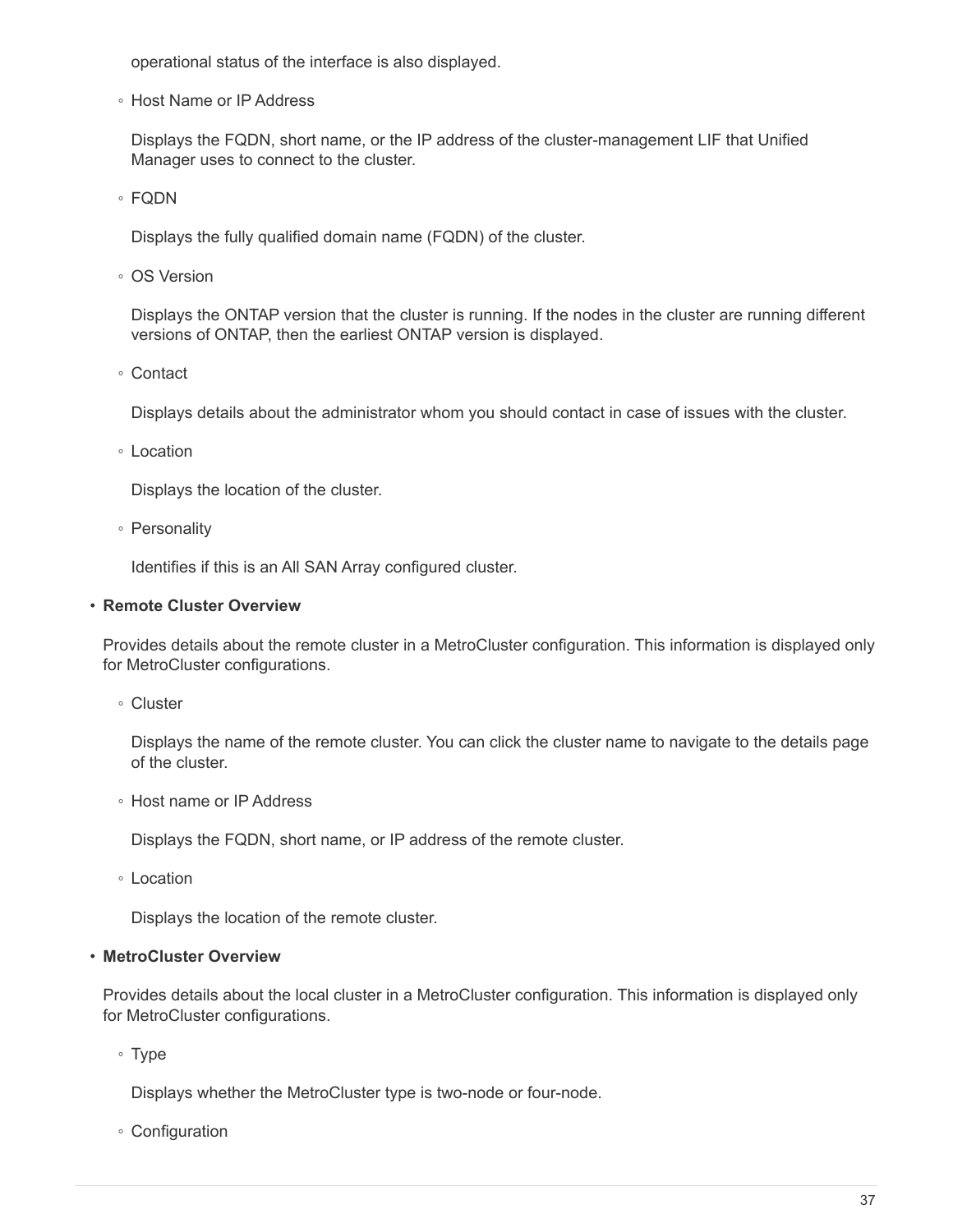operational status of the interface is also displayed.

◦ Host Name or IP Address

Displays the FQDN, short name, or the IP address of the cluster-management LIF that Unified Manager uses to connect to the cluster.

◦ FQDN

Displays the fully qualified domain name (FQDN) of the cluster.

◦ OS Version

Displays the ONTAP version that the cluster is running. If the nodes in the cluster are running different versions of ONTAP, then the earliest ONTAP version is displayed.

◦ Contact

Displays details about the administrator whom you should contact in case of issues with the cluster.

◦ Location

Displays the location of the cluster.

◦ Personality

Identifies if this is an All SAN Array configured cluster.

#### • **Remote Cluster Overview**

Provides details about the remote cluster in a MetroCluster configuration. This information is displayed only for MetroCluster configurations.

◦ Cluster

Displays the name of the remote cluster. You can click the cluster name to navigate to the details page of the cluster.

◦ Host name or IP Address

Displays the FQDN, short name, or IP address of the remote cluster.

◦ Location

Displays the location of the remote cluster.

#### • **MetroCluster Overview**

Provides details about the local cluster in a MetroCluster configuration. This information is displayed only for MetroCluster configurations.

◦ Type

Displays whether the MetroCluster type is two-node or four-node.

◦ Configuration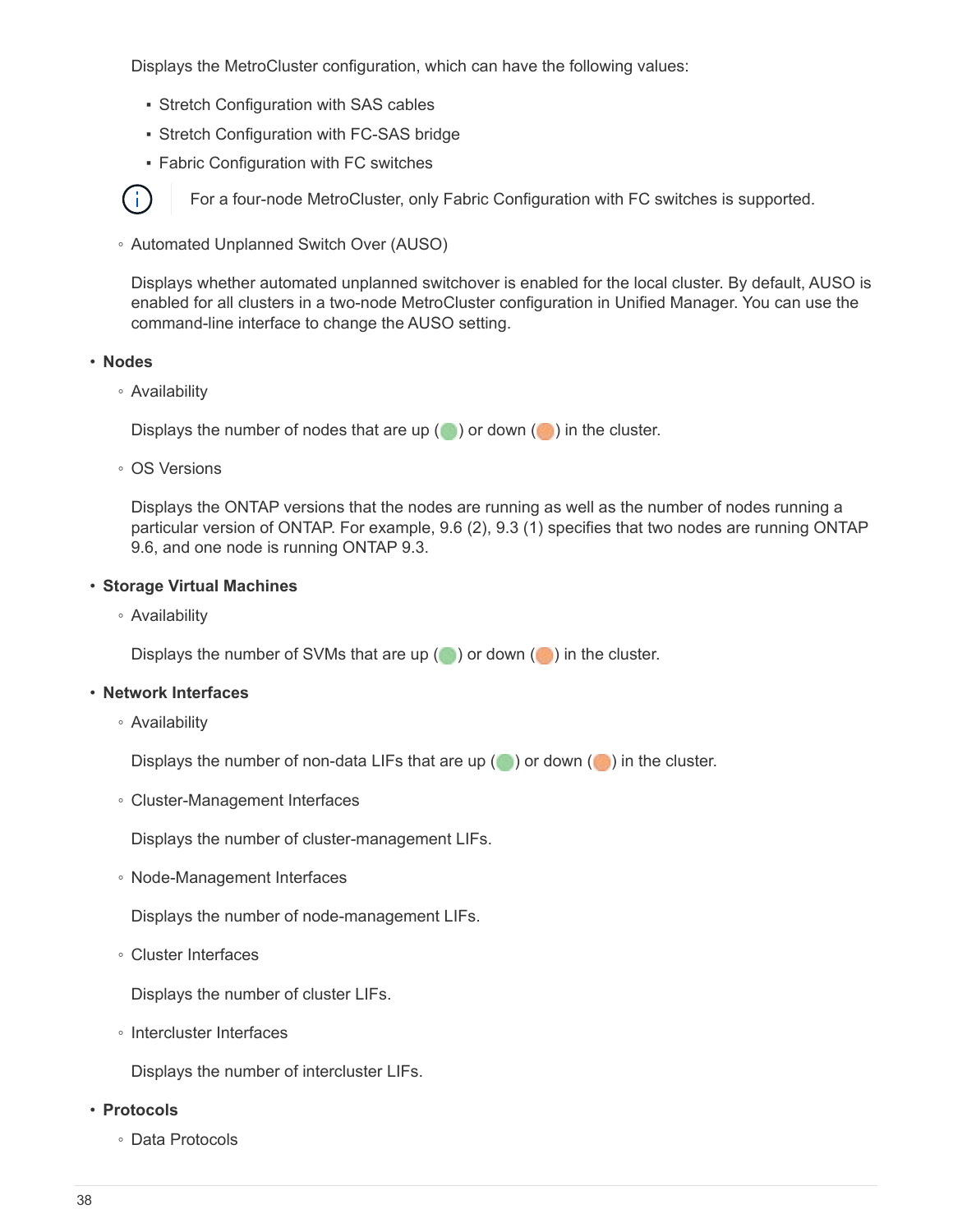Displays the MetroCluster configuration, which can have the following values:

- **Stretch Configuration with SAS cables**
- **Stretch Configuration with FC-SAS bridge**
- **Fabric Configuration with FC switches**

For a four-node MetroCluster, only Fabric Configuration with FC switches is supported.

◦ Automated Unplanned Switch Over (AUSO)

Displays whether automated unplanned switchover is enabled for the local cluster. By default, AUSO is enabled for all clusters in a two-node MetroCluster configuration in Unified Manager. You can use the command-line interface to change the AUSO setting.

#### • **Nodes**

 $\mathbf{f}$ 

◦ Availability

Displays the number of nodes that are up  $(\bullet)$  or down  $(\bullet)$  in the cluster.

◦ OS Versions

Displays the ONTAP versions that the nodes are running as well as the number of nodes running a particular version of ONTAP. For example, 9.6 (2), 9.3 (1) specifies that two nodes are running ONTAP 9.6, and one node is running ONTAP 9.3.

#### • **Storage Virtual Machines**

◦ Availability

Displays the number of SVMs that are up  $($  ) or down  $($  ) in the cluster.

#### • **Network Interfaces**

◦ Availability

Displays the number of non-data LIFs that are up  $(\bullet)$  or down  $(\bullet)$  in the cluster.

◦ Cluster-Management Interfaces

Displays the number of cluster-management LIFs.

◦ Node-Management Interfaces

Displays the number of node-management LIFs.

◦ Cluster Interfaces

Displays the number of cluster LIFs.

◦ Intercluster Interfaces

Displays the number of intercluster LIFs.

#### • **Protocols**

◦ Data Protocols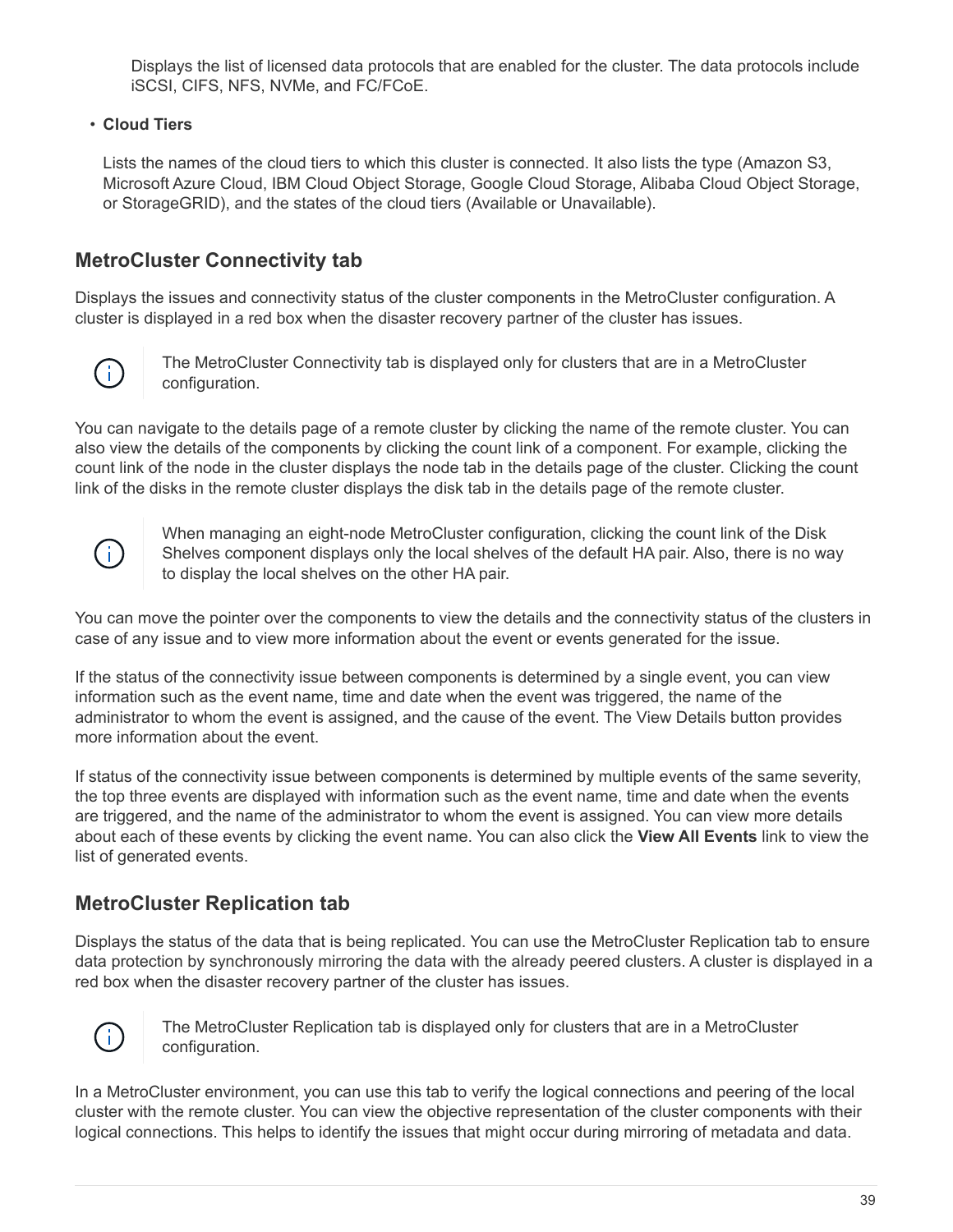Displays the list of licensed data protocols that are enabled for the cluster. The data protocols include iSCSI, CIFS, NFS, NVMe, and FC/FCoE.

#### • **Cloud Tiers**

Lists the names of the cloud tiers to which this cluster is connected. It also lists the type (Amazon S3, Microsoft Azure Cloud, IBM Cloud Object Storage, Google Cloud Storage, Alibaba Cloud Object Storage, or StorageGRID), and the states of the cloud tiers (Available or Unavailable).

### **MetroCluster Connectivity tab**

Displays the issues and connectivity status of the cluster components in the MetroCluster configuration. A cluster is displayed in a red box when the disaster recovery partner of the cluster has issues.



The MetroCluster Connectivity tab is displayed only for clusters that are in a MetroCluster configuration.

You can navigate to the details page of a remote cluster by clicking the name of the remote cluster. You can also view the details of the components by clicking the count link of a component. For example, clicking the count link of the node in the cluster displays the node tab in the details page of the cluster. Clicking the count link of the disks in the remote cluster displays the disk tab in the details page of the remote cluster.



When managing an eight-node MetroCluster configuration, clicking the count link of the Disk Shelves component displays only the local shelves of the default HA pair. Also, there is no way to display the local shelves on the other HA pair.

You can move the pointer over the components to view the details and the connectivity status of the clusters in case of any issue and to view more information about the event or events generated for the issue.

If the status of the connectivity issue between components is determined by a single event, you can view information such as the event name, time and date when the event was triggered, the name of the administrator to whom the event is assigned, and the cause of the event. The View Details button provides more information about the event.

If status of the connectivity issue between components is determined by multiple events of the same severity, the top three events are displayed with information such as the event name, time and date when the events are triggered, and the name of the administrator to whom the event is assigned. You can view more details about each of these events by clicking the event name. You can also click the **View All Events** link to view the list of generated events.

### **MetroCluster Replication tab**

Displays the status of the data that is being replicated. You can use the MetroCluster Replication tab to ensure data protection by synchronously mirroring the data with the already peered clusters. A cluster is displayed in a red box when the disaster recovery partner of the cluster has issues.



The MetroCluster Replication tab is displayed only for clusters that are in a MetroCluster configuration.

In a MetroCluster environment, you can use this tab to verify the logical connections and peering of the local cluster with the remote cluster. You can view the objective representation of the cluster components with their logical connections. This helps to identify the issues that might occur during mirroring of metadata and data.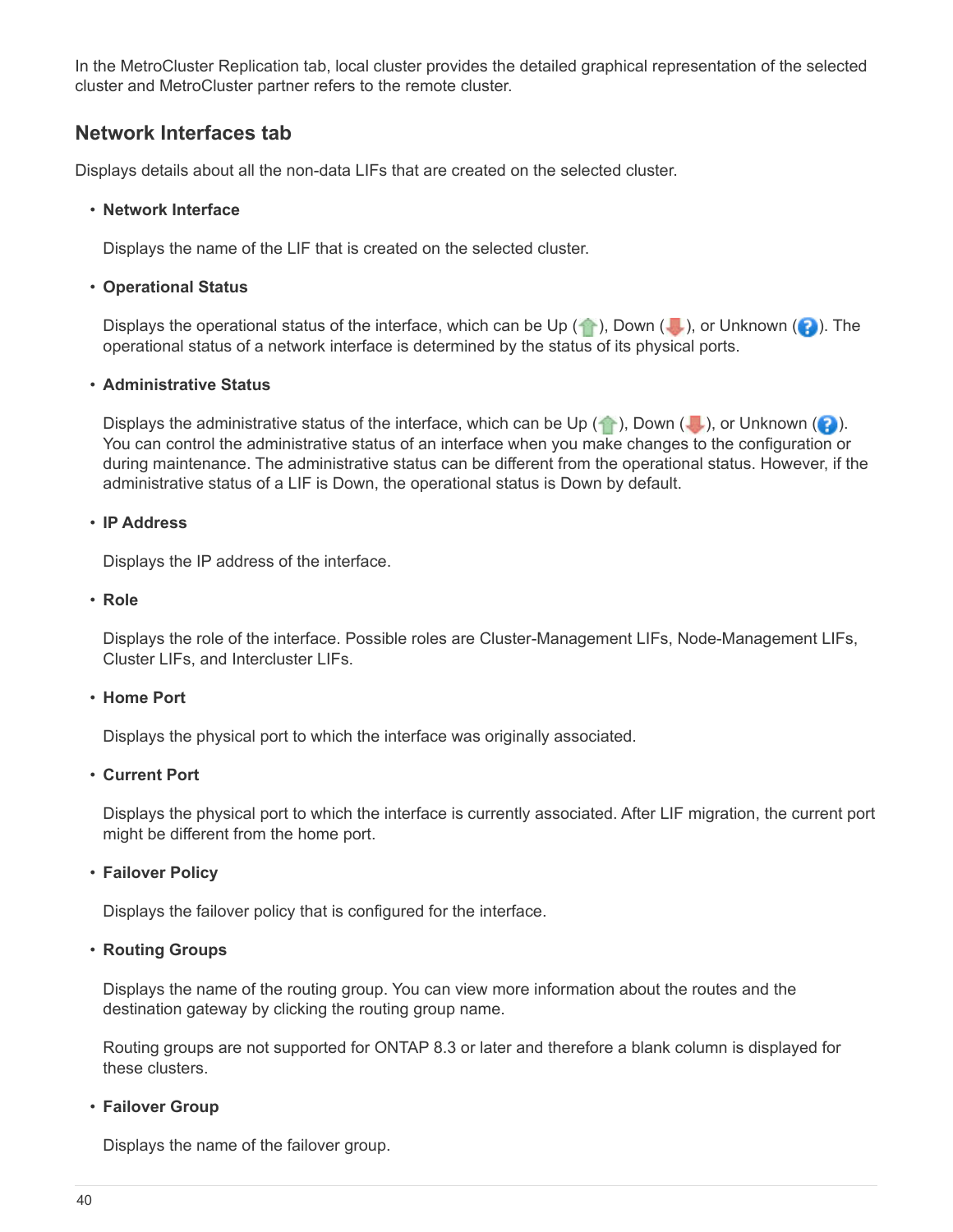In the MetroCluster Replication tab, local cluster provides the detailed graphical representation of the selected cluster and MetroCluster partner refers to the remote cluster.

### **Network Interfaces tab**

Displays details about all the non-data LIFs that are created on the selected cluster.

#### • **Network Interface**

Displays the name of the LIF that is created on the selected cluster.

#### • **Operational Status**

Displays the operational status of the interface, which can be Up  $(\bullet)$ , Down  $(\bullet)$ , or Unknown  $(\bullet)$ . The operational status of a network interface is determined by the status of its physical ports.

#### • **Administrative Status**

Displays the administrative status of the interface, which can be Up  $( \cdot )$ , Down ( $\cdot )$ , or Unknown ( $\cdot )$ ). You can control the administrative status of an interface when you make changes to the configuration or during maintenance. The administrative status can be different from the operational status. However, if the administrative status of a LIF is Down, the operational status is Down by default.

#### • **IP Address**

Displays the IP address of the interface.

• **Role**

Displays the role of the interface. Possible roles are Cluster-Management LIFs, Node-Management LIFs, Cluster LIFs, and Intercluster LIFs.

#### • **Home Port**

Displays the physical port to which the interface was originally associated.

#### • **Current Port**

Displays the physical port to which the interface is currently associated. After LIF migration, the current port might be different from the home port.

#### • **Failover Policy**

Displays the failover policy that is configured for the interface.

#### • **Routing Groups**

Displays the name of the routing group. You can view more information about the routes and the destination gateway by clicking the routing group name.

Routing groups are not supported for ONTAP 8.3 or later and therefore a blank column is displayed for these clusters.

#### • **Failover Group**

Displays the name of the failover group.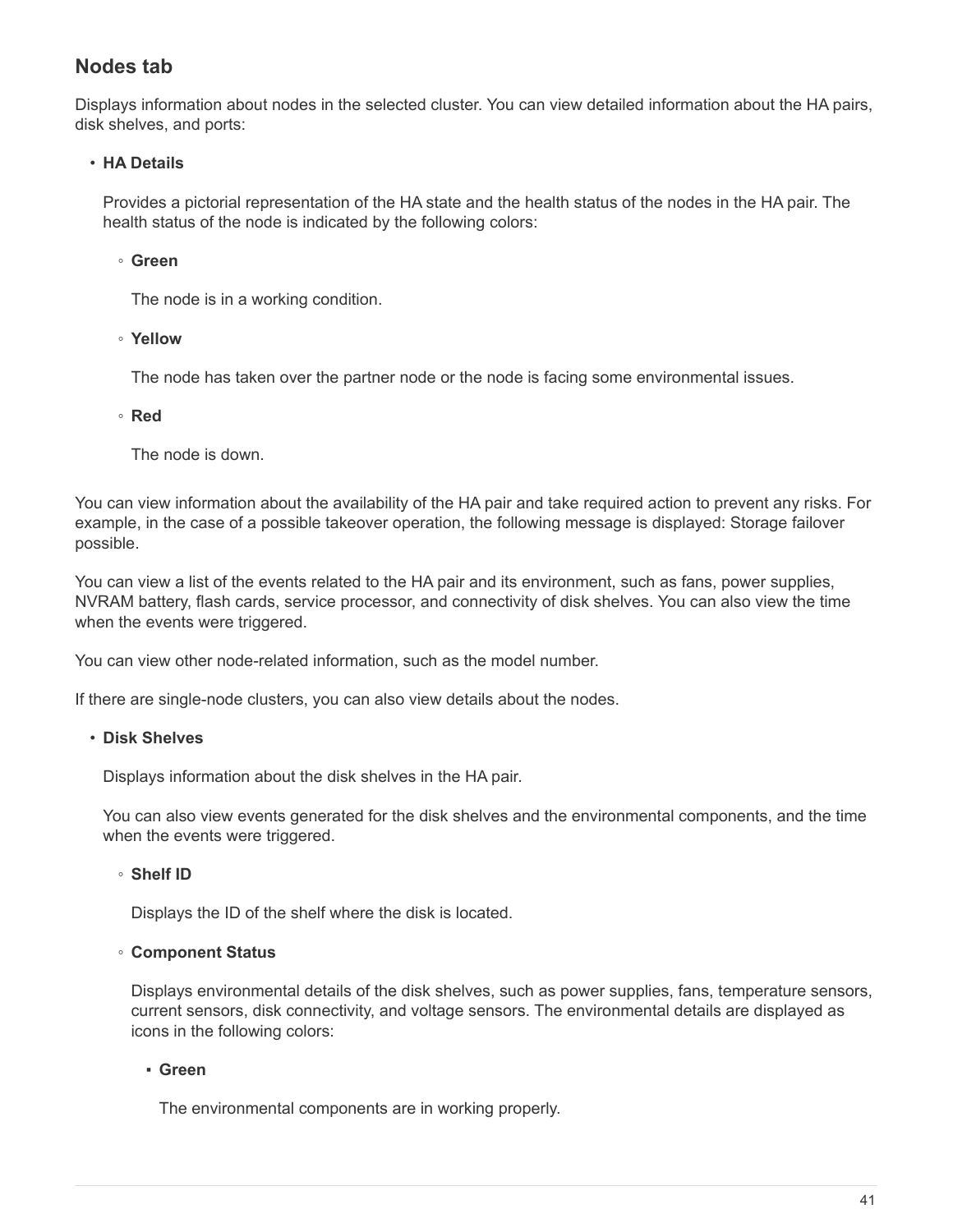### **Nodes tab**

Displays information about nodes in the selected cluster. You can view detailed information about the HA pairs, disk shelves, and ports:

#### • **HA Details**

Provides a pictorial representation of the HA state and the health status of the nodes in the HA pair. The health status of the node is indicated by the following colors:

#### ◦ **Green**

The node is in a working condition.

◦ **Yellow**

The node has taken over the partner node or the node is facing some environmental issues.

◦ **Red**

The node is down.

You can view information about the availability of the HA pair and take required action to prevent any risks. For example, in the case of a possible takeover operation, the following message is displayed: Storage failover possible.

You can view a list of the events related to the HA pair and its environment, such as fans, power supplies, NVRAM battery, flash cards, service processor, and connectivity of disk shelves. You can also view the time when the events were triggered.

You can view other node-related information, such as the model number.

If there are single-node clusters, you can also view details about the nodes.

#### • **Disk Shelves**

Displays information about the disk shelves in the HA pair.

You can also view events generated for the disk shelves and the environmental components, and the time when the events were triggered.

#### ◦ **Shelf ID**

Displays the ID of the shelf where the disk is located.

#### ◦ **Component Status**

Displays environmental details of the disk shelves, such as power supplies, fans, temperature sensors, current sensors, disk connectivity, and voltage sensors. The environmental details are displayed as icons in the following colors:

#### ▪ **Green**

The environmental components are in working properly.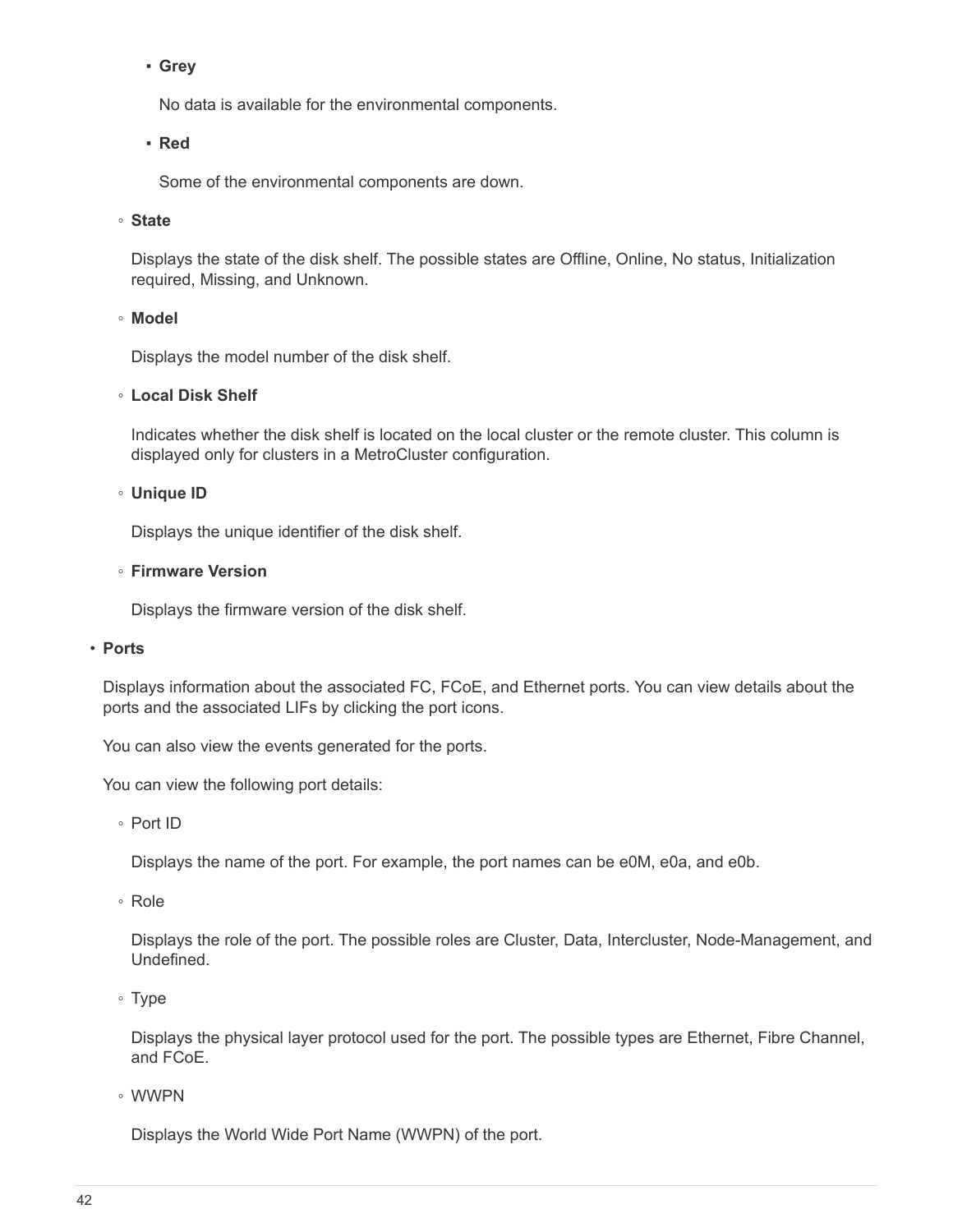#### ▪ **Grey**

No data is available for the environmental components.

#### ▪ **Red**

Some of the environmental components are down.

#### ◦ **State**

Displays the state of the disk shelf. The possible states are Offline, Online, No status, Initialization required, Missing, and Unknown.

#### ◦ **Model**

Displays the model number of the disk shelf.

#### ◦ **Local Disk Shelf**

Indicates whether the disk shelf is located on the local cluster or the remote cluster. This column is displayed only for clusters in a MetroCluster configuration.

#### ◦ **Unique ID**

Displays the unique identifier of the disk shelf.

#### ◦ **Firmware Version**

Displays the firmware version of the disk shelf.

#### • **Ports**

Displays information about the associated FC, FCoE, and Ethernet ports. You can view details about the ports and the associated LIFs by clicking the port icons.

You can also view the events generated for the ports.

You can view the following port details:

◦ Port ID

Displays the name of the port. For example, the port names can be e0M, e0a, and e0b.

◦ Role

Displays the role of the port. The possible roles are Cluster, Data, Intercluster, Node-Management, and Undefined.

◦ Type

Displays the physical layer protocol used for the port. The possible types are Ethernet, Fibre Channel, and FCoE.

◦ WWPN

Displays the World Wide Port Name (WWPN) of the port.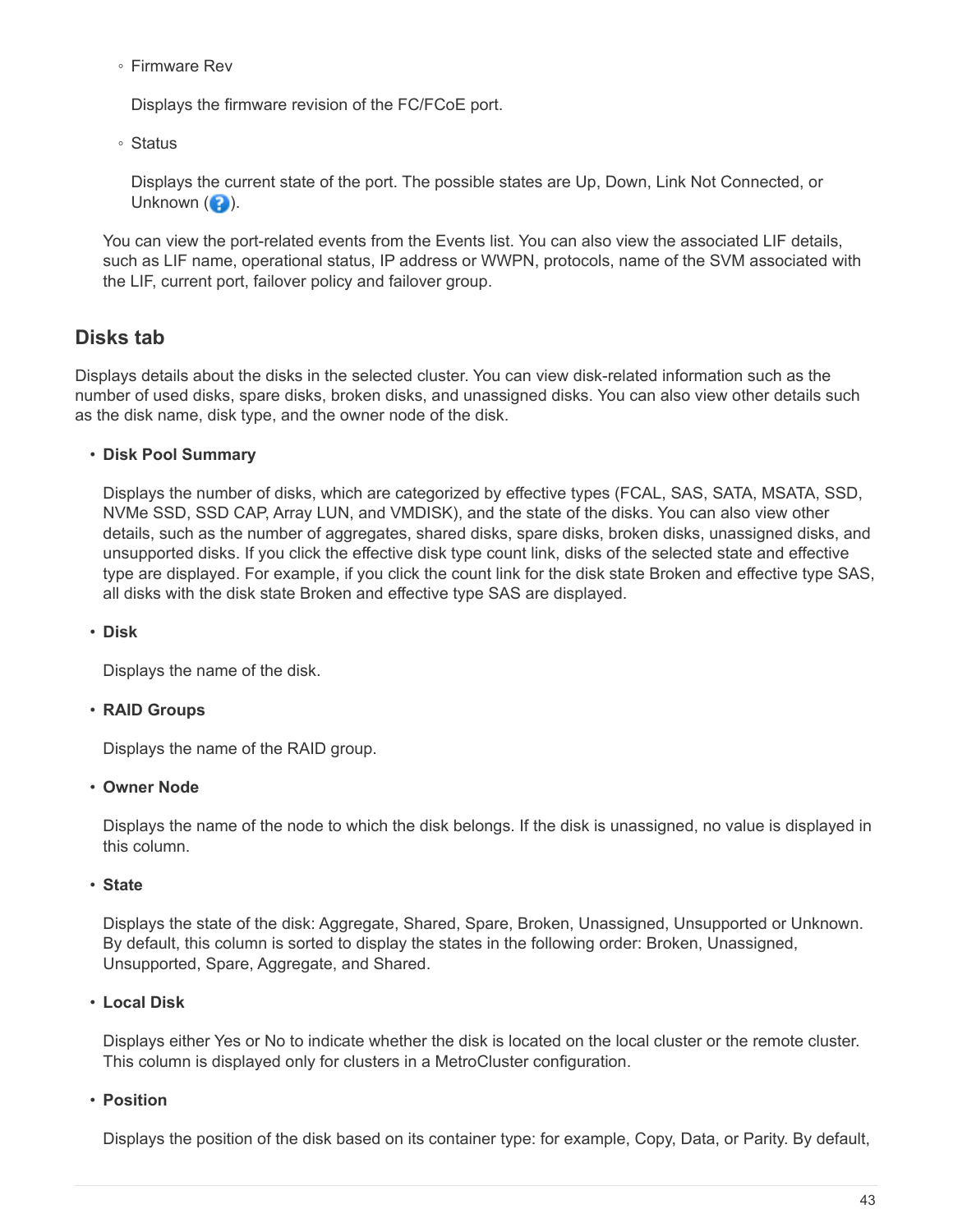◦ Firmware Rev

Displays the firmware revision of the FC/FCoE port.

◦ Status

Displays the current state of the port. The possible states are Up, Down, Link Not Connected, or Unknown  $\left( \bullet \right)$ .

You can view the port-related events from the Events list. You can also view the associated LIF details, such as LIF name, operational status, IP address or WWPN, protocols, name of the SVM associated with the LIF, current port, failover policy and failover group.

### **Disks tab**

Displays details about the disks in the selected cluster. You can view disk-related information such as the number of used disks, spare disks, broken disks, and unassigned disks. You can also view other details such as the disk name, disk type, and the owner node of the disk.

#### • **Disk Pool Summary**

Displays the number of disks, which are categorized by effective types (FCAL, SAS, SATA, MSATA, SSD, NVMe SSD, SSD CAP, Array LUN, and VMDISK), and the state of the disks. You can also view other details, such as the number of aggregates, shared disks, spare disks, broken disks, unassigned disks, and unsupported disks. If you click the effective disk type count link, disks of the selected state and effective type are displayed. For example, if you click the count link for the disk state Broken and effective type SAS, all disks with the disk state Broken and effective type SAS are displayed.

#### • **Disk**

Displays the name of the disk.

#### • **RAID Groups**

Displays the name of the RAID group.

#### • **Owner Node**

Displays the name of the node to which the disk belongs. If the disk is unassigned, no value is displayed in this column.

#### • **State**

Displays the state of the disk: Aggregate, Shared, Spare, Broken, Unassigned, Unsupported or Unknown. By default, this column is sorted to display the states in the following order: Broken, Unassigned, Unsupported, Spare, Aggregate, and Shared.

#### • **Local Disk**

Displays either Yes or No to indicate whether the disk is located on the local cluster or the remote cluster. This column is displayed only for clusters in a MetroCluster configuration.

#### • **Position**

Displays the position of the disk based on its container type: for example, Copy, Data, or Parity. By default,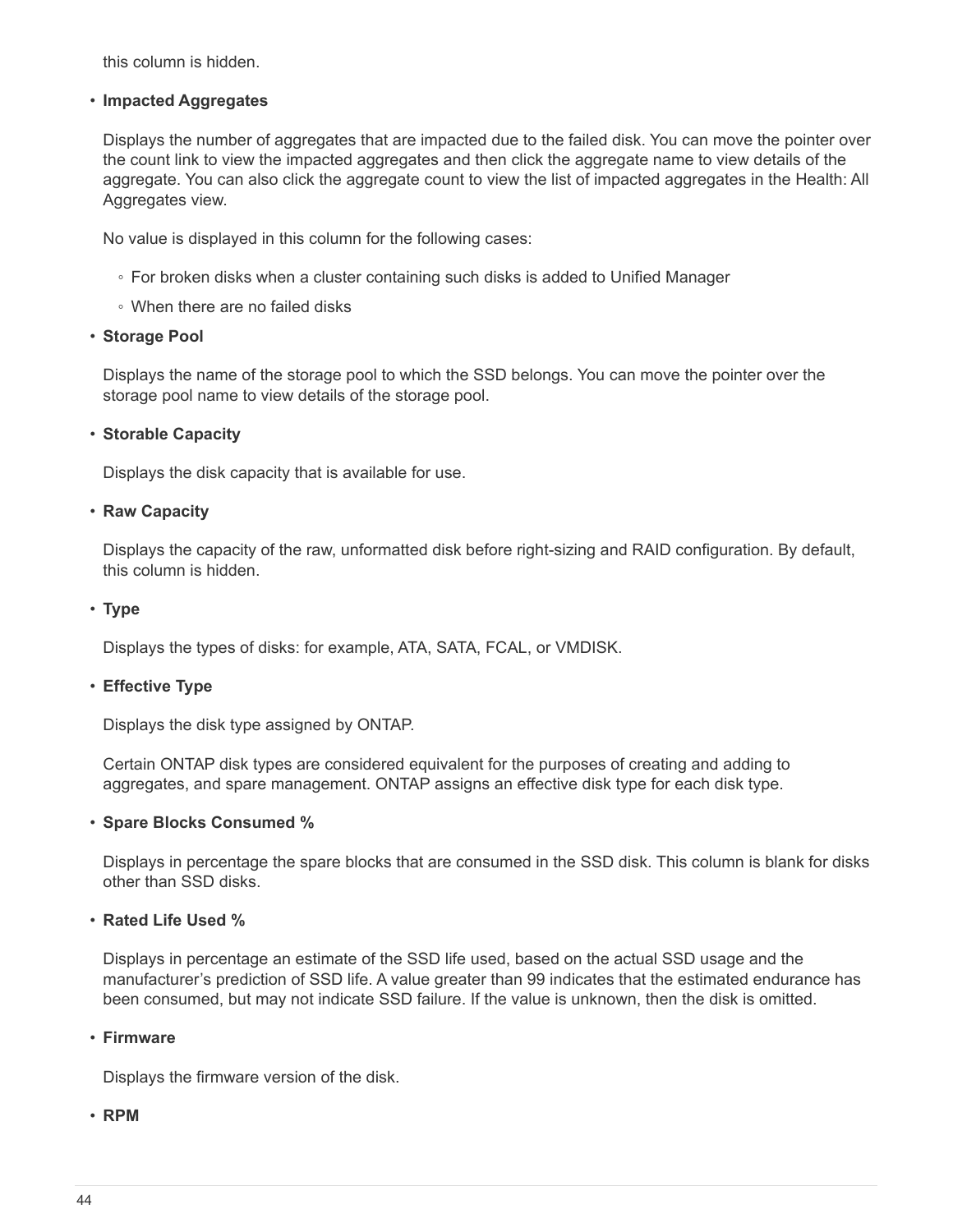this column is hidden.

#### • **Impacted Aggregates**

Displays the number of aggregates that are impacted due to the failed disk. You can move the pointer over the count link to view the impacted aggregates and then click the aggregate name to view details of the aggregate. You can also click the aggregate count to view the list of impacted aggregates in the Health: All Aggregates view.

No value is displayed in this column for the following cases:

- For broken disks when a cluster containing such disks is added to Unified Manager
- When there are no failed disks

#### • **Storage Pool**

Displays the name of the storage pool to which the SSD belongs. You can move the pointer over the storage pool name to view details of the storage pool.

#### • **Storable Capacity**

Displays the disk capacity that is available for use.

#### • **Raw Capacity**

Displays the capacity of the raw, unformatted disk before right-sizing and RAID configuration. By default, this column is hidden.

#### • **Type**

Displays the types of disks: for example, ATA, SATA, FCAL, or VMDISK.

#### • **Effective Type**

Displays the disk type assigned by ONTAP.

Certain ONTAP disk types are considered equivalent for the purposes of creating and adding to aggregates, and spare management. ONTAP assigns an effective disk type for each disk type.

#### • **Spare Blocks Consumed %**

Displays in percentage the spare blocks that are consumed in the SSD disk. This column is blank for disks other than SSD disks.

#### • **Rated Life Used %**

Displays in percentage an estimate of the SSD life used, based on the actual SSD usage and the manufacturer's prediction of SSD life. A value greater than 99 indicates that the estimated endurance has been consumed, but may not indicate SSD failure. If the value is unknown, then the disk is omitted.

#### • **Firmware**

Displays the firmware version of the disk.

#### • **RPM**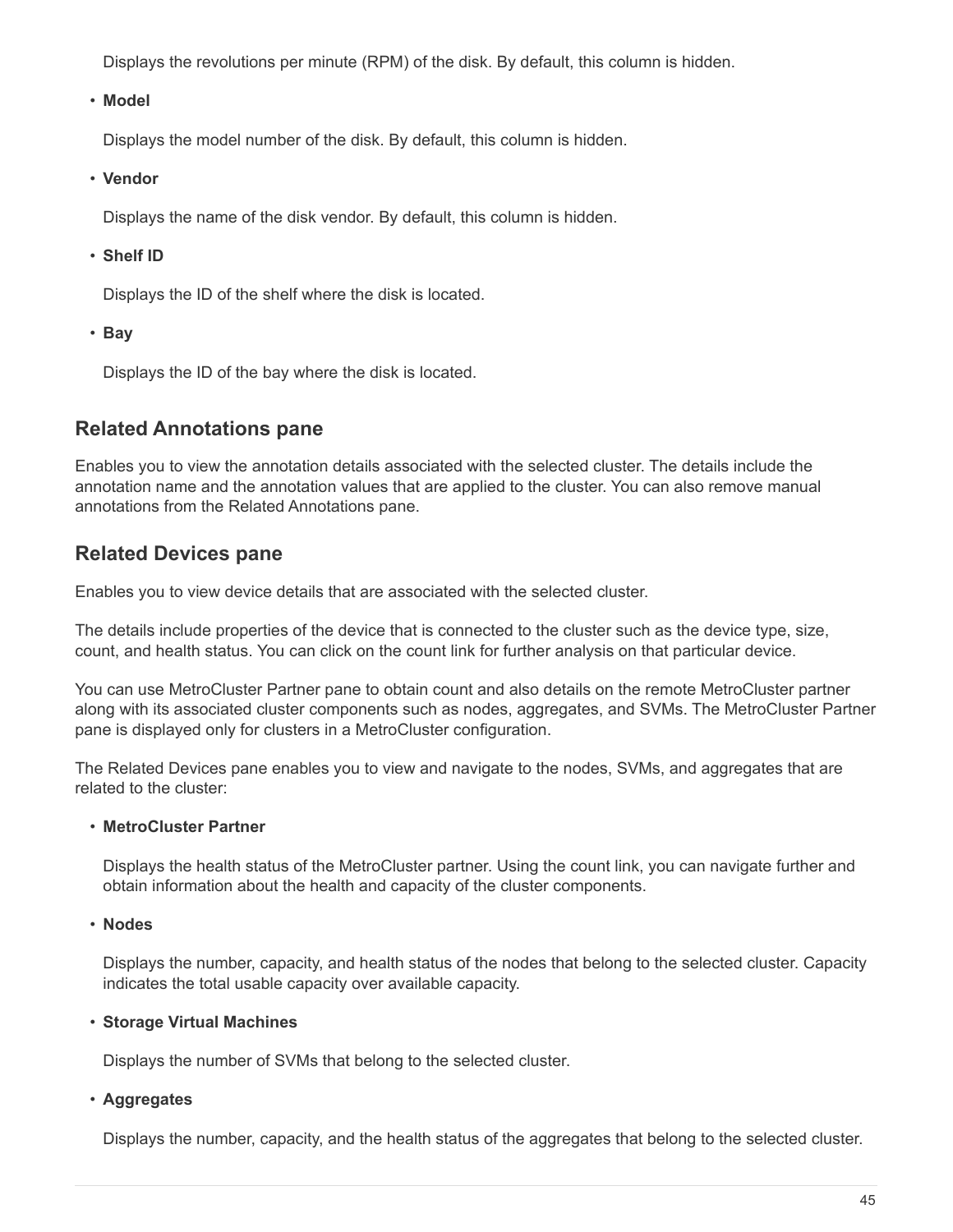Displays the revolutions per minute (RPM) of the disk. By default, this column is hidden.

#### • **Model**

Displays the model number of the disk. By default, this column is hidden.

• **Vendor**

Displays the name of the disk vendor. By default, this column is hidden.

#### • **Shelf ID**

Displays the ID of the shelf where the disk is located.

• **Bay**

Displays the ID of the bay where the disk is located.

### **Related Annotations pane**

Enables you to view the annotation details associated with the selected cluster. The details include the annotation name and the annotation values that are applied to the cluster. You can also remove manual annotations from the Related Annotations pane.

### **Related Devices pane**

Enables you to view device details that are associated with the selected cluster.

The details include properties of the device that is connected to the cluster such as the device type, size, count, and health status. You can click on the count link for further analysis on that particular device.

You can use MetroCluster Partner pane to obtain count and also details on the remote MetroCluster partner along with its associated cluster components such as nodes, aggregates, and SVMs. The MetroCluster Partner pane is displayed only for clusters in a MetroCluster configuration.

The Related Devices pane enables you to view and navigate to the nodes, SVMs, and aggregates that are related to the cluster:

#### • **MetroCluster Partner**

Displays the health status of the MetroCluster partner. Using the count link, you can navigate further and obtain information about the health and capacity of the cluster components.

• **Nodes**

Displays the number, capacity, and health status of the nodes that belong to the selected cluster. Capacity indicates the total usable capacity over available capacity.

#### • **Storage Virtual Machines**

Displays the number of SVMs that belong to the selected cluster.

#### • **Aggregates**

Displays the number, capacity, and the health status of the aggregates that belong to the selected cluster.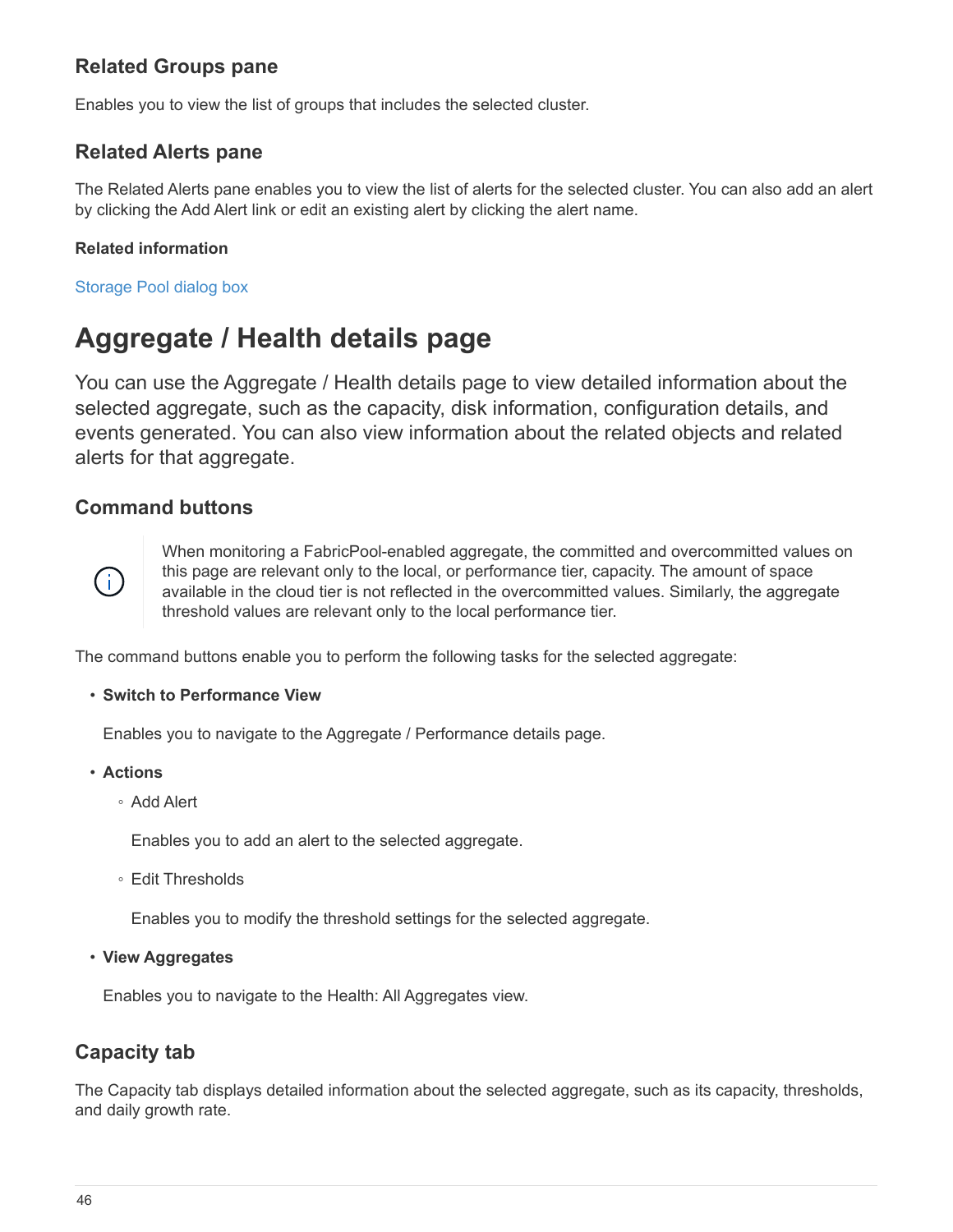### **Related Groups pane**

Enables you to view the list of groups that includes the selected cluster.

### **Related Alerts pane**

The Related Alerts pane enables you to view the list of alerts for the selected cluster. You can also add an alert by clicking the Add Alert link or edit an existing alert by clicking the alert name.

#### **Related information**

Storage Pool dialog box

## <span id="page-47-0"></span>**Aggregate / Health details page**

You can use the Aggregate / Health details page to view detailed information about the selected aggregate, such as the capacity, disk information, configuration details, and events generated. You can also view information about the related objects and related alerts for that aggregate.

### **Command buttons**



When monitoring a FabricPool-enabled aggregate, the committed and overcommitted values on this page are relevant only to the local, or performance tier, capacity. The amount of space available in the cloud tier is not reflected in the overcommitted values. Similarly, the aggregate threshold values are relevant only to the local performance tier.

The command buttons enable you to perform the following tasks for the selected aggregate:

#### • **Switch to Performance View**

Enables you to navigate to the Aggregate / Performance details page.

#### • **Actions**

◦ Add Alert

Enables you to add an alert to the selected aggregate.

◦ Edit Thresholds

Enables you to modify the threshold settings for the selected aggregate.

• **View Aggregates**

Enables you to navigate to the Health: All Aggregates view.

### **Capacity tab**

The Capacity tab displays detailed information about the selected aggregate, such as its capacity, thresholds, and daily growth rate.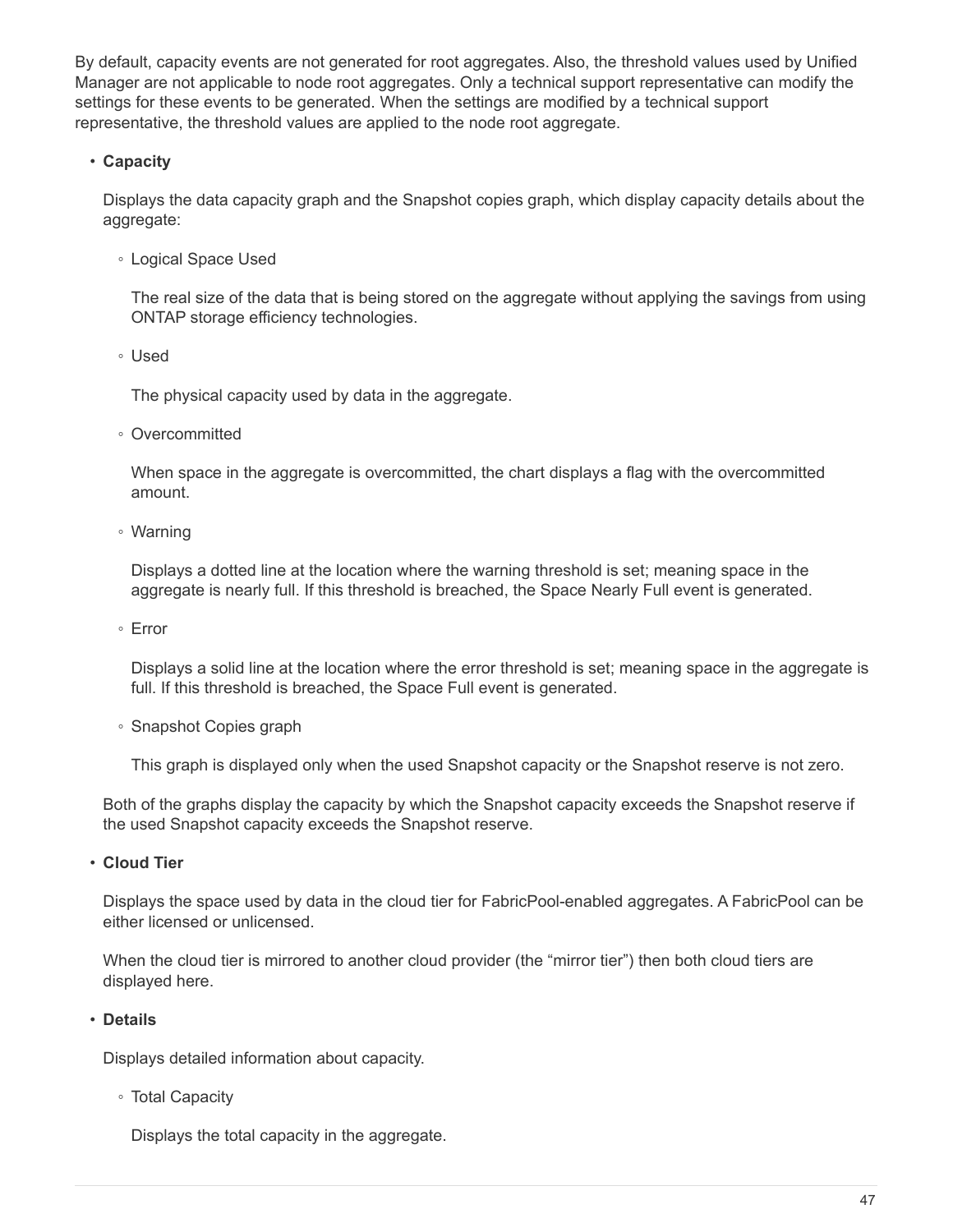By default, capacity events are not generated for root aggregates. Also, the threshold values used by Unified Manager are not applicable to node root aggregates. Only a technical support representative can modify the settings for these events to be generated. When the settings are modified by a technical support representative, the threshold values are applied to the node root aggregate.

#### • **Capacity**

Displays the data capacity graph and the Snapshot copies graph, which display capacity details about the aggregate:

◦ Logical Space Used

The real size of the data that is being stored on the aggregate without applying the savings from using ONTAP storage efficiency technologies.

◦ Used

The physical capacity used by data in the aggregate.

◦ Overcommitted

When space in the aggregate is overcommitted, the chart displays a flag with the overcommitted amount.

◦ Warning

Displays a dotted line at the location where the warning threshold is set; meaning space in the aggregate is nearly full. If this threshold is breached, the Space Nearly Full event is generated.

◦ Error

Displays a solid line at the location where the error threshold is set; meaning space in the aggregate is full. If this threshold is breached, the Space Full event is generated.

◦ Snapshot Copies graph

This graph is displayed only when the used Snapshot capacity or the Snapshot reserve is not zero.

Both of the graphs display the capacity by which the Snapshot capacity exceeds the Snapshot reserve if the used Snapshot capacity exceeds the Snapshot reserve.

• **Cloud Tier**

Displays the space used by data in the cloud tier for FabricPool-enabled aggregates. A FabricPool can be either licensed or unlicensed.

When the cloud tier is mirrored to another cloud provider (the "mirror tier") then both cloud tiers are displayed here.

#### • **Details**

Displays detailed information about capacity.

◦ Total Capacity

Displays the total capacity in the aggregate.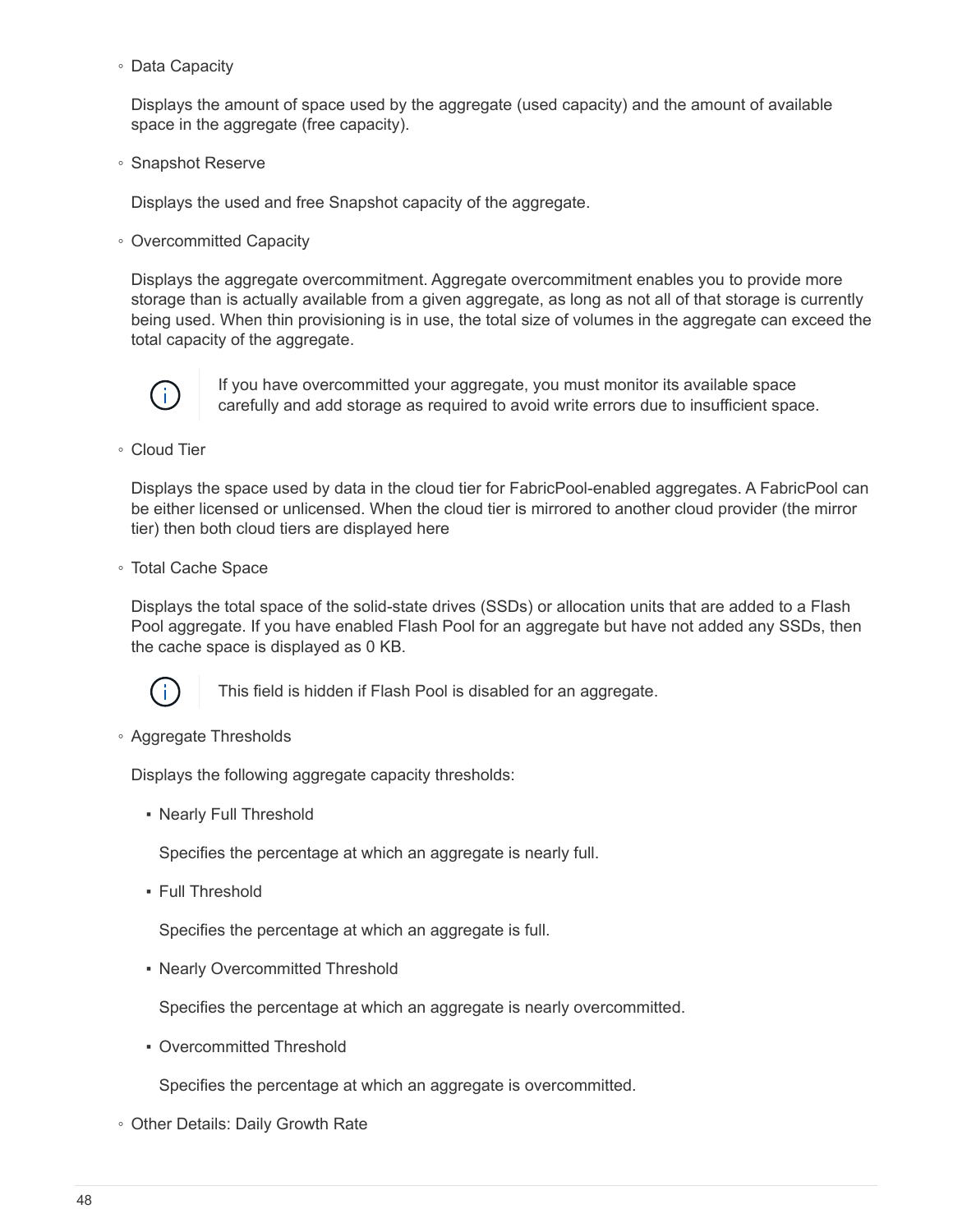◦ Data Capacity

Displays the amount of space used by the aggregate (used capacity) and the amount of available space in the aggregate (free capacity).

◦ Snapshot Reserve

Displays the used and free Snapshot capacity of the aggregate.

◦ Overcommitted Capacity

Displays the aggregate overcommitment. Aggregate overcommitment enables you to provide more storage than is actually available from a given aggregate, as long as not all of that storage is currently being used. When thin provisioning is in use, the total size of volumes in the aggregate can exceed the total capacity of the aggregate.



If you have overcommitted your aggregate, you must monitor its available space carefully and add storage as required to avoid write errors due to insufficient space.

◦ Cloud Tier

Displays the space used by data in the cloud tier for FabricPool-enabled aggregates. A FabricPool can be either licensed or unlicensed. When the cloud tier is mirrored to another cloud provider (the mirror tier) then both cloud tiers are displayed here

◦ Total Cache Space

Displays the total space of the solid-state drives (SSDs) or allocation units that are added to a Flash Pool aggregate. If you have enabled Flash Pool for an aggregate but have not added any SSDs, then the cache space is displayed as 0 KB.



This field is hidden if Flash Pool is disabled for an aggregate.

◦ Aggregate Thresholds

Displays the following aggregate capacity thresholds:

• Nearly Full Threshold

Specifies the percentage at which an aggregate is nearly full.

**• Full Threshold** 

Specifies the percentage at which an aggregate is full.

• Nearly Overcommitted Threshold

Specifies the percentage at which an aggregate is nearly overcommitted.

• Overcommitted Threshold

Specifies the percentage at which an aggregate is overcommitted.

◦ Other Details: Daily Growth Rate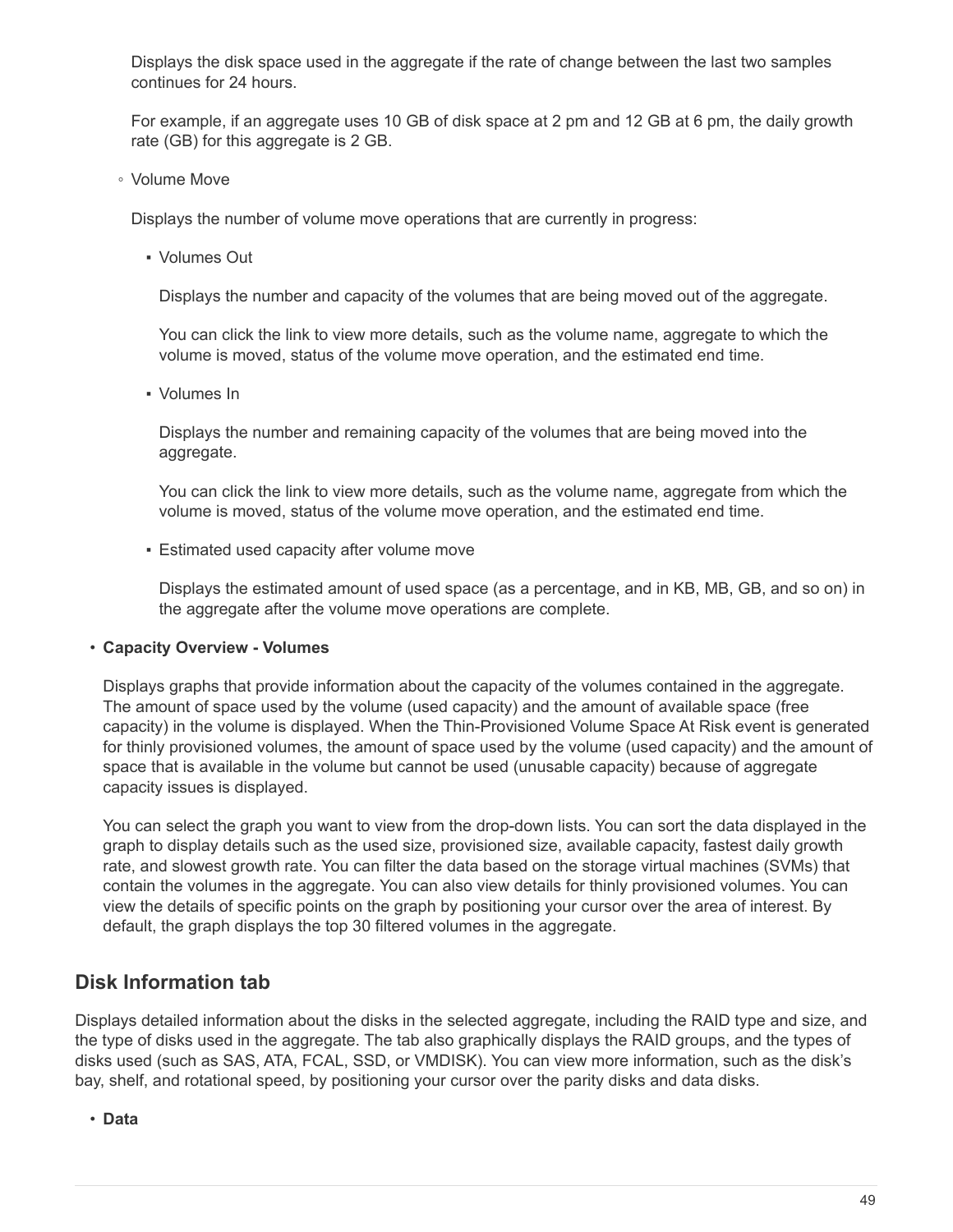Displays the disk space used in the aggregate if the rate of change between the last two samples continues for 24 hours.

For example, if an aggregate uses 10 GB of disk space at 2 pm and 12 GB at 6 pm, the daily growth rate (GB) for this aggregate is 2 GB.

◦ Volume Move

Displays the number of volume move operations that are currently in progress:

▪ Volumes Out

Displays the number and capacity of the volumes that are being moved out of the aggregate.

You can click the link to view more details, such as the volume name, aggregate to which the volume is moved, status of the volume move operation, and the estimated end time.

▪ Volumes In

Displays the number and remaining capacity of the volumes that are being moved into the aggregate.

You can click the link to view more details, such as the volume name, aggregate from which the volume is moved, status of the volume move operation, and the estimated end time.

**Estimated used capacity after volume move** 

Displays the estimated amount of used space (as a percentage, and in KB, MB, GB, and so on) in the aggregate after the volume move operations are complete.

#### • **Capacity Overview - Volumes**

Displays graphs that provide information about the capacity of the volumes contained in the aggregate. The amount of space used by the volume (used capacity) and the amount of available space (free capacity) in the volume is displayed. When the Thin-Provisioned Volume Space At Risk event is generated for thinly provisioned volumes, the amount of space used by the volume (used capacity) and the amount of space that is available in the volume but cannot be used (unusable capacity) because of aggregate capacity issues is displayed.

You can select the graph you want to view from the drop-down lists. You can sort the data displayed in the graph to display details such as the used size, provisioned size, available capacity, fastest daily growth rate, and slowest growth rate. You can filter the data based on the storage virtual machines (SVMs) that contain the volumes in the aggregate. You can also view details for thinly provisioned volumes. You can view the details of specific points on the graph by positioning your cursor over the area of interest. By default, the graph displays the top 30 filtered volumes in the aggregate.

### **Disk Information tab**

Displays detailed information about the disks in the selected aggregate, including the RAID type and size, and the type of disks used in the aggregate. The tab also graphically displays the RAID groups, and the types of disks used (such as SAS, ATA, FCAL, SSD, or VMDISK). You can view more information, such as the disk's bay, shelf, and rotational speed, by positioning your cursor over the parity disks and data disks.

• **Data**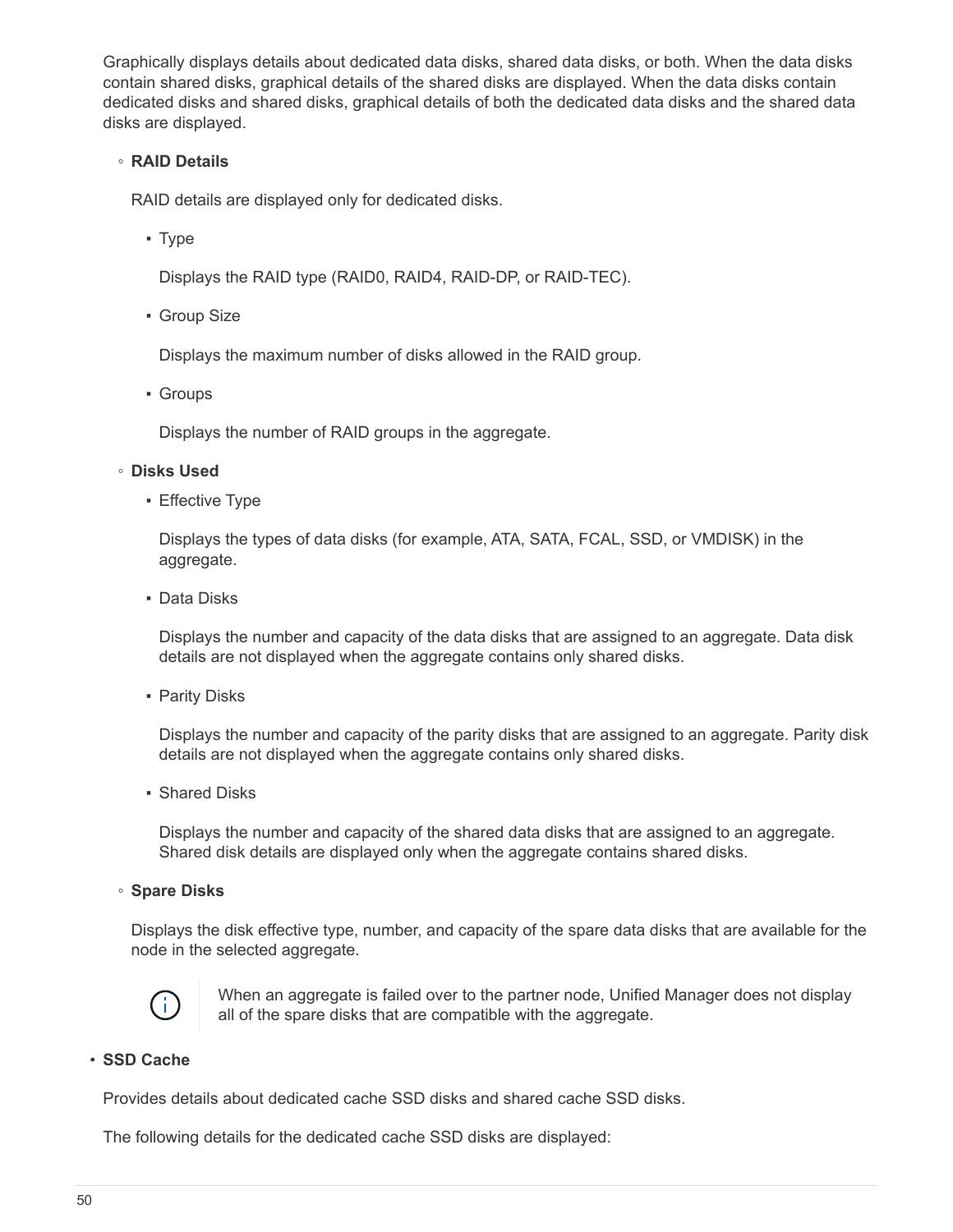Graphically displays details about dedicated data disks, shared data disks, or both. When the data disks contain shared disks, graphical details of the shared disks are displayed. When the data disks contain dedicated disks and shared disks, graphical details of both the dedicated data disks and the shared data disks are displayed.

#### ◦ **RAID Details**

RAID details are displayed only for dedicated disks.

▪ Type

Displays the RAID type (RAID0, RAID4, RAID-DP, or RAID-TEC).

**• Group Size** 

Displays the maximum number of disks allowed in the RAID group.

▪ Groups

Displays the number of RAID groups in the aggregate.

#### ◦ **Disks Used**

**E**ffective Type

Displays the types of data disks (for example, ATA, SATA, FCAL, SSD, or VMDISK) in the aggregate.

▪ Data Disks

Displays the number and capacity of the data disks that are assigned to an aggregate. Data disk details are not displayed when the aggregate contains only shared disks.

**• Parity Disks** 

Displays the number and capacity of the parity disks that are assigned to an aggregate. Parity disk details are not displayed when the aggregate contains only shared disks.

▪ Shared Disks

Displays the number and capacity of the shared data disks that are assigned to an aggregate. Shared disk details are displayed only when the aggregate contains shared disks.

◦ **Spare Disks**

Displays the disk effective type, number, and capacity of the spare data disks that are available for the node in the selected aggregate.



When an aggregate is failed over to the partner node, Unified Manager does not display all of the spare disks that are compatible with the aggregate.

#### • **SSD Cache**

Provides details about dedicated cache SSD disks and shared cache SSD disks.

The following details for the dedicated cache SSD disks are displayed: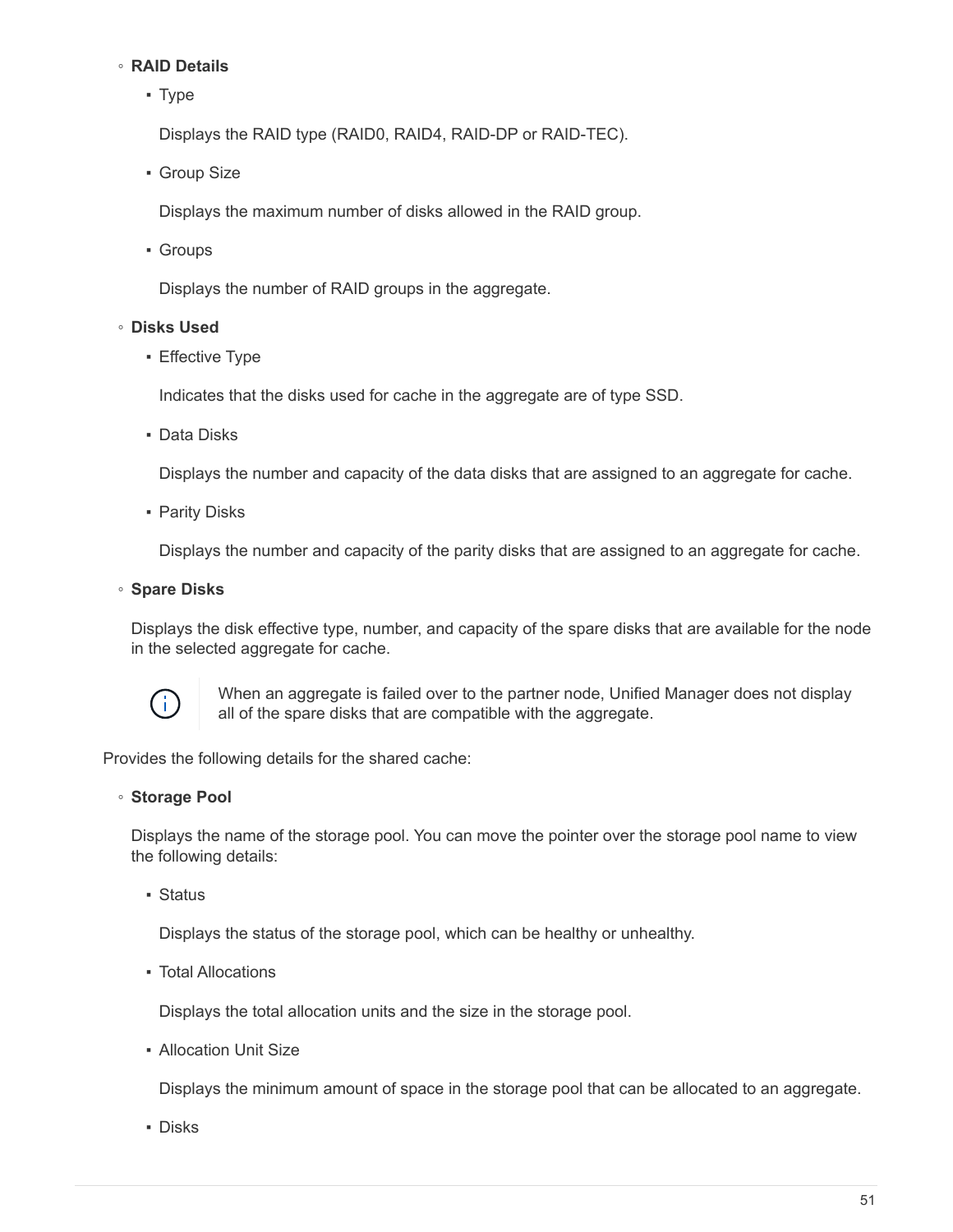#### ◦ **RAID Details**

■ Type

Displays the RAID type (RAID0, RAID4, RAID-DP or RAID-TEC).

**• Group Size** 

Displays the maximum number of disks allowed in the RAID group.

▪ Groups

Displays the number of RAID groups in the aggregate.

#### ◦ **Disks Used**

**Effective Type** 

Indicates that the disks used for cache in the aggregate are of type SSD.

▪ Data Disks

Displays the number and capacity of the data disks that are assigned to an aggregate for cache.

**• Parity Disks** 

Displays the number and capacity of the parity disks that are assigned to an aggregate for cache.

#### ◦ **Spare Disks**

Displays the disk effective type, number, and capacity of the spare disks that are available for the node in the selected aggregate for cache.



When an aggregate is failed over to the partner node, Unified Manager does not display all of the spare disks that are compatible with the aggregate.

Provides the following details for the shared cache:

#### ◦ **Storage Pool**

Displays the name of the storage pool. You can move the pointer over the storage pool name to view the following details:

■ Status

Displays the status of the storage pool, which can be healthy or unhealthy.

▪ Total Allocations

Displays the total allocation units and the size in the storage pool.

▪ Allocation Unit Size

Displays the minimum amount of space in the storage pool that can be allocated to an aggregate.

▪ Disks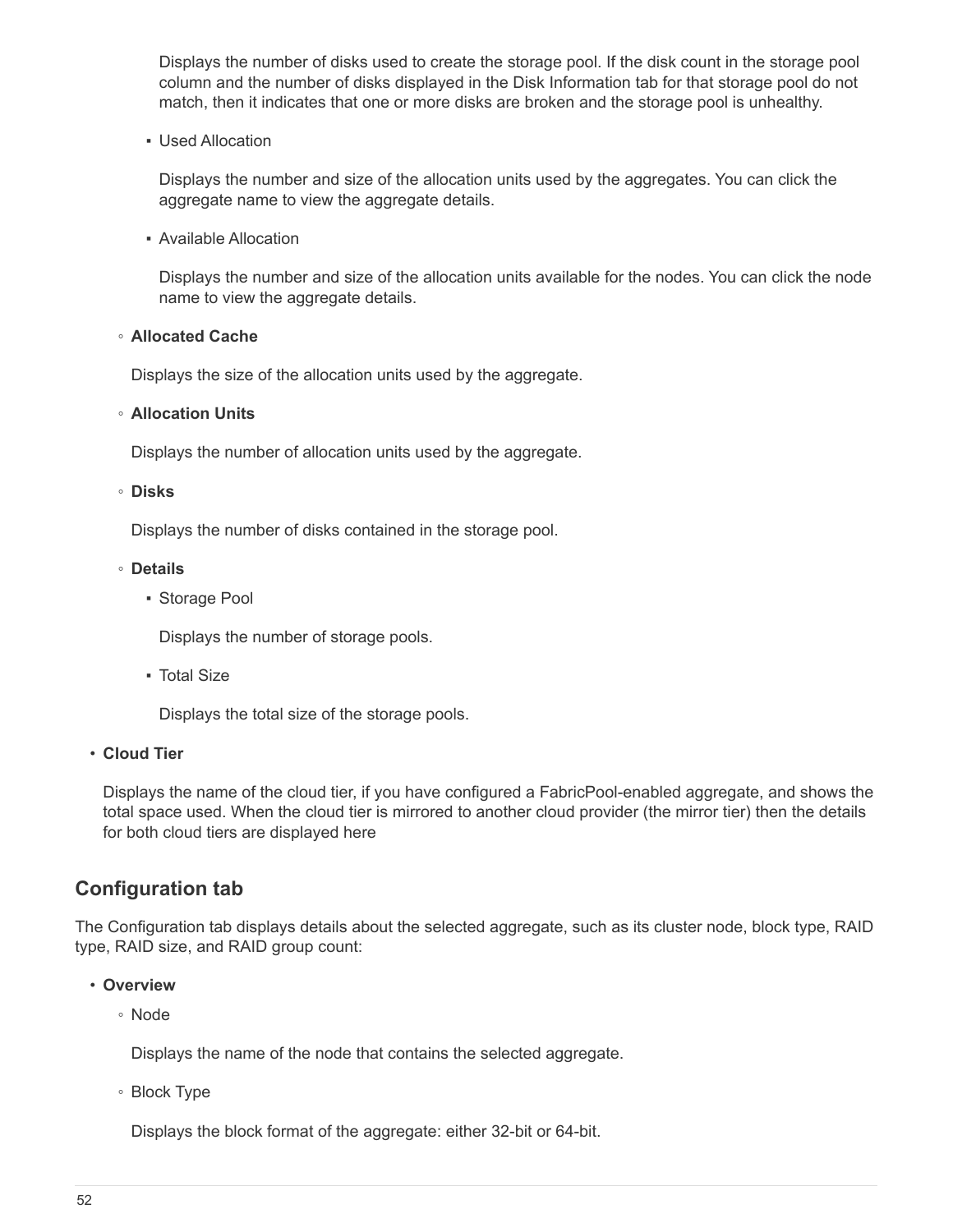Displays the number of disks used to create the storage pool. If the disk count in the storage pool column and the number of disks displayed in the Disk Information tab for that storage pool do not match, then it indicates that one or more disks are broken and the storage pool is unhealthy.

▪ Used Allocation

Displays the number and size of the allocation units used by the aggregates. You can click the aggregate name to view the aggregate details.

▪ Available Allocation

Displays the number and size of the allocation units available for the nodes. You can click the node name to view the aggregate details.

◦ **Allocated Cache**

Displays the size of the allocation units used by the aggregate.

#### ◦ **Allocation Units**

Displays the number of allocation units used by the aggregate.

#### ◦ **Disks**

Displays the number of disks contained in the storage pool.

#### ◦ **Details**

■ Storage Pool

Displays the number of storage pools.

▪ Total Size

Displays the total size of the storage pools.

#### • **Cloud Tier**

Displays the name of the cloud tier, if you have configured a FabricPool-enabled aggregate, and shows the total space used. When the cloud tier is mirrored to another cloud provider (the mirror tier) then the details for both cloud tiers are displayed here

### **Configuration tab**

The Configuration tab displays details about the selected aggregate, such as its cluster node, block type, RAID type, RAID size, and RAID group count:

- **Overview**
	- Node

Displays the name of the node that contains the selected aggregate.

◦ Block Type

Displays the block format of the aggregate: either 32-bit or 64-bit.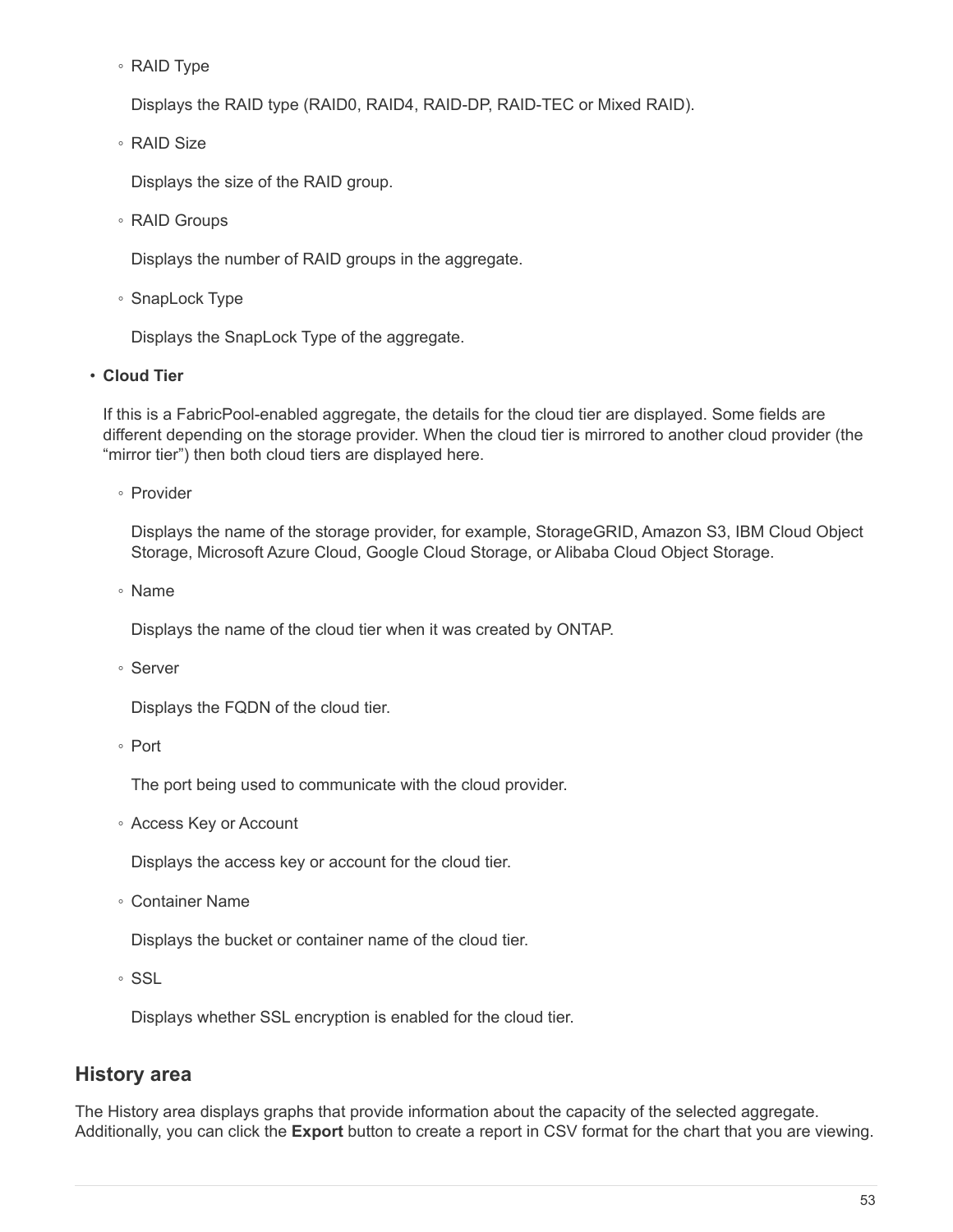◦ RAID Type

Displays the RAID type (RAID0, RAID4, RAID-DP, RAID-TEC or Mixed RAID).

◦ RAID Size

Displays the size of the RAID group.

◦ RAID Groups

Displays the number of RAID groups in the aggregate.

◦ SnapLock Type

Displays the SnapLock Type of the aggregate.

#### • **Cloud Tier**

If this is a FabricPool-enabled aggregate, the details for the cloud tier are displayed. Some fields are different depending on the storage provider. When the cloud tier is mirrored to another cloud provider (the "mirror tier") then both cloud tiers are displayed here.

◦ Provider

Displays the name of the storage provider, for example, StorageGRID, Amazon S3, IBM Cloud Object Storage, Microsoft Azure Cloud, Google Cloud Storage, or Alibaba Cloud Object Storage.

◦ Name

Displays the name of the cloud tier when it was created by ONTAP.

◦ Server

Displays the FQDN of the cloud tier.

◦ Port

The port being used to communicate with the cloud provider.

◦ Access Key or Account

Displays the access key or account for the cloud tier.

◦ Container Name

Displays the bucket or container name of the cloud tier.

◦ SSL

Displays whether SSL encryption is enabled for the cloud tier.

### **History area**

The History area displays graphs that provide information about the capacity of the selected aggregate. Additionally, you can click the **Export** button to create a report in CSV format for the chart that you are viewing.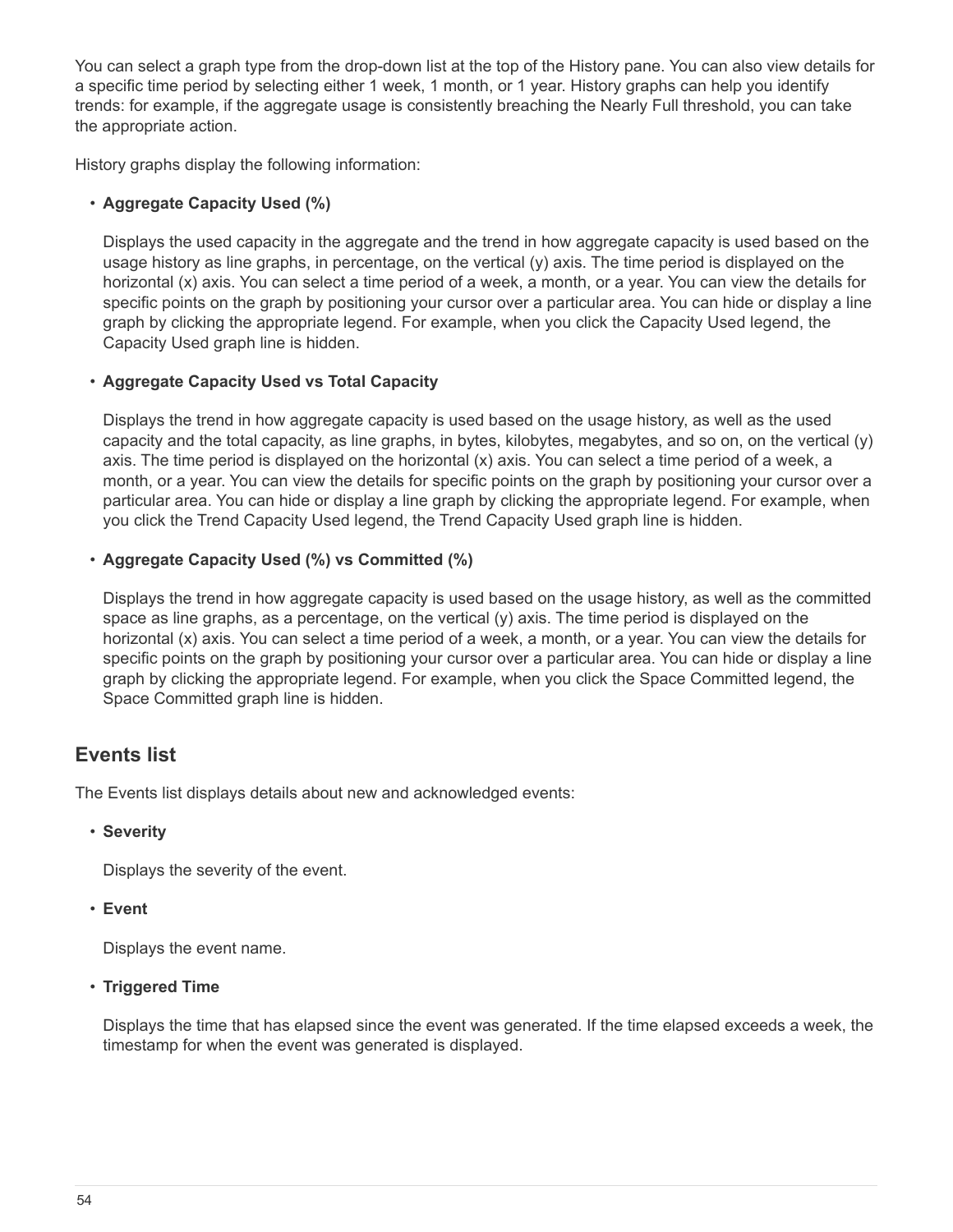You can select a graph type from the drop-down list at the top of the History pane. You can also view details for a specific time period by selecting either 1 week, 1 month, or 1 year. History graphs can help you identify trends: for example, if the aggregate usage is consistently breaching the Nearly Full threshold, you can take the appropriate action.

History graphs display the following information:

#### • **Aggregate Capacity Used (%)**

Displays the used capacity in the aggregate and the trend in how aggregate capacity is used based on the usage history as line graphs, in percentage, on the vertical (y) axis. The time period is displayed on the horizontal (x) axis. You can select a time period of a week, a month, or a year. You can view the details for specific points on the graph by positioning your cursor over a particular area. You can hide or display a line graph by clicking the appropriate legend. For example, when you click the Capacity Used legend, the Capacity Used graph line is hidden.

#### • **Aggregate Capacity Used vs Total Capacity**

Displays the trend in how aggregate capacity is used based on the usage history, as well as the used capacity and the total capacity, as line graphs, in bytes, kilobytes, megabytes, and so on, on the vertical (y) axis. The time period is displayed on the horizontal (x) axis. You can select a time period of a week, a month, or a year. You can view the details for specific points on the graph by positioning your cursor over a particular area. You can hide or display a line graph by clicking the appropriate legend. For example, when you click the Trend Capacity Used legend, the Trend Capacity Used graph line is hidden.

#### • **Aggregate Capacity Used (%) vs Committed (%)**

Displays the trend in how aggregate capacity is used based on the usage history, as well as the committed space as line graphs, as a percentage, on the vertical (y) axis. The time period is displayed on the horizontal (x) axis. You can select a time period of a week, a month, or a year. You can view the details for specific points on the graph by positioning your cursor over a particular area. You can hide or display a line graph by clicking the appropriate legend. For example, when you click the Space Committed legend, the Space Committed graph line is hidden.

### **Events list**

The Events list displays details about new and acknowledged events:

#### • **Severity**

Displays the severity of the event.

#### • **Event**

Displays the event name.

#### • **Triggered Time**

Displays the time that has elapsed since the event was generated. If the time elapsed exceeds a week, the timestamp for when the event was generated is displayed.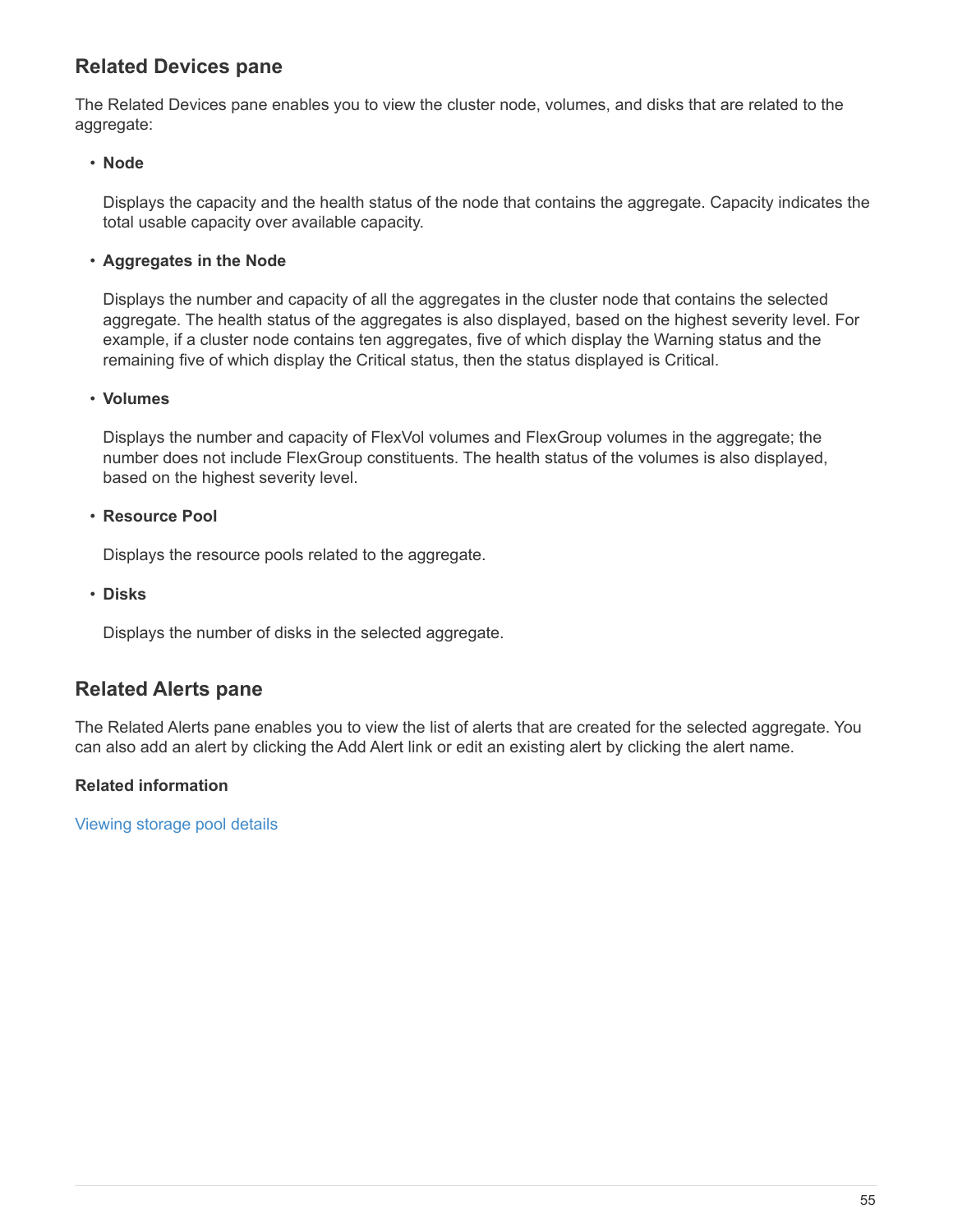### **Related Devices pane**

The Related Devices pane enables you to view the cluster node, volumes, and disks that are related to the aggregate:

#### • **Node**

Displays the capacity and the health status of the node that contains the aggregate. Capacity indicates the total usable capacity over available capacity.

#### • **Aggregates in the Node**

Displays the number and capacity of all the aggregates in the cluster node that contains the selected aggregate. The health status of the aggregates is also displayed, based on the highest severity level. For example, if a cluster node contains ten aggregates, five of which display the Warning status and the remaining five of which display the Critical status, then the status displayed is Critical.

#### • **Volumes**

Displays the number and capacity of FlexVol volumes and FlexGroup volumes in the aggregate; the number does not include FlexGroup constituents. The health status of the volumes is also displayed, based on the highest severity level.

#### • **Resource Pool**

Displays the resource pools related to the aggregate.

• **Disks**

Displays the number of disks in the selected aggregate.

### **Related Alerts pane**

The Related Alerts pane enables you to view the list of alerts that are created for the selected aggregate. You can also add an alert by clicking the Add Alert link or edit an existing alert by clicking the alert name.

#### **Related information**

[Viewing storage pool details](https://docs.netapp.com/us-en/active-iq-unified-manager-910/health-checker/task_view_storage_pool_details.html)